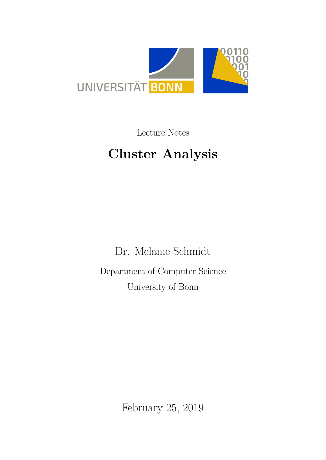

Lecture Notes

# **Cluster Analysis**

Dr. Melanie Schmidt Department of Computer Science University of Bonn

February 25, 2019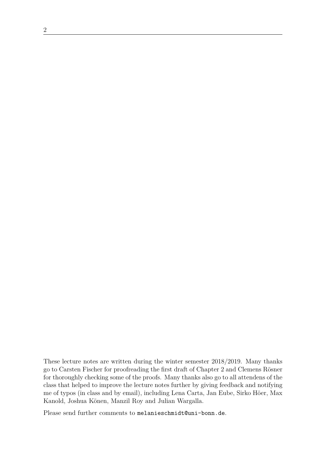These lecture notes are written during the winter semester 2018/2019. Many thanks go to Carsten Fischer for proofreading the first draft of Chapter 2 and Clemens Rösner for thoroughly checking some of the proofs. Many thanks also go to all attendens of the class that helped to improve the lecture notes further by giving feedback and notifying me of typos (in class and by email), including Lena Carta, Jan Eube, Sirko Höer, Max Kanold, Joshua Könen, Manzil Roy and Julian Wargalla.

Please send further comments to melanieschmidt@uni-bonn.de.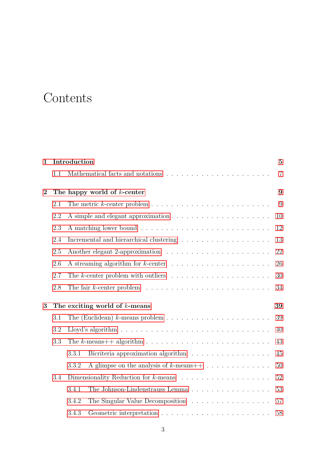## **Contents**

| $\mathbf{1}$   |     | Introduction                                                                           | $\overline{5}$ |  |  |  |
|----------------|-----|----------------------------------------------------------------------------------------|----------------|--|--|--|
|                | 1.1 | Mathematical facts and notations                                                       | $\overline{7}$ |  |  |  |
| $\overline{2}$ |     | The happy world of $k$ -center                                                         |                |  |  |  |
|                | 2.1 |                                                                                        | 9              |  |  |  |
|                | 2.2 |                                                                                        | 10             |  |  |  |
|                | 2.3 |                                                                                        | 12             |  |  |  |
|                | 2.4 |                                                                                        | 13             |  |  |  |
|                | 2.5 |                                                                                        |                |  |  |  |
|                | 2.6 |                                                                                        | 26             |  |  |  |
|                | 2.7 | The k-center problem with outliers $\dots \dots \dots \dots \dots \dots \dots$         | 30             |  |  |  |
|                | 2.8 | The fair $k$ -center problem $\ldots \ldots \ldots \ldots \ldots \ldots \ldots \ldots$ | 34             |  |  |  |
| 3              |     | The exciting world of $k$ -means                                                       | 39             |  |  |  |
|                | 3.1 |                                                                                        | 39             |  |  |  |
|                | 3.2 |                                                                                        | 40             |  |  |  |
|                | 3.3 |                                                                                        | 43             |  |  |  |
|                |     | Bicriteria approximation algorithm<br>3.3.1                                            | 45             |  |  |  |
|                |     | 3.3.2                                                                                  | 50             |  |  |  |
|                | 3.4 |                                                                                        | 52             |  |  |  |
|                |     | The Johnson-Lindenstrauss Lemma<br>3.4.1                                               | 53             |  |  |  |
|                |     | The Singular Value Decomposition<br>3.4.2                                              | 57             |  |  |  |
|                |     | 3.4.3                                                                                  | 58             |  |  |  |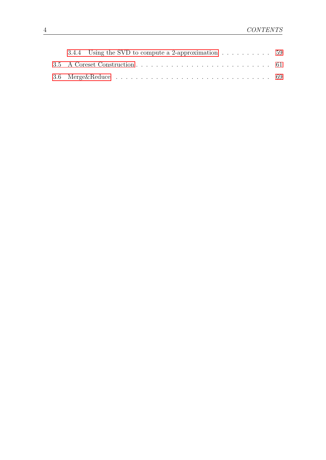| 3.4.4 Using the SVD to compute a 2-approximation $\dots \dots \dots \dots$ |  |
|----------------------------------------------------------------------------|--|
|                                                                            |  |
|                                                                            |  |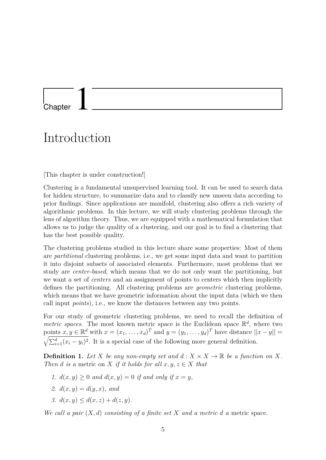### <span id="page-4-0"></span>**Chapter**

## Introduction

[This chapter is under construction!]

Clustering is a fundamental unsupervised learning tool. It can be used to search data for hidden structure, to summarize data and to classify new unseen data according to prior findings. Since applications are manifold, clustering also offers a rich variety of algorithmic problems. In this lecture, we will study clustering problems through the lens of algorithm theory. Thus, we are equipped with a mathematical formulation that allows us to judge the quality of a clustering, and our goal is to find a clustering that has the best possible quality.

The clustering problems studied in this lecture share some properties: Most of them are *partitional* clustering problems, i.e., we get some input data and want to partition it into disjoint subsets of associated elements. Furthermore, most problems that we study are *center-based*, which means that we do not only want the partitioning, but we want a set of *centers* and an assignment of points to centers which then implicitly defines the partitioning. All clustering problems are *geometric* clustering problems, which means that we have geometric information about the input data (which we then call input *points*), i.e., we know the distances between any two points.

For our study of geometric clustering problems, we need to recall the definition of *metric spaces*. The most known metric space is the Euclidean space  $\mathbb{R}^d$ , where two points  $x, y \in \mathbb{R}^d$  with  $x = (x_1, \ldots, x_d)^T$  and  $y = (y_1, \ldots, y_d)^T$  have distance  $||x - y|| =$  $\sqrt{\sum_{i=1}^{d}(x_i-y_i)^2}$ . It is a special case of the following more general definition.

<span id="page-4-2"></span>**Definition 1.** Let *X* be any non-empty set and  $d: X \times X \to \mathbb{R}$  be a function on X. *Then d is* a metric on *X if it holds for all*  $x, y, z \in X$  *that* 

- 1.  $d(x, y) \geq 0$  *and*  $d(x, y) = 0$  *if and only if*  $x = y$ *,*
- 2.  $d(x, y) = d(y, x)$ , and
- <span id="page-4-1"></span>*3.*  $d(x, y) \leq d(x, z) + d(z, y)$ .

*We call a pair*  $(X, d)$  *consisting of a finite set*  $X$  *and a metric d a metric space.*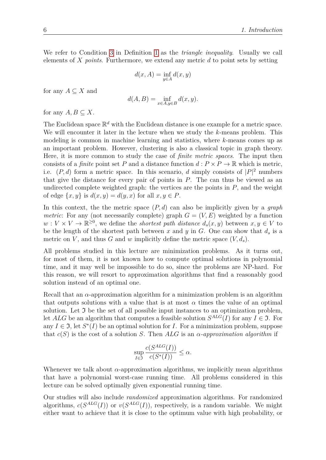We refer to Condition [3](#page-4-1) in Definition [1](#page-4-2) as the *triangle inequality*. Usually we call elements of *X points*. Furthermore, we extend any metric *d* to point sets by setting

$$
d(x, A) = \inf_{y \in A} d(x, y)
$$

for any  $A \subseteq X$  and

$$
d(A, B) = \inf_{x \in A, y \in B} d(x, y).
$$

for any  $A, B \subset X$ .

The Euclidean space  $\mathbb{R}^d$  with the Euclidean distance is one example for a metric space. We will encounter it later in the lecture when we study the *k*-means problem. This modeling is common in machine learning and statistics, where *k*-means comes up as an important problem. However, clustering is also a classical topic in graph theory. Here, it is more common to study the case of *finite metric spaces*. The input then consists of a *finite* point set *P* and a distance function  $d : P \times P \to \mathbb{R}$  which is metric, i.e.  $(P, d)$  form a metric space. In this scenario, *d* simply consists of  $|P|^2$  numbers that give the distance for every pair of points in *P*. The can thus be viewed as an undirected complete weighted graph: the vertices are the points in  $P$ , and the weight of edge  $\{x, y\}$  is  $d(x, y) = d(y, x)$  for all  $x, y \in P$ .

In this context, the the metric space (*P, d*) can also be implicitly given by a *graph metric*: For any (not necessarily complete) graph  $G = (V, E)$  weighted by a function  $w: V \times V \to \mathbb{R}^{\geq 0}$ , we define the *shortest path distance*  $d_s(x, y)$  between  $x, y \in V$  to be the length of the shortest path between  $x$  and  $y$  in  $G$ . One can show that  $d_s$  is a metric on *V*, and thus *G* and *w* implicitly define the metric space  $(V, d_s)$ .

All problems studied in this lecture are minimization problems. As it turns out, for most of them, it is not known how to compute optimal solutions in polynomial time, and it may well be impossible to do so, since the problems are NP-hard. For this reason, we will resort to approximation algorithms that find a reasonably good solution instead of an optimal one.

Recall that an  $\alpha$ -approximation algorithm for a minimization problem is an algorithm that outputs solutions with a value that is at most  $\alpha$  times the value of an optimal solution. Let  $\mathfrak I$  be the set of all possible input instances to an optimization problem, let  $ALG$  be an algorithm that computes a feasible solution  $S^{ALG}(I)$  for any  $I \in \mathfrak{I}$ . For any  $I \in \mathfrak{I}$ , let  $S^*(I)$  be an optimal solution for *I*. For a minimization problem, suppose that  $c(S)$  is the cost of a solution *S*. Then *ALG* is an  $\alpha$ -approximation algorithm if

$$
\sup_{I \in \mathfrak{I}} \frac{c(S^{ALG}(I))}{c(S^*(I))} \le \alpha.
$$

Whenever we talk about *α*-approximation algorithms, we implicitly mean algorithms that have a polynomial worst-case running time. All problems considered in this lecture can be solved optimally given exponential running time.

Our studies will also include *randomized* approximation algorithms. For randomized algorithms,  $c(S^{ALG}(I))$  or  $v(S^{ALG}(I))$ , respectively, is a random variable. We might either want to achieve that it is close to the optimum value with high probability, or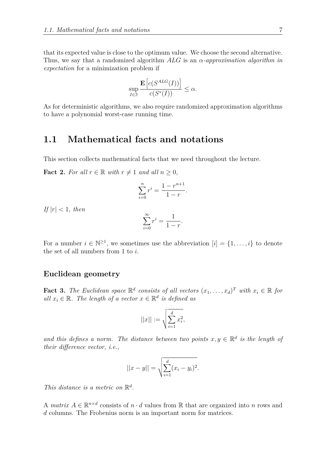that its expected value is close to the optimum value. We choose the second alternative. Thus, we say that a randomized algorithm *ALG* is an *α-approximation algorithm in expectation* for a minimization problem if

$$
\sup_{I \in \mathfrak{I}} \frac{\mathbf{E}\left[c(S^{ALG}(I))\right]}{c(S^*(I))} \le \alpha.
$$

As for deterministic algorithms, we also require randomized approximation algorithms to have a polynomial worst-case running time.

#### <span id="page-6-0"></span>**1.1 Mathematical facts and notations**

This section collects mathematical facts that we need throughout the lecture.

<span id="page-6-1"></span>**Fact 2.** For all  $r \in \mathbb{R}$  with  $r \neq 1$  and all  $n \geq 0$ ,

$$
\sum_{i=0}^{n} r^{i} = \frac{1 - r^{n+1}}{1 - r}.
$$

*If*  $|r| < 1$ *, then* 

$$
\sum_{i=0}^{\infty} r^i = \frac{1}{1-r}
$$

*.*

For a number  $i \in \mathbb{N}^{\geq 1}$ , we sometimes use the abbreviation  $[i] = \{1, \ldots, i\}$  to denote the set of all numbers from 1 to *i*.

#### **Euclidean geometry**

**Fact 3.** The Euclidean space  $\mathbb{R}^d$  consists of all vectors  $(x_1, \ldots, x_d)^T$  with  $x_i \in \mathbb{R}$  for *all*  $x_i \in \mathbb{R}$ *. The length of a vector*  $x \in \mathbb{R}^d$  *is defined as* 

$$
||x|| := \sqrt{\sum_{i=1}^{d} x_i^2},
$$

and this defines a norm. The distance between two points  $x, y \in \mathbb{R}^d$  is the length of *their difference vector, i.e.,*

$$
||x - y|| = \sqrt{\sum_{i=1}^{d} (x_i - y_i)^2}.
$$

*This distance is a metric on*  $\mathbb{R}^d$ .

A *matrix*  $A \in \mathbb{R}^{n \times d}$  consists of  $n \cdot d$  values from R that are organized into *n* rows and *d* columns. The Frobenius norm is an important norm for matrices.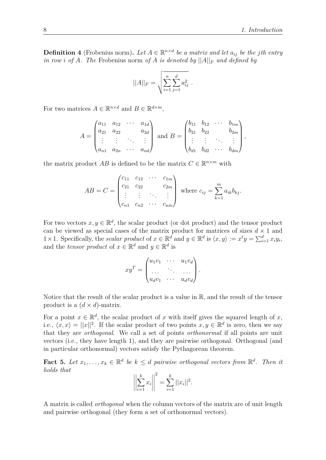**Definition 4** (Frobenius norm). Let  $A \in \mathbb{R}^{n \times d}$  be a matrix and let  $a_{ij}$  be the *j*th entry *in row i* of *A*. The Frobenius norm of *A is denoted by*  $||A||_F$  *and defined by* 

$$
||A||_F = \sqrt{\sum_{i=1}^n \sum_{j=1}^d a_{ij}^2}.
$$

For two matrices  $A \in \mathbb{R}^{n \times d}$  and  $B \in \mathbb{R}^{d \times m}$ ,

$$
A = \begin{pmatrix} a_{11} & a_{12} & \cdots & a_{1d} \\ a_{21} & a_{22} & & a_{2d} \\ \vdots & \vdots & \ddots & \vdots \\ a_{n1} & a_{2n} & \cdots & a_{nd} \end{pmatrix} \text{ and } B = \begin{pmatrix} b_{11} & b_{12} & \cdots & b_{1m} \\ b_{21} & b_{22} & & b_{2m} \\ \vdots & \vdots & \ddots & \vdots \\ b_{d1} & b_{d2} & \cdots & b_{dm} \end{pmatrix},
$$

the matrix product  $AB$  is defined to be the matrix  $C \in \mathbb{R}^{n \times m}$  with

$$
AB = C = \begin{pmatrix} c_{11} & c_{12} & \cdots & c_{1m} \\ c_{21} & c_{22} & & c_{2m} \\ \vdots & \vdots & \ddots & \vdots \\ c_{n1} & c_{n2} & \cdots & c_{nm} \end{pmatrix} \text{ where } c_{ij} = \sum_{k=1}^{m} a_{ik}b_{kj}.
$$

For two vectors  $x, y \in \mathbb{R}^d$ , the scalar product (or dot product) and the tensor product can be viewed as special cases of the matrix product for matrices of sizes  $d \times 1$  and 1 × 1. Specifically, the *scalar product* of  $x \in \mathbb{R}^d$  and  $y \in \mathbb{R}^d$  is  $\langle x, y \rangle := x^t y = \sum_{i=1}^d x_i y_i$ , and the *tensor product* of  $x \in \mathbb{R}^d$  and  $y \in \mathbb{R}^d$  is

$$
xy^T = \begin{pmatrix} u_1v_1 & \cdots & u_1v_d \\ \cdots & \cdots & \cdots \\ u_dv_1 & \cdots & u_dv_d \end{pmatrix}.
$$

Notice that the result of the scalar product is a value in R, and the result of the tensor product is a  $(d \times d)$ -matrix.

For a point  $x \in \mathbb{R}^d$ , the scalar product of *x* with itself gives the squared length of *x*, i.e.,  $\langle x, x \rangle = ||x||^2$ . If the scalar product of two points  $x, y \in \mathbb{R}^d$  is zero, then we say that they are *orthogonal*. We call a set of points *orthonormal* if all points are unit vectors (i.e., they have length 1), and they are pairwise orthogonal. Orthogonal (and in particular orthonormal) vectors satisfy the Pythagorean theorem.

**Fact 5.** Let  $x_1, \ldots, x_k \in \mathbb{R}^d$  be  $k \leq d$  pairwise orthogonal vectors from  $\mathbb{R}^d$ . Then it *holds that*

$$
\left\| \sum_{i=1}^{k} x_i \right\|^2 = \sum_{i=1}^{k} ||x_i||^2.
$$

A matrix is called *orthogonal* when the column vectors of the matrix are of unit length and pairwise orthogonal (they form a set of orthonormal vectors).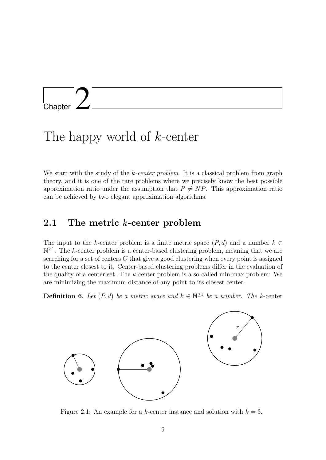# <span id="page-8-0"></span>L<br>Chapter

## The happy world of *k*-center

We start with the study of the *k-center problem*. It is a classical problem from graph theory, and it is one of the rare problems where we precisely know the best possible approximation ratio under the assumption that  $P \neq NP$ . This approximation ratio can be achieved by two elegant approximation algorithms.

#### <span id="page-8-1"></span>**2.1 The metric** *k***-center problem**

The input to the *k*-center problem is a finite metric space  $(P, d)$  and a number  $k \in$  $\mathbb{N}^{\geq 1}$ . The *k*-center problem is a center-based clustering problem, meaning that we are searching for a set of centers *C* that give a good clustering when every point is assigned to the center closest to it. Center-based clustering problems differ in the evaluation of the quality of a center set. The *k*-center problem is a so-called min-max problem: We are minimizing the maximum distance of any point to its closest center.

**Definition 6.** Let  $(P,d)$  be a metric space and  $k \in \mathbb{N}^{\geq 1}$  be a number. The k-center



<span id="page-8-2"></span>Figure 2.1: An example for a *k*-center instance and solution with  $k = 3$ .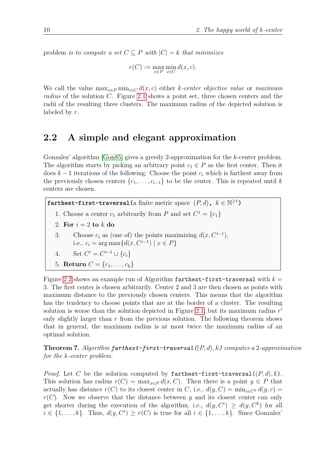problem *is to compute a set*  $C \subseteq P$  *with*  $|C| = k$  *that minimizes* 

 $r(C) := \max_{x \in P} \min_{c \in C} d(x, c)$ .

We call the value  $\max_{x \in P} \min_{c \in C} d(x, c)$  either *k-center objective value* or *maximum radius* of the solution *C*. Figure [2.1](#page-8-2) shows a point set, three chosen centers and the radii of the resulting three clusters. The maximum radius of the depicted solution is labeled by *r*.

#### <span id="page-9-0"></span>**2.2 A simple and elegant approximation**

Gonzalez' algorithm [\[Gon85\]](#page-73-0) gives a greedy 2-approximation for the *k*-center problem. The algorithm starts by picking an arbitrary point  $c_1 \in P$  as the first center. Then it does *k* − 1 iterations of the following: Choose the point *c<sup>i</sup>* which is farthest away from the previously chosen centers  $\{c_1, \ldots, c_{i-1}\}\$  to be the center. This is repeated until *k* centers are chosen.

**farthest-first-traversal**(a finite metric space  $(P, d)$ ,  $k \in \mathbb{N}^{\geq 1}$ )

- 1. Choose a center  $c_1$  arbitrarily from  $P$  and set  $C^1 = \{c_1\}$
- 2. For  $i = 2$  to  $k$  do
- 3. Choose  $c_i$  as (one of) the points maximizing  $d(x, C^{i-1})$ , i.e.,  $c_i = \arg \max \{ d(x, C^{i-1}) | x \in P \}$

4. Set 
$$
C^i = C^{i-1} \cup \{c_i\}
$$

5. **Return**  $C = \{c_1, \ldots, c_k\}$ 

Figure [2.2](#page-10-0) shows an example run of Algorithm farthest-first-traversal with  $k =$ 3. The first center is chosen arbitrarily. Center 2 and 3 are then chosen as points with maximum distance to the previously chosen centers. This means that the algorithm has the tendency to choose points that are at the border of a cluster. The resulting solution is worse than the solution depicted in Figure [2.1,](#page-8-2) but its maximum radius  $r'$ only slightly larger than *r* from the previous solution. The following theorem shows that in general, the maximum radius is at most twice the maximum radius of an optimal solution.

<span id="page-9-1"></span>**Theorem 7.** *Algorithm farthest-first-traversal(*(*P, d*)*, k) computes a* 2*-approximation for the k-center problem.*

*Proof.* Let *C* be the solution computed by farthest-first-traversal  $((P,d),k)$ . This solution has radius  $r(C) = \max_{x \in P} d(x, C)$ . Then there is a point  $y \in P$  that actually has distance  $r(C)$  to its closest center in *C*, i.e.,  $d(y, C) = \min_{c \in C^k} d(y, c)$  $r(C)$ . Now we observe that the distance between *y* and its closest center can only get shorter during the execution of the algorithm, i.e.,  $d(y, C^i) \geq d(y, C^k)$  for all  $i \in \{1, \ldots, k\}$ . Thus,  $d(y, C^i) \geq r(C)$  is true for all  $i \in \{1, \ldots, k\}$ . Since Gonzalez'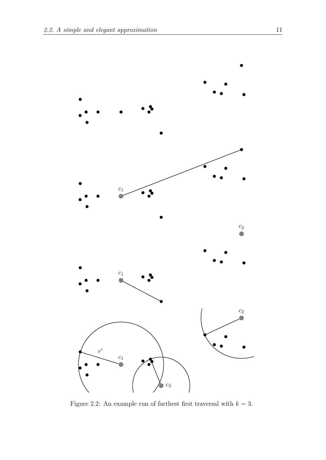

<span id="page-10-0"></span>Figure 2.2: An example run of farthest first traversal with  $k = 3$ .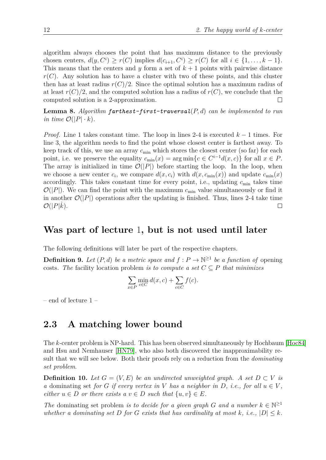algorithm always chooses the point that has maximum distance to the previously chosen centers,  $d(y, C^i) \ge r(C)$  implies  $d(c_{i+1}, C^i) \ge r(C)$  for all  $i \in \{1, \ldots, k-1\}.$ This means that the centers and *y* form a set of  $k + 1$  points with pairwise distance  $r(C)$ . Any solution has to have a cluster with two of these points, and this cluster then has at least radius  $r(C)/2$ . Since the optimal solution has a maximum radius of at least  $r(C)/2$ , and the computed solution has a radius of  $r(C)$ , we conclude that the computed solution is a 2-approximation.  $\Box$ 

**Lemma 8.** *Algorithm farthest-first-traversal*(*P, d*) *can be implemented to run in time*  $\mathcal{O}(|P| \cdot k)$ .

*Proof.* Line 1 takes constant time. The loop in lines 2-4 is executed  $k-1$  times. For line 3, the algorithm needs to find the point whose closest center is farthest away. To keep track of this, we use an array *c*min which stores the closest center (so far) for each point, i.e. we preserve the equality  $c_{\min}(x) = \arg \min \{c \in C^{i-1}d(x,c)\}\)$  for all  $x \in P$ . The array is initialized in time  $\mathcal{O}(|P|)$  before starting the loop. In the loop, when we choose a new center  $c_i$ , we compare  $d(x, c_i)$  with  $d(x, c_{\min}(x))$  and update  $c_{\min}(x)$ accordingly. This takes constant time for every point, i.e., updating  $c_{\min}$  takes time  $\mathcal{O}(|P|)$ . We can find the point with the maximum  $c_{\min}$  value simultaneously or find it in another  $\mathcal{O}(|P|)$  operations after the updating is finished. Thus, lines 2-4 take time  $\mathcal{O}(|P|k)$ .  $\Box$ 

#### **Was part of lecture** 1**, but is not used until later**

The following definitions will later be part of the respective chapters.

**Definition 9.** Let  $(P, d)$  be a metric space and  $f : P \to \mathbb{N}^{\geq 1}$  be a function of opening costs. The facility location problem *is to compute a set*  $C \subseteq P$  *that minimizes* 

$$
\sum_{x \in P} \min_{c \in C} d(x, c) + \sum_{c \in C} f(c).
$$

– end of lecture 1 –

#### <span id="page-11-0"></span>**2.3 A matching lower bound**

The *k*-center problem is NP-hard. This has been observed simultaneously by Hochbaum [\[Hoc84\]](#page-73-1) and Hsu and Nemhauser [\[HN79\]](#page-73-2), who also both discovered the inapproximability result that we will see below. Both their proofs rely on a reduction from the *dominating set problem*.

**Definition 10.** Let  $G = (V, E)$  be an undirected unweighted graph. A set  $D \subset V$  is *a* dominating set *for G if every vertex in V has a neighbor in D*, *i.e.*, *for all*  $u \in V$ , *either*  $u \in D$  *or there exists*  $a \, v \in D$  *such that*  $\{u, v\} \in E$ *.* 

*The* dominating set problem *is to decide for a given graph G* and a number  $k \in \mathbb{N}^{\geq 1}$ *whether a dominating set D for G exists that has cardinality at most k*, *i.e.*,  $|D| \leq k$ *.*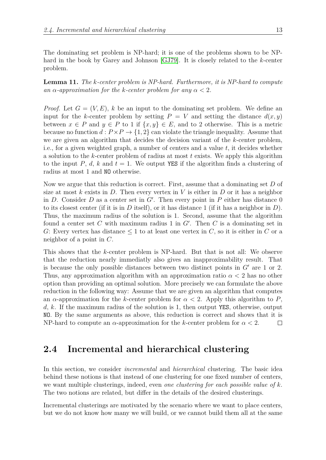The dominating set problem is NP-hard; it is one of the problems shown to be NPhard in the book by Garey and Johnson [\[GJ79\]](#page-73-3). It is closely related to the *k*-center problem.

**Lemma 11.** *The k-center problem is NP-hard. Furthermore, it is NP-hard to compute an*  $\alpha$ -*approximation for the k-center problem for any*  $\alpha < 2$ *.* 

*Proof.* Let  $G = (V, E)$ , k be an input to the dominating set problem. We define an input for the *k*-center problem by setting  $P = V$  and setting the distance  $d(x, y)$ between  $x \in P$  and  $y \in P$  to 1 if  $\{x, y\} \in E$ , and to 2 otherwise. This is a metric because no function  $d: P \times P \to \{1, 2\}$  can violate the triangle inequality. Assume that we are given an algorithm that decides the decision variant of the *k*-center problem, i.e., for a given weighted graph, a number of centers and a value *t*, it decides whether a solution to the *k*-center problem of radius at most *t* exists. We apply this algorithm to the input P,  $d$ ,  $k$  and  $t = 1$ . We output YES if the algorithm finds a clustering of radius at most 1 and NO otherwise.

Now we argue that this reduction is correct. First, assume that a dominating set *D* of size at most  $k$  exists in  $D$ . Then every vertex in  $V$  is either in  $D$  or it has a neighbor in  $D$ . Consider  $D$  as a center set in  $G'$ . Then every point in  $P$  either has distance 0 to its closest center (if it is in  $D$  itself), or it has distance 1 (if it has a neighbor in  $D$ ). Thus, the maximum radius of the solution is 1. Second, assume that the algorithm found a center set  $C$  with maximum radius 1 in  $G'$ . Then  $C$  is a dominating set in *G*: Every vertex has distance  $\leq 1$  to at least one vertex in *C*, so it is either in *C* or a neighbor of a point in *C*.

This shows that the *k*-center problem is NP-hard. But that is not all: We observe that the reduction nearly immediatly also gives an inapproximability result. That is because the only possible distances between two distinct points in  $G'$  are 1 or 2. Thus, any approximation algorithm with an approximation ratio  $\alpha < 2$  has no other option than providing an optimal solution. More precisely we can formulate the above reduction in the following way: Assume that we are given an algorithm that computes an  $\alpha$ -approximation for the *k*-center problem for  $\alpha < 2$ . Apply this algorithm to P, *d*, *k*. If the maximum radius of the solution is 1, then output YES, otherwise, output NO. By the same arguments as above, this reduction is correct and shows that it is NP-hard to compute an *α*-approximation for the *k*-center problem for *α <* 2.  $\Box$ 

#### <span id="page-12-0"></span>**2.4 Incremental and hierarchical clustering**

In this section, we consider *incremental* and *hierarchical* clustering. The basic idea behind these notions is that instead of one clustering for one fixed number of centers, we want multiple clusterings, indeed, even *one clustering for each possible value of k*. The two notions are related, but differ in the details of the desired clusterings.

Incremental clusterings are motivated by the scenario where we want to place centers, but we do not know how many we will build, or we cannot build them all at the same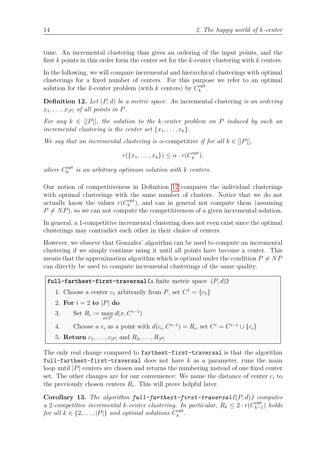time. An incremental clustering thus gives an ordering of the input points, and the first *k* points in this order form the center set for the *k*-center clustering with *k* centers.

In the following, we will compare incremental and hierarchical clusterings with optimal clusterings for a fixed number of centers. For this purpose we refer to an optimal solution for the *k*-center problem (with *k* centers) by  $C_k^{\text{opt}}$  $_k^{\mathrm{opt}}$ .

<span id="page-13-0"></span>**Definition 12.** *Let* (*P, d*) *be a metric space. An* incremental clustering *is an ordering*  $x_1, \ldots, x_{|P|}$  *of all points in P.* 

*For any*  $k \in ||P||$ *, the solution to the k-center problem on P induced by such an incremental clustering is the center set*  $\{x_1, \ldots, x_k\}$ .

*We say that an incremental clustering is*  $\alpha$ -competitive *if for all*  $k \in [P]$ *,* 

$$
r({x_1,\ldots,x_k}) \leq \alpha \cdot r(C_k^{\text{opt}}),
$$

*where*  $C_k^{\text{opt}}$ *k is an arbitrary optimum solution with k centers.*

Our notion of competitiveness in Definition [12](#page-13-0) compares the individual clusterings with optimal clusterings with the same number of clusters. Notice that we do not actually know the values  $r(C_k^{\text{opt}})$  $\binom{opt}{k}$ , and can in general not compute them (assuming  $P \neq NP$ ), so we can not compute the competitiveness of a given incremental solution.

In general, a 1-competitive incremental clustering does not even exist since the optimal clusterings may contradict each other in their choice of centers.

However, we observe that Gonzalez' algorithm can be used to compute an incremental clustering if we simply continue using it until all points have become a center. This means that the approximation algorithm which is optimal under the condition  $P \neq NP$ can directly be used to compute incremental clusterings of the same quality.

**full-farthest-first-traversal** (a finite metric space  $(P, d)$ )

1. Choose a center  $c_1$  arbitrarily from  $P$ , set  $C^1 = \{c_1\}$ 

2. For  $i = 2$  to  $|P|$  do

3. Set 
$$
R_i := \max_{x \in P} d(x, C^{i-1})
$$

4. Choose a  $c_i$  as a point with  $d(c_i, C^{i-1}) = R_i$ , set  $C^i = C^{i-1} \cup \{c_i\}$ 

5. **Return**  $c_1, ..., c_{|P|}$  and  $R_2, ..., R_{|P|}$ 

The only real change compared to farthest-first-traversal is that the algorithm full-farthest-first-traversal does not have *k* as a parameter, runs the main loop until |*P*| centers are chosen and returns the numbering instead of one fixed center set. The other changes are for our convenience: We name the distance of center *c<sup>i</sup>* to the previously chosen centers  $R_i$ . This will prove helpful later.

**Corollary 13.** *The algorithm full-farthest-first-traversal(*(*P, d*)*) computes a* 2-competitive incremental *k*-center clustering. In particular,  $R_k \leq 2 \cdot r(C_{k-1}^{\text{opt}})$ *k*−1 ) *holds for all*  $k \in \{2, \ldots, |P|\}$  *and optimal solutions*  $C_k^{\text{opt}}$  $_k^{{\rm{opt}}}.$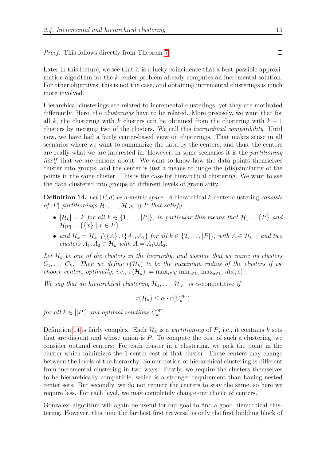*Proof.* This follows directly from Theorem [7.](#page-9-1)

Later in this lecture, we see that it is a lucky coincidence that a best-possible approximation algorithm for the *k*-center problem already computes an incremental solution. For other objectives, this is not the case, and obtaining incremental clusterings is much more involved.

Hierarchical clusterings are related to incremental clusterings, yet they are motivated differently. Here, the *clusterings* have to be related. More precisely, we want that for all  $k$ , the clustering with  $k$  clusters can be obtained from the clustering with  $k+1$ clusters by merging two of the clusters. We call this *hierarchical compatibility*. Until now, we have had a fairly center-based view on clusterings. That makes sense in all scenarios where we want to summarize the data by the centers, and thus, the centers are really what we are interested in. However, in some scenarios it is the *partitioning itself* that we are curious about. We want to know how the data points themselves cluster into groups, and the center is just a means to judge the (dis)similarity of the points in the same cluster. This is the case for hierarchical clustering. We want to see the data clustered into groups at different levels of granularity.

<span id="page-14-0"></span>**Definition 14.** *Let* (*P, d*) *be a metric space. A* hierarchical *k*-center clustering *consists of*  $|P|$  *partitionings*  $\mathcal{H}_1, \ldots, \mathcal{H}_{|P|}$  *of*  $P$  *that satisfy* 

- $|\mathcal{H}_k| = k$  *for all*  $k \in \{1, ..., |P|\}$ *, in particular this means that*  $\mathcal{H}_1 = \{P\}$  *and*  $\mathcal{H}_{|P|} = \{ \{x\} \mid x \in P \},\$
- *and* H*<sup>k</sup>* = H*k*−1\{*A*} ∪ {*A*1*, A*2} *for all k* ∈ {2*, . . . ,* |*P*|}*, with A* ∈ H*k*−<sup>1</sup> *and two*  $clusters A_1, A_2 \in \mathcal{H}_k \text{ with } A = A_1 \dot{\cup} A_2.$

Let  $\mathcal{H}_k$  be one of the clusters in the hierarchy, and assume that we name its clusters  $C_1, \ldots, C_k$ *. Then we define*  $r(\mathcal{H}_k)$  to be the maximum radius of the clusters if we *choose centers optimally, i.e.,*  $r(\mathcal{H}_k) := \max_{i \in [k]} \min_{c \in C_i} \max_{x \in C_i} d(x, c)$ .

*We say that an hierarchical clustering*  $\mathcal{H}_1, \ldots, \mathcal{H}_{|P|}$  *is*  $\alpha$ -competitive *if* 

$$
r(\mathcal{H}_k) \leq \alpha \cdot r(C_k^{\text{opt}})
$$

*for all*  $k \in [|P|]$  *and optimal solutions*  $C_k^{\text{opt}}$ *k .*

Definition [14](#page-14-0) is fairly complex. Each  $\mathcal{H}_k$  is a *partitioning* of P, i.e., it contains k sets that are disjoint and whose union is *P*. To compute the cost of such a clustering, we consider optimal centers: For each cluster in a clustering, we pick the point in the cluster which minimizes the 1-center cost of that cluster. These centers may change between the levels of the hierarchy. So our notion of hierarchical clustering is different from incremental clustering in two ways: Firstly, we require the clusters themselves to be hierarchically compatible, which is a stronger requirement than having nested center sets. But secondly, we do not require the centers to stay the same, so here we require less. For each level, we may completely change our choice of centers.

Gonzalez' algorithm will again be useful for our goal to find a good hierarchical clustering. However, this time the farthest first traversal is only the first building block of

 $\Box$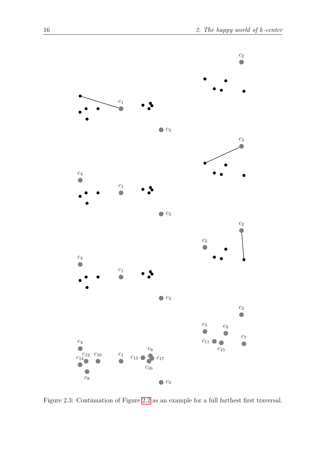

<span id="page-15-0"></span>Figure 2.3: Continuation of Figure [2.2](#page-10-0) as an example for a full farthest first traversal.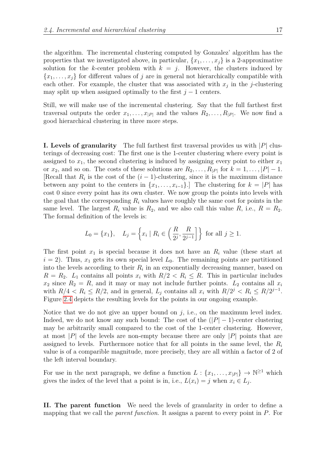the algorithm. The incremental clustering computed by Gonzalez' algorithm has the properties that we investigated above, in particular,  $\{x_1, \ldots, x_j\}$  is a 2-approximative solution for the *k*-center problem with  $k = j$ . However, the clusters induced by  ${x_1, \ldots, x_j}$  for different values of *j* are in general not hierarchically compatible with each other. For example, the cluster that was associated with  $x_j$  in the *j*-clustering may split up when assigned optimally to the first  $j-1$  centers.

Still, we will make use of the incremental clustering. Say that the full farthest first traversal outputs the order  $x_1, \ldots, x_{|P|}$  and the values  $R_2, \ldots, R_{|P|}$ . We now find a good hierarchical clustering in three more steps.

**I. Levels of granularity** The full farthest first traversal provides us with |*P*| clusterings of decreasing cost: The first one is the 1-center clustering where every point is assigned to  $x_1$ , the second clustering is induced by assigning every point to either  $x_1$ or  $x_2$ , and so on. The costs of these solutions are  $R_2, \ldots, R_{|P|}$  for  $k = 1, \ldots, |P| - 1$ . [Recall that  $R_i$  is the cost of the  $(i-1)$ -clustering, since it is the maximum distance between any point to the centers in  $\{x_1, \ldots, x_{i-1}\}$ . The clustering for  $k = |P|$  has cost 0 since every point has its own cluster. We now group the points into levels with the goal that the corresponding  $R_i$  values have roughly the same cost for points in the same level. The largest  $R_i$  value is  $R_2$ , and we also call this value  $R_i$ , i.e.,  $R = R_2$ . The formal definition of the levels is:

$$
L_0 = \{x_1\},
$$
  $L_j = \left\{x_i \mid R_i \in \left(\frac{R}{2^j}, \frac{R}{2^{j-1}}\right]\right\}$  for all  $j \ge 1$ .

The first point *x*<sup>1</sup> is special because it does not have an *R<sup>i</sup>* value (these start at  $i = 2$ ). Thus,  $x_1$  gets its own special level  $L_0$ . The remaining points are partitioned into the levels according to their  $R_i$  in an exponentially decreasing manner, based on  $R = R_2$ .  $L_1$  contains all points  $x_i$  with  $R/2 < R_i \leq R$ . This in particular includes  $x_2$  since  $R_2 = R$ , and it may or may not include further points.  $L_2$  contains all  $x_i$ with  $R/4 < R_i \leq R/2$ , and in general,  $L_j$  contains all  $x_i$  with  $R/2^j < R_i \leq R/2^{j-1}$ . Figure [2.4](#page-17-0) depicts the resulting levels for the points in our ongoing example.

Notice that we do not give an upper bound on  $j$ , i.e., on the maximum level index. Indeed, we do not know any such bound: The cost of the  $(|P|-1)$ -center clustering may be arbitrarily small compared to the cost of the 1-center clustering. However, at most | $P$ | of the levels are non-empty because there are only  $|P|$  points that are assigned to levels. Furthermore notice that for all points in the same level, the *R<sup>i</sup>* value is of a comparible magnitude, more precisely, they are all within a factor of 2 of the left interval boundary.

For use in the next paragraph, we define a function  $L: \{x_1, \ldots, x_{|P|}\} \to \mathbb{N}^{\geq 1}$  which gives the index of the level that a point is in, i.e.,  $L(x_i) = j$  when  $x_i \in L_j$ .

**II. The parent function** We need the levels of granularity in order to define a mapping that we call the *parent function*. It assigns a parent to every point in *P*. For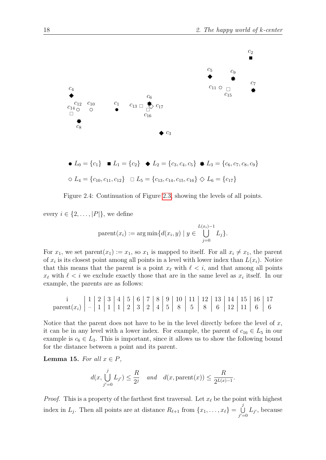

$$
\bullet L_0 = \{c_1\} \quad \blacksquare L_1 = \{c_2\} \quad \blacklozenge L_2 = \{c_3, c_4, c_5\} \quad \blacklozenge L_3 = \{c_6, c_7, c_8, c_9\}
$$
\n
$$
\circ L_4 = \{c_{10}, c_{11}, c_{12}\} \quad \square L_5 = \{c_{13}, c_{14}, c_{15}, c_{16}\} \quad \diamond L_6 = \{c_{17}\}
$$



every  $i \in \{2, \ldots, |P|\}$ , we define

<span id="page-17-0"></span>parent
$$
(x_i) := \arg \min \{ d(x_i, y) \mid y \in \bigcup_{j=0}^{L(x_i)-1} L_j \}.
$$

For  $x_1$ , we set parent $(x_1) := x_1$ , so  $x_1$  is mapped to itself. For all  $x_i \neq x_1$ , the parent of  $x_i$  is its closest point among all points in a level with lower index than  $L(x_i)$ . Notice that this means that the parent is a point  $x_\ell$  with  $\ell < i$ , and that among all points  $x_{\ell}$  with  $\ell < i$  we exclude exactly those that are in the same level as  $x_i$  itself. In our example, the parents are as follows:

$$
\frac{\mathrm{i}}{\mathrm{parent}(x_i)}\left|\begin{array}{c|c|c|c|c|c|c}1&2&3&4&5&6&7&8&9&10&11&12&13&14&15&16&17\\1&1&1&2&3&2&4&5&8&5&8&6&12&11&6&6\end{array}\right|
$$

Notice that the parent does not have to be in the level directly before the level of *x*, it can be in any level with a lower index. For example, the parent of  $c_{16} \in L_5$  in our example is  $c_6 \in L_3$ . This is important, since it allows us to show the following bound for the distance between a point and its parent.

<span id="page-17-1"></span>**Lemma 15.** *For all*  $x \in P$ *,* 

$$
d(x, \bigcup_{j'=0}^{j} L_{j'}) \leq \frac{R}{2^j} \quad and \quad d(x, \text{parent}(x)) \leq \frac{R}{2^{L(x)-1}}.
$$

*Proof.* This is a property of the farthest first traversal. Let  $x_\ell$  be the point with highest index in  $L_j$ . Then all points are at distance  $R_{\ell+1}$  from  $\{x_1, \ldots, x_\ell\} = \cup$ *j*  $\bigcup_{j'=0}^{\tilde{U}} L_{j'}$ , because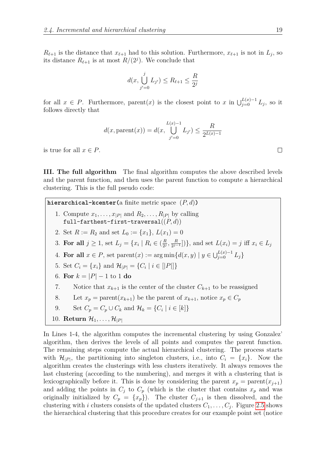$R_{\ell+1}$  is the distance that  $x_{\ell+1}$  had to this solution. Furthermore,  $x_{\ell+1}$  is not in  $L_j$ , so its distance  $R_{\ell+1}$  is at most  $R/(2^j)$ . We conclude that

$$
d(x, \bigcup_{j'=0}^{j} L_{j'}) \le R_{\ell+1} \le \frac{R}{2^j}
$$

for all  $x \in P$ . Furthermore, parent $(x)$  is the closest point to  $x$  in  $\bigcup_{j=0}^{L(x)-1} L_j$ , so it follows directly that

$$
d(x, \text{parent}(x)) = d(x, \bigcup_{j'=0}^{L(x)-1} L_{j'}) \le \frac{R}{2^{L(x)-1}}
$$

is true for all  $x \in P$ .

**III. The full algorithm** The final algorithm computes the above described levels and the parent function, and then uses the parent function to compute a hierarchical clustering. This is the full pseudo code:

**hierarchical-kcenter(**a finite metric space (*P, d*)**)**

- 1. Compute  $x_1, \ldots, x_{|P|}$  and  $R_2, \ldots, R_{|P|}$  by calling full-farthest-first-traversal((*P, d*))
- 2. Set  $R := R_2$  and set  $L_0 := \{x_1\}, L(x_1) = 0$
- 3. For all  $j \geq 1$ , set  $L_j = \{x_i \mid R_i \in (\frac{R}{2^j})\}$  $\frac{R}{2^j}, \frac{R}{2^j}$  $\left[ \frac{R}{2^{j-1}} \right]$ ), and set  $L(x_i) = j$  iff  $x_i \in L_j$
- 4. **For all**  $x \in P$ , set parent $(x) := \arg \min \{ d(x, y) \mid y \in \bigcup_{j=0}^{L(x)-1} L_j \}$
- 5. Set  $C_i = \{x_i\}$  and  $\mathcal{H}_{|P|} = \{C_i \mid i \in [|P|]\}$
- 6. **For**  $k = |P| 1$  to 1 **do**
- 7. Notice that  $x_{k+1}$  is the center of the cluster  $C_{k+1}$  to be reassigned
- 8. Let  $x_p = \text{parent}(x_{k+1})$  be the parent of  $x_{k+1}$ , notice  $x_p \in C_p$
- 9. Set  $C_p = C_p \cup C_k$  and  $\mathcal{H}_k = \{C_i \mid i \in [k]\}$
- 10. **Return**  $\mathcal{H}_1, \ldots, \mathcal{H}_{|P|}$

In Lines 1-4, the algorithm computes the incremental clustering by using Gonzalez' algorithm, then derives the levels of all points and computes the parent function. The remaining steps compute the actual hierarchical clustering. The process starts with  $\mathcal{H}_{|P|}$ , the partitioning into singleton clusters, i.e., into  $C_i = \{x_i\}$ . Now the algorithm creates the clusterings with less clusters iteratively. It always removes the last clustering (according to the numbering), and merges it with a clustering that is lexicographically before it. This is done by considering the parent  $x_p = \text{parent}(x_{j+1})$ and adding the points in  $C_j$  to  $C_p$  (which is the cluster that contains  $x_p$  and was originally initialized by  $C_p = \{x_p\}$ . The cluster  $C_{j+1}$  is then dissolved, and the clustering with *i* clusters consists of the updated clusters  $C_1, \ldots, C_j$ . Figure [2.5](#page-19-0) shows the hierarchical clustering that this procedure creates for our example point set (notice

 $\Box$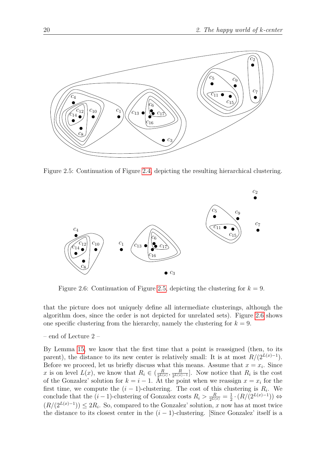

Figure 2.5: Continuation of Figure [2.4,](#page-17-0) depicting the resulting hierarchical clustering.

<span id="page-19-0"></span>

<span id="page-19-1"></span>Figure 2.6: Continuation of Figure [2.5,](#page-19-0) depicting the clustering for  $k = 9$ .

that the picture does not uniquely define all intermediate clusterings, although the algorithm does, since the order is not depicted for unrelated sets). Figure [2.6](#page-19-1) shows one specific clustering from the hierarchy, namely the clustering for  $k = 9$ .

– end of Lecture 2 –

By Lemma [15,](#page-17-1) we know that the first time that a point is reassigned (then, to its parent), the distance to its new center is relatively small: It is at most  $R/(2^{L(x)-1})$ . Before we proceed, let us briefly discuss what this means. Assume that  $x = x_i$ . Since *x* is on level  $L(x)$ , we know that  $R_i \in \left(\frac{R}{2L(x)}\right)$  $\frac{R}{2^{L(x)}}, \frac{R}{2^{L(x)}}$  $\frac{R}{2^{L(x)-1}}$ . Now notice that  $R_i$  is the cost of the Gonzalez' solution for  $k = i - 1$ . At the point when we reassign  $x = x_i$  for the first time, we compute the  $(i - 1)$ -clustering. The cost of this clustering is  $R_i$ . We conclude that the  $(i-1)$ -clustering of Gonzalez costs  $R_i > \frac{R}{2^{L(x)}} = \frac{1}{2}$  $\frac{1}{2} \cdot (R/(2^{L(x)-1}))$  ⇔  $(R/(2^{L(x)-1})) \leq 2R_i$ . So, compared to the Gonzalez' solution, *x* now has at most twice the distance to its closest center in the  $(i - 1)$ -clustering. [Since Gonzalez' itself is a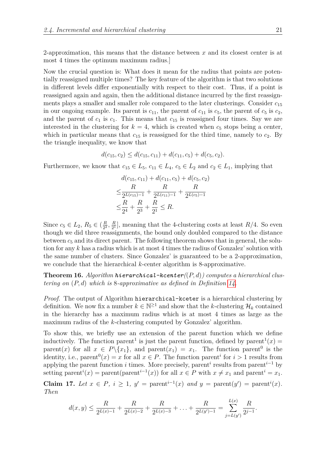2-approximation, this means that the distance between *x* and its closest center is at most 4 times the optimum maximum radius.]

Now the crucial question is: What does it mean for the radius that points are potentially reassigned multiple times? The key feature of the algorithm is that two solutions in different levels differ exponentially with respect to their cost. Thus, if a point is reassigned again and again, then the additional distance incurred by the first reassignments plays a smaller and smaller role compared to the later clusterings. Consider *c*<sup>15</sup> in our ongoing example. Its parent is  $c_{11}$ , the parent of  $c_{11}$  is  $c_5$ , the parent of  $c_5$  is  $c_2$ , and the parent of  $c_1$  is  $c_1$ . This means that  $c_{15}$  is reassigned four times. Say we are interested in the clustering for  $k = 4$ , which is created when  $c_5$  stops being a center, which in particular means that  $c_{15}$  is reassigned for the third time, namely to  $c_2$ . By the triangle inequality, we know that

$$
d(c_{15}, c_2) \le d(c_{15}, c_{11}) + d(c_{11}, c_5) + d(c_5, c_2).
$$

Furthermore, we know that  $c_{15} \in L_5$ ,  $c_{11} \in L_4$ ,  $c_5 \in L_2$  and  $c_2 \in L_1$ , implying that

$$
d(c_{15}, c_{11}) + d(c_{11}, c_5) + d(c_5, c_2)
$$
  
\n
$$
\leq \frac{R}{2^{L(c_{15})-1}} + \frac{R}{2^{L(c_{11})-1}} + \frac{R}{2^{L(c_5)-1}}
$$
  
\n
$$
\leq \frac{R}{2^4} + \frac{R}{2^3} + \frac{R}{2^1} \leq R.
$$

Since  $c_5 \in L_2$ ,  $R_5 \in (\frac{R}{2^2})$  $\frac{R}{2^2}, \frac{R}{2^1}$  $\frac{R}{2^1}$ , meaning that the 4-clustering costs at least *R*/4. So even though we did three reassignments, the bound only doubled compared to the distance between  $c_5$  and its direct parent. The following theorem shows that in general, the solution for any *k* has a radius which is at most 4 times the radius of Gonzalez' solution with the same number of clusters. Since Gonzalez' is guaranteed to be a 2-approximation, we conclude that the hierarchical *k*-center algorithm is 8-approximative.

**Theorem 16.** *Algorithm hierarchical-kcenter(*(*P, d*)*) computes a hierarchical clustering on* (*P, d*) *which is* 8*-approximative as defined in Definition [14.](#page-14-0)*

*Proof.* The output of Algorithm hierarchical-kceter is a hierarchical clustering by definition. We now fix a number  $k \in \mathbb{N}^{\geq 1}$  and show that the *k*-clustering  $\mathcal{H}_k$  contained in the hierarchy has a maximum radius which is at most 4 times as large as the maximum radius of the *k*-clustering computed by Gonzalez' algorithm.

To show this, we briefly use an extension of the parent function which we define inductively. The function parent<sup>1</sup> is just the parent function, defined by parent<sup>1</sup> $(x)$  = parent(*x*) for all  $x \in P \setminus \{x_1\}$ , and parent( $x_1$ ) =  $x_1$ . The function parent<sup>0</sup> is the identity, i.e., parent<sup>0</sup> $(x) = x$  for all  $x \in P$ . The function parent<sup>*i*</sup> for  $i > 1$  results from applying the parent function *i* times. More precisely, parent*<sup>i</sup>* results from parent*<sup>i</sup>*−<sup>1</sup> by setting parent<sup>*i*</sup>(*x*) = parent(parent<sup>*i*-1</sup>(*x*)) for all  $x \in P$  with  $x \neq x_1$  and parent<sup>*i*</sup> = *x*<sub>1</sub>.

<span id="page-20-0"></span>**Claim 17.** Let  $x \in P$ ,  $i \geq 1$ ,  $y' = \text{parent}^{i-1}(x)$  and  $y = \text{parent}(y') = \text{parent}^{i}(x)$ . *Then*

$$
d(x,y) \leq \frac{R}{2^{L(x)-1}} + \frac{R}{2^{L(x)-2}} + \frac{R}{2^{L(x)-3}} + \ldots + \frac{R}{2^{L(y')-1}} = \sum_{j=L(y')}^{L(x)} \frac{R}{2^{j-1}}.
$$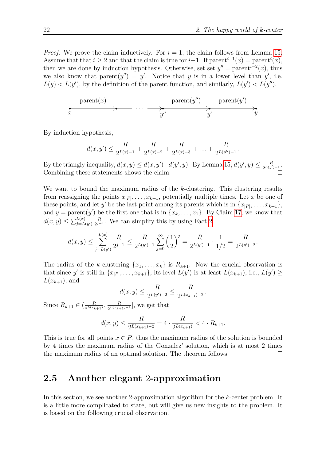*Proof.* We prove the claim inductively. For  $i = 1$ , the claim follows from Lemma [15.](#page-17-1) Assume that that  $i \geq 2$  and that the claim is true for  $i-1$ . If parent<sup> $i-1$ </sup> $(x) = \text{parent}^i(x)$ , then we are done by induction hypothesis. Otherwise, set set  $y'' = \text{parent}^{i-2}(x)$ , thus we also know that parent $(y'') = y'$ . Notice that *y* is in a lower level than *y'*, i.e.  $L(y) < L(y')$ , by the definition of the parent function, and similarly,  $L(y') < L(y'')$ .

$$
\begin{array}{ccc}\n\text{parent}(x) & & \text{parent}(y'') & \text{parent}(y') \\
\hline\n\end{array}
$$

By induction hypothesis,

$$
d(x,y') \leq \frac{R}{2^{L(x)-1}} + \frac{R}{2^{L(x)-2}} + \frac{R}{2^{L(x)-3}} + \ldots + \frac{R}{2^{L(y'')-1}}.
$$

By the triangly inequality,  $d(x, y) \leq d(x, y') + d(y', y)$ . By Lemma [15,](#page-17-1)  $d(y', y) \leq \frac{R}{2^{L(y')-1}}$ . Combining these statements shows the claim.

We want to bound the maximum radius of the *k*-clustering. This clustering results from reassigning the points  $x_{|P|}, \ldots, x_{k+1}$ , potentially multiple times. Let *x* be one of these points, and let *y'* be the last point among its parents which is in  $\{x_{|P|}, \ldots, x_{k+1}\},\$ and  $y = \text{parent}(y')$  be the first one that is in  $\{x_k, \ldots, x_1\}$ . By Claim [17,](#page-20-0) we know that  $d(x, y) \le \sum_{j=L(y')}^{L(x)} \frac{R}{2^{j-k}}$  $\frac{R}{2^{j-1}}$ . We can simplify this by using Fact [2:](#page-6-1)

$$
d(x,y) \le \sum_{j=L(y')}^{L(x)} \frac{R}{2^{j-1}} \le \frac{R}{2^{L(y')-1}} \sum_{j=0}^{\infty} \left(\frac{1}{2}\right)^j = \frac{R}{2^{L(y')-1}} \cdot \frac{1}{1/2} = \frac{R}{2^{L(y')-2}}.
$$

The radius of the *k*-clustering  $\{x_1, \ldots, x_k\}$  is  $R_{k+1}$ . Now the crucial observation is that since *y*' is still in  $\{x_{|P|}, \ldots, x_{k+1}\}$ , its level  $L(y')$  is at least  $L(x_{k+1}),$  i.e.,  $L(y') \geq$  $L(x_{k+1})$ , and

$$
d(x,y) \le \frac{R}{2^{L(y')-2}} \le \frac{R}{2^{L(x_{k+1})-2}}.
$$

Since  $R_{k+1} \in (\frac{R}{2^{\frac{L(x_k)}{k}}}$  $\frac{R}{2^{L(x_{k+1})}}, \frac{R}{2^{L(x_{k+1})}}$  $\frac{R}{2^{L(x_{k+1})-1}}$ , we get that

$$
d(x,y) \le \frac{R}{2^{L(x_{k+1})-2}} = 4 \cdot \frac{R}{2^{L(x_{k+1})}} < 4 \cdot R_{k+1}.
$$

This is true for all points  $x \in P$ , thus the maximum radius of the solution is bounded by 4 times the maximum radius of the Gonzalez' solution, which is at most 2 times the maximum radius of an optimal solution. The theorem follows.  $\Box$ 

#### <span id="page-21-0"></span>**2.5 Another elegant** 2**-approximation**

In this section, we see another 2-approximation algorithm for the *k*-center problem. It is a little more complicated to state, but will give us new insights to the problem. It is based on the following crucial observation.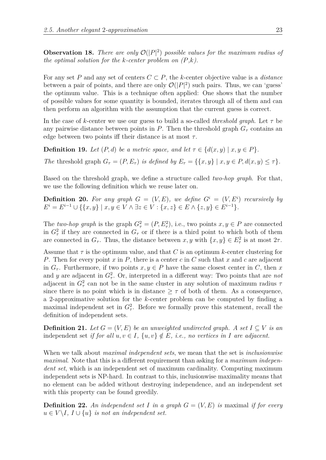<span id="page-22-0"></span>**Observation 18.** *There are only*  $\mathcal{O}(|P|^2)$  *possible values for the maximum radius of the optimal solution for the k-center problem on (P,k).*

For any set *P* and any set of centers  $C \subset P$ , the *k*-center objective value is a *distance* between a pair of points, and there are only  $\mathcal{O}(|P|^2)$  such pairs. Thus, we can 'guess' the optimum value. This is a technique often applied: One shows that the number of possible values for some quantity is bounded, iterates through all of them and can then perform an algorithm with the assumption that the current guess is correct.

In the case of *k*-center we use our guess to build a so-called *threshold graph*. Let *τ* be any pairwise distance between points in *P*. Then the threshold graph  $G<sub>\tau</sub>$  contains an edge between two points iff their distance is at most *τ* .

**Definition 19.** *Let*  $(P,d)$  *be a metric space, and let*  $\tau \in \{d(x,y) \mid x,y \in P\}$ *.* 

*The* threshold graph  $G_{\tau} = (P, E_{\tau})$  *is defined by*  $E_{\tau} = \{\{x, y\} \mid x, y \in P, d(x, y) \leq \tau\}.$ 

Based on the threshold graph, we define a structure called *two-hop graph*. For that, we use the following definition which we reuse later on.

**Definition 20.** For any graph  $G = (V, E)$ , we define  $G^i = (V, E^i)$  recursively by  $E^i = E^{i-1} \cup \{\{x, y\} \mid x, y \in V \land \exists z \in V : \{x, z\} \in E \land \{z, y\} \in E^{i-1}\}.$ 

The *two-hop graph* is the graph  $G_{\tau}^2 = (P, E_{\tau}^2)$ , i.e., two points  $x, y \in P$  are connected in  $G^2_\tau$  if they are connected in  $G_\tau$  or if there is a third point to which both of them are connected in  $G_{\tau}$ . Thus, the distance between  $x, y$  with  $\{x, y\} \in E_{\tau}^2$  is at most  $2\tau$ .

Assume that  $\tau$  is the optimum value, and that  $C$  is an optimum  $k$ -center clustering for *P*. Then for every point *x* in *P*, there is a center *c* in *C* such that *x* and *c* are adjacent in  $G_{\tau}$ . Furthermore, if two points  $x, y \in P$  have the same closest center in *C*, then *x* and *y* are adjacent in  $G^2$ . Or, interpreted in a different way: Two points that are *not* adjacent in  $G^2_\tau$  can not be in the same cluster in any solution of maximum radius  $\tau$ since there is no point which is in distance  $\geq \tau$  of both of them. As a consequence, a 2-approximative solution for the *k*-center problem can be computed by finding a maximal independent set in  $G_{\tau}^2$ . Before we formally prove this statement, recall the definition of independent sets.

**Definition 21.** *Let*  $G = (V, E)$  *be an unweighted undirected graph.* A set  $I \subseteq V$  *is an* independent set *if for all*  $u, v \in I$ ,  $\{u, v\} \notin E$ , *i.e.*, *no vertices in I* are adjacent.

When we talk about *maximal independent sets*, we mean that the set is *inclusionwise maximal*. Note that this is a different requirement than asking for a *maximum independent set*, which is an independent set of maximum cardinality. Computing maximum independent sets is NP-hard. In contrast to this, inclusionwise maximality means that no element can be added without destroying independence, and an independent set with this property can be found greedily.

**Definition 22.** An independent set *I* in a graph  $G = (V, E)$  is maximal if for every  $u \in V \backslash I$ ,  $I \cup \{u\}$  *is not an independent set.*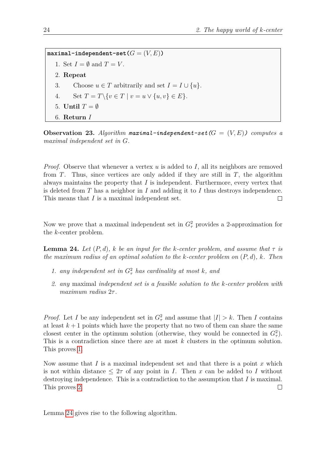$maximal-independent-set(G = (V, E))$ 1. Set  $I = \emptyset$  and  $T = V$ . 2. **Repeat** 3. Choose  $u \in T$  arbitrarily and set  $I = I \cup \{u\}.$ 4. Set  $T = T \setminus \{v \in T \mid v = u \vee \{u, v\} \in E\}.$ 5. **Until**  $T = \emptyset$ 6. **Return** *I*

<span id="page-23-3"></span>**Observation 23.** Algorithm maximal-independent-set  $(G = (V, E))$  computes a *maximal independent set in G.*

*Proof.* Observe that whenever a vertex *u* is added to *I*, all its neighbors are removed from *T*. Thus, since vertices are only added if they are still in *T*, the algorithm always maintains the property that *I* is independent. Furthermore, every vertex that is deleted from *T* has a neighbor in *I* and adding it to *I* thus destroys independence. This means that *I* is a maximal independent set.  $\Box$ 

Now we prove that a maximal independent set in  $G_{\tau}^2$  provides a 2-approximation for the *k*-center problem.

<span id="page-23-2"></span>**Lemma 24.** Let  $(P,d)$ ,  $k$  be an input for the  $k$ -center problem, and assume that  $\tau$  is *the maximum radius of an optimal solution to the k-center problem on* (*P, d*)*, k. Then*

- <span id="page-23-0"></span>*1. any independent set in*  $G_{\tau}^2$  *has cardinality at most k, and*
- <span id="page-23-1"></span>*2. any* maximal *independent set is a feasible solution to the k-center problem with maximum radius* 2*τ .*

*Proof.* Let *I* be any independent set in  $G_{\tau}^2$  and assume that  $|I| > k$ . Then *I* contains at least  $k+1$  points which have the property that no two of them can share the same closest center in the optimum solution (otherwise, they would be connected in  $G^2$ ). This is a contradiction since there are at most *k* clusters in the optimum solution. This proves [1.](#page-23-0)

Now assume that *I* is a maximal independent set and that there is a point *x* which is not within distance  $\leq 2\tau$  of any point in *I*. Then *x* can be added to *I* without destroying independence. This is a contradiction to the assumption that *I* is maximal. This proves [2.](#page-23-1)  $\Box$ 

Lemma [24](#page-23-2) gives rise to the following algorithm.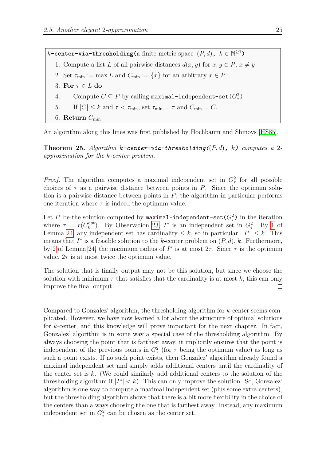$k$ **-center-via-thresholding(**a finite metric space  $(P, d)$ **,**  $k \in \mathbb{N}^{\geq 1}$ **)** 1. Compute a list *L* of all pairwise distances  $d(x, y)$  for  $x, y \in P$ ,  $x \neq y$ 2. Set  $\tau_{\min} := \max L$  and  $C_{\min} := \{x\}$  for an arbitrary  $x \in P$ 3. **For** *τ* ∈ *L* **do** 4. Compute  $C \subseteq P$  by calling maximal-independent-set  $(G^2_\tau)$ 5. If  $|C| \leq k$  and  $\tau < \tau_{\min}$ , set  $\tau_{\min} = \tau$  and  $C_{\min} = C$ . 6. **Return**  $C_{\min}$ 

An algorithm along this lines was first published by Hochbaum and Shmoys [\[HS85\]](#page-73-4).

**Theorem 25.** *Algorithm k-center-via-thresholding(*(*P, d*)*, k) computes a* 2 *approximation for the k-center problem.*

*Proof.* The algorithm computes a maximal independent set in  $G^2$  for all possible choices of  $\tau$  as a pairwise distance between points in *P*. Since the optimum solution is a pairwise distance between points in *P*, the algorithm in particular performs one iteration where  $\tau$  is indeed the optimum value.

Let  $I^*$  be the solution computed by  $\texttt{maximal-independent-set}(G_\tau^2)$  in the iteration where  $\tau = r(C_k^{\text{opt}})$ <sup>opt</sup>). By Observation [23,](#page-23-3)  $I^*$  is an independent set in  $G^2_\tau$ . By [1](#page-23-0) of Lemma [24,](#page-23-2) any independent set has cardinality  $\leq k$ , so in particular,  $|I^*| \leq k$ . This means that  $I^*$  is a feasible solution to the *k*-center problem on  $(P, d)$ , *k*. Furthermore, by [2](#page-23-1) of Lemma [24,](#page-23-2) the maximum radius of  $I^*$  is at most  $2\tau$ . Since  $\tau$  is the optimum value,  $2\tau$  is at most twice the optimum value.

The solution that is finally output may not be this solution, but since we choose the solution with minimum  $\tau$  that satisfies that the cardinality is at most k, this can only improve the final output.  $\Box$ 

Compared to Gonzalez' algorithm, the thresholding algorithm for *k*-center seems complicated. However, we have now learned a lot about the structure of optimal solutions for *k*-center, and this knowledge will prove important for the next chapter. In fact, Gonzalez' algorithm is in some way a special case of the thresholding algorithm. By always choosing the point that is farthest away, it implicitly ensures that the point is independent of the previous points in  $G_{\tau}^2$  (for  $\tau$  being the optimum value) as long as such a point exists. If no such point exists, then Gonzalez' algorithm already found a maximal independent set and simply adds additional centers until the cardinality of the center set is *k*. (We could similarly add additional centers to the solution of the thresholding algorithm if  $|I^*| < k$ ). This can only improve the solution. So, Gonzalez' algorithm is one way to compute a maximal independent set (plus some extra centers), but the thresholding algorithm shows that there is a bit more flexibility in the choice of the centers than always choosing the one that is farthest away. Instead, any maximum independent set in  $G_{\tau}^2$  can be chosen as the center set.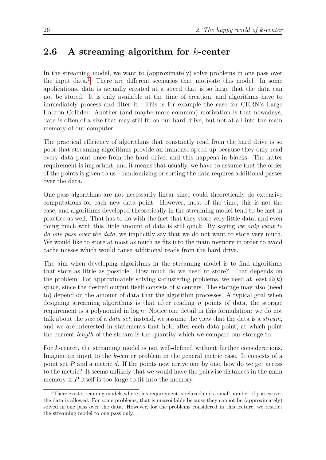#### <span id="page-25-0"></span>**2.6 A streaming algorithm for** *k***-center**

In the streaming model, we want to (approximately) solve problems in one pass over the input data.[1](#page-25-1) There are different scenarios that motivate this model: In some applications, data is actually created at a speed that is so large that the data can not be stored. It is only available at the time of creation, and algorithms have to immediately process and filter it. This is for example the case for CERN's Large Hadron Collider. Another (and maybe more common) motivation is that nowadays, data is often of a size that may still fit on our hard drive, but not at all into the main memory of our computer.

The practical efficiency of algorithms that constantly read from the hard drive is so poor that streaming algorithms provide an immense speed-up because they only read every data point once from the hard drive, and this happens in blocks. The latter requirement is important, and it means that usually, we have to assume that the order of the points is given to us – randomizing or sorting the data requires additional passes over the data.

One-pass algorithms are not necessarily linear since could theoretically do extensive computations for each new data point. However, most of the time, this is not the case, and algorithms developed theoretically in the streaming model tend to be fast in practice as well. That has to do with the fact that they store very little data, and even doing much with this little amount of data is still quick. By saying *we only want to do one pass over the data*, we implicitly say that we do not want to store very much. We would like to store at most as much as fits into the main memory in order to avoid cache misses which would cause additional reads from the hard drive.

The aim when developing algorithms in the streaming model is to find algorithms that store as little as possible. How much do we need to store? That depends on the problem. For approximately solving *k*-clustering problems, we need at least  $\Omega(k)$ space, since the desired output itself consists of *k* centers. The storage may also (need to) depend on the amount of data that the algorithm processes. A typical goal when designing streaming algorithms is that after reading *n* points of data, the storage requirement is a polynomial in log *n*. Notice one detail in this formulation: we do not talk about the *size* of a *data set*, instead, we assume the view that the data is a *stream*, and we are interested in statements that hold after each data point, at which point the current *length* of the stream is the quantity which we compare our storage to.

For *k*-center, the streaming model is not well-defined without further considerations. Imagine an input to the *k*-center problem in the general metric case. It consists of a point set *P* and a metric *d*. If the points now arrive one by one, how do we get access to the metric? It seems unlikely that we would have the pairwise distances in the main memory if P itself is too large to fit into the memory.

<span id="page-25-1"></span><sup>&</sup>lt;sup>1</sup>There exist streaming models where this requirement is relaxed and a small number of passes over the data is allowed. For some problems, that is unavoidable because they cannot be (approximately) solved in one pass over the data. However, for the problems considered in this lecture, we restrict the streaming model to one pass only.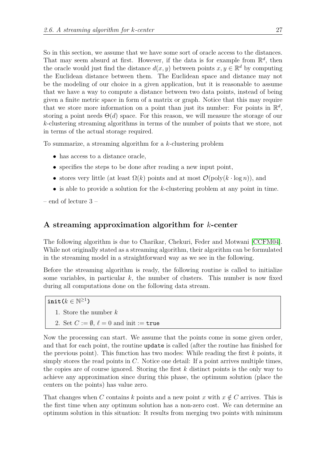So in this section, we assume that we have some sort of oracle access to the distances. That may seem absurd at first. However, if the data is for example from  $\mathbb{R}^d$ , then the oracle would just find the distance  $d(x, y)$  between points  $x, y \in \mathbb{R}^d$  by computing the Euclidean distance between them. The Euclidean space and distance may not be the modeling of our choice in a given application, but it is reasonable to assume that we have a way to compute a distance between two data points, instead of being given a finite metric space in form of a matrix or graph. Notice that this may require that we store more information on a point than just its number: For points in  $\mathbb{R}^d$ , storing a point needs  $\Theta(d)$  space. For this reason, we will measure the storage of our *k*-clustering streaming algorithms in terms of the number of points that we store, not in terms of the actual storage required.

To summarize, a streaming algorithm for a *k*-clustering problem

- has access to a distance oracle,
- specifies the steps to be done after reading a new input point,
- stores very little (at least  $\Omega(k)$  points and at most  $\mathcal{O}(\text{poly}(k \cdot \log n))$ , and
- is able to provide a solution for the *k*-clustering problem at any point in time.

– end of lecture 3 –

#### **A streaming approximation algorithm for** *k***-center**

The following algorithm is due to Charikar, Chekuri, Feder and Motwani [\[CCFM04\]](#page-72-0). While not originally stated as a streaming algorithm, their algorithm can be formulated in the streaming model in a straightforward way as we see in the following.

Before the streaming algorithm is ready, the following routine is called to initialize some variables, in particular  $k$ , the number of clusters. This number is now fixed during all computations done on the following data stream.

 $\textbf{init}(k \in \mathbb{N}^{\geq 1})$ 

- 1. Store the number *k*
- 2. Set  $C := \emptyset$ ,  $\ell = 0$  and init := true

Now the processing can start. We assume that the points come in some given order, and that for each point, the routine update is called (after the routine has finished for the previous point). This function has two modes: While reading the first *k* points, it simply stores the read points in *C*. Notice one detail: If a point arrives multiple times, the copies are of course ignored. Storing the first *k* distinct points is the only way to achieve any approximation since during this phase, the optimum solution (place the centers on the points) has value zero.

That changes when *C* contains *k* points and a new point *x* with  $x \notin C$  arrives. This is the first time when any optimum solution has a non-zero cost. We can determine an optimum solution in this situation: It results from merging two points with minimum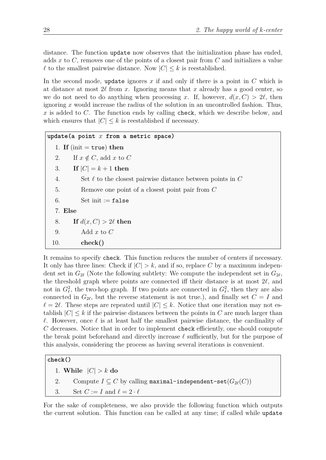distance. The function update now observes that the initialization phase has ended, adds *x* to *C*, removes one of the points of a closest pair from *C* and initializes a value  $\ell$  to the smallest pairwise distance. Now  $|C| \leq k$  is reestablished.

In the second mode, update ignores *x* if and only if there is a point in *C* which is at distance at most  $2\ell$  from *x*. Ignoring means that *x* already has a good center, so we do not need to do anything when processing *x*. If, however,  $d(x, C) > 2\ell$ , then ignoring *x* would increase the radius of the solution in an uncontrolled fashion. Thus, *x* is added to *C*. The function ends by calling check, which we describe below, and which ensures that  $|C| \leq k$  is reestablished if necessary.

```
update(a point x from a metric space)
  1. If (init = true) then
  2. If x \notin C, add x to C3. If |C| = k + 1 then
  4. Set ` to the closest pairwise distance between points in C
  5. Remove one point of a closest point pair from C
  6. Set init := false
  7. Else
  8. If d(x, C) > 2\ell then
  9. Add x to C
 10. check()
```
It remains to specify check. This function reduces the number of centers if necessary. It only has three lines: Check if  $|C| > k$ , and if so, replace C by a maximum independent set in  $G_{2\ell}$  (Note the following subtlety: We compute the independent set in  $G_{2\ell}$ , the threshold graph where points are connected iff their distance is at most  $2\ell$ , and not in  $G_{\ell}^2$ , the two-hop graph. If two points are connected in  $G_{\ell}^2$ , then they are also connected in  $G_{2\ell}$ , but the reverse statement is not true.), and finally set  $C = I$  and  $\ell = 2\ell$ . These steps are repeated until  $|C| \leq k$ . Notice that one iteration may not establish  $|C| \leq k$  if the pairwise distances between the points in *C* are much larger than  $\ell$ . However, once  $\ell$  is at least half the smallest pairwise distance, the cardinality of *C* decreases. Notice that in order to implement check efficiently, one should compute the break point beforehand and directly increase  $\ell$  sufficiently, but for the purpose of this analysis, considering the process as having several iterations is convenient.

#### **check()**

1. **While** |*C*| *> k* **do**

```
2. Compute I \subseteq C by calling maximal-independent-set(G_{2\ell}(C))
```
3. Set  $C := I$  and  $\ell = 2 \cdot \ell$ 

For the sake of completeness, we also provide the following function which outputs the current solution. This function can be called at any time; if called while update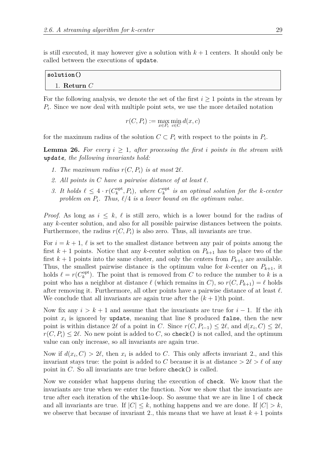is still executed, it may however give a solution with  $k + 1$  centers. It should only be called between the executions of update.

| $ $ solution $()$ |  |  |
|-------------------|--|--|
| 1. Return $C$     |  |  |

For the following analysis, we denote the set of the first  $i \geq 1$  points in the stream by *Pi* . Since we now deal with multiple point sets, we use the more detailed notation

$$
r(C, P_i) := \max_{x \in P_i} \min_{c \in C} d(x, c)
$$

for the maximum radius of the solution  $C \subset P_i$  with respect to the points in  $P_i$ .

**Lemma 26.** For every  $i > 1$ , after processing the first *i* points in the stream with *update, the following invariants hold:*

- 1. The maximum radius  $r(C, P_i)$  is at most  $2\ell$ .
- 2. All points in C have a pairwise distance of at least  $\ell$ .
- *3.* It holds  $\ell \leq 4 \cdot r(C_k^{\text{opt}})$  $\binom{opt}{k}$ ,  $P_i$ ), where  $C_k^{\text{opt}}$ *k is an optimal solution for the k-center* problem on  $P_i$ . Thus,  $\ell/4$  *is a lower bound on the optimum value.*

*Proof.* As long as  $i \leq k$ ,  $\ell$  is still zero, which is a lower bound for the radius of any *k*-center solution, and also for all possible pairwise distances between the points. Furthermore, the radius  $r(C, P_i)$  is also zero. Thus, all invariants are true.

For  $i = k + 1$ ,  $\ell$  is set to the smallest distance between any pair of points among the first  $k + 1$  points. Notice that any *k*-center solution on  $P_{k+1}$  has to place two of the first  $k+1$  points into the same cluster, and only the centers from  $P_{k+1}$  are available. Thus, the smallest pairwise distance is the optimum value for *k*-center on  $P_{k+1}$ , it holds  $\ell = r(C_k^{\text{opt}})$ <sup>opt</sup>). The point that is removed from *C* to reduce the number to *k* is a point who has a neighbor at distance  $\ell$  (which remains in *C*), so  $r(C, P_{k+1}) = \ell$  holds after removing it. Furthermore, all other points have a pairwise distance of at least  $\ell$ . We conclude that all invariants are again true after the  $(k+1)$ <sup>th</sup> point.

Now fix any  $i > k+1$  and assume that the invariants are true for  $i-1$ . If the *i*th point  $x_i$  is ignored by update, meaning that line 8 produced false, then the new point is within distance 2 $\ell$  of a point in *C*. Since  $r(C, P_{i-1}) \leq 2\ell$ , and  $d(x_i, C) \leq 2\ell$ ,  $r(C, P_i) \leq 2\ell$ . No new point is added to *C*, so check() is not called, and the optimum value can only increase, so all invariants are again true.

Now if  $d(x_i, C) > 2\ell$ , then  $x_i$  is added to *C*. This only affects invariant 2., and this invariant stays true: the point is added to C because it is at distance  $> 2\ell > \ell$  of any point in *C*. So all invariants are true before check() is called.

Now we consider what happens during the execution of check. We know that the invariants are true when we enter the function. Now we show that the invariants are true after each iteration of the while-loop. So assume that we are in line 1 of check and all invariants are true. If  $|C| \leq k$ , nothing happens and we are done. If  $|C| > k$ , we observe that because of invariant 2., this means that we have at least  $k+1$  points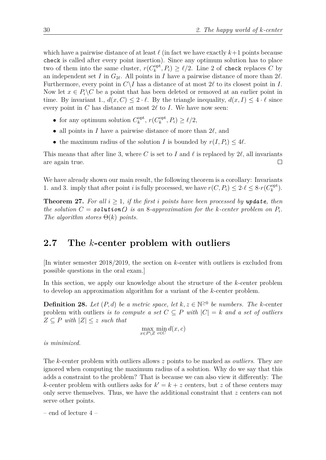which have a pairwise distance of at least  $\ell$  (in fact we have exactly  $k+1$  points because check is called after every point insertion). Since any optimum solution has to place two of them into the same cluster,  $r(C_k^{\text{opt}})$  $\ell_k^{\text{opt}}, P_i) \ge \ell/2$ . Line 2 of check replaces *C* by an independent set *I* in  $G_{2\ell}$ . All points in *I* have a pairwise distance of more than  $2\ell$ . Furthermore, every point in  $C\setminus I$  has a distance of at most  $2\ell$  to its closest point in *I*. Now let  $x \in P_i \backslash C$  be a point that has been deleted or removed at an earlier point in time. By invariant 1.,  $d(x, C) \leq 2 \cdot \ell$ . By the triangle inequality,  $d(x, I) \leq 4 \cdot \ell$  since every point in  $C$  has distance at most  $2\ell$  to  $I$ . We have now seen:

- for any optimum solution  $C_k^{\text{opt}}$  $\binom{\text{opt}}{k}$ ,  $r(C_k^{\text{opt}})$  $\ell_k^{\text{opt}}, P_i) \geq \ell/2,$
- all points in *I* have a pairwise distance of more than  $2\ell$ , and
- the maximum radius of the solution *I* is bounded by  $r(I, P_i) \leq 4\ell$ .

This means that after line 3, where C is set to I and  $\ell$  is replaced by 2 $\ell$ , all invariants are again true.  $\Box$ 

We have already shown our main result, the following theorem is a corollary: Invariants 1. and 3. imply that after point *i* is fully processed, we have  $r(C, P_i) \leq 2 \cdot \ell \leq 8 \cdot r(C_k^{\text{opt}})$  $_k^{\mathrm{opt}}$ ).

**Theorem 27.** For all  $i > 1$ , if the first *i* points have been processed by update, then *the solution*  $C =$  *solution*  $\overline{O}$  *is an* 8*-approximation for the k-center problem on*  $P_i$ . *The algorithm stores* Θ(*k*) *points.*

#### <span id="page-29-0"></span>**2.7 The** *k***-center problem with outliers**

[In winter semester 2018/2019, the section on *k*-center with outliers is excluded from possible questions in the oral exam.]

In this section, we apply our knowledge about the structure of the *k*-center problem to develop an approximation algorithm for a variant of the *k*-center problem.

**Definition 28.** Let  $(P, d)$  be a metric space, let  $k, z \in \mathbb{N}^{\geq 0}$  be numbers. The k-center problem with outliers *is to compute a set*  $C \subseteq P$  *with*  $|C| = k$  *and a set of outliers*  $Z \subseteq P$  *with*  $|Z| \leq z$  *such that* 

$$
\max_{x \in P \setminus Z} \min_{c \in C} d(x, c)
$$

*is minimized.*

The *k*-center problem with outliers allows *z* points to be marked as *outliers*. They are ignored when computing the maximum radius of a solution. Why do we say that this adds a constraint to the problem? That is because we can also view it differently: The *k*-center problem with outliers asks for  $k' = k + z$  centers, but *z* of these centers may only serve themselves. Thus, we have the additional constraint that *z* centers can not serve other points.

– end of lecture 4 –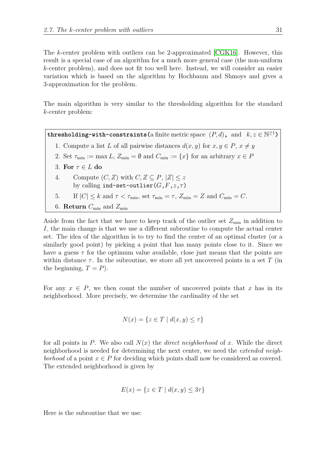The *k*-center problem with outliers can be 2-approximated [\[CGK16\]](#page-73-5). However, this result is a special case of an algorithm for a much more general case (the non-uniform *k*-center problem), and does not fit too well here. Instead, we will consider an easier variation which is based on the algorithm by Hochbaum and Shmoys and gives a 3-approximation for the problem.

The main algorithm is very similar to the thresholding algorithm for the standard *k*-center problem:

**thresholding-with-constraints(a finite metric space**  $(P, d)$ **, and**  $k, z \in \mathbb{N}^{\geq 1}$ **)** 

1. Compute a list *L* of all pairwise distances  $d(x, y)$  for  $x, y \in P$ ,  $x \neq y$ 2. Set  $\tau_{\min} := \max L$ ,  $Z_{\min} = \emptyset$  and  $C_{\min} := \{x\}$  for an arbitrary  $x \in P$ 3. **For** *τ* ∈ *L* **do** 4. Compute  $(C, Z)$  with  $C, Z \subseteq P, |Z| \leq z$ by calling ind-set-outlier( $G, F, z, \tau$ )

5. If 
$$
|C| \le k
$$
 and  $\tau < \tau_{\min}$ , set  $\tau_{\min} = \tau$ ,  $Z_{\min} = Z$  and  $C_{\min} = C$ .

6. Return 
$$
C_{\min}
$$
 and  $Z_{\min}$ 

Aside from the fact that we have to keep track of the outlier set  $Z_{\text{min}}$  in addition to *I*, the main change is that we use a different subroutine to compute the actual center set. The idea of the algorithm is to try to find the center of an optimal cluster (or a similarly good point) by picking a point that has many points close to it. Since we have a guess  $\tau$  for the optimum value available, close just means that the points are within distance  $\tau$ . In the subroutine, we store all yet uncovered points in a set T (in the beginning,  $T = P$ ).

For any  $x \in P$ , we then count the number of uncovered points that x has in its neighborhood. More precisely, we determine the cardinality of the set

$$
N(x) = \{ z \in T \mid d(x, y) \le \tau \}
$$

for all points in *P*. We also call *N*(*x*) the *direct neighborhood* of *x*. While the direct neighborhood is needed for determining the next center, we need the *extended neighborhood* of a point  $x \in P$  for deciding which points shall now be considered as covered. The extended neighborhood is given by

$$
E(x) = \{ z \in T \mid d(x, y) \leq 3\tau \}
$$

Here is the subroutine that we use: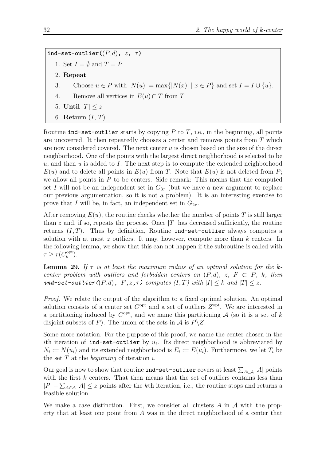**ind-set-outlier** $((P, d), z, \tau)$ 

- 1. Set  $I = \emptyset$  and  $T = P$
- 2. **Repeat**
- 3. Choose  $u \in P$  with  $|N(u)| = \max\{|N(x)| \mid x \in P\}$  and set  $I = I \cup \{u\}.$
- 4. Remove all vertices in  $E(u) \cap T$  from  $T$
- 5. **Until**  $|T| \leq z$
- 6. **Return** (*I*, *T*)

Routine ind-set-outlier starts by copying *P* to *T*, i.e., in the beginning, all points are uncovered. It then repeatedly chooses a center and removes points from *T* which are now considered covered. The next center *u* is chosen based on the size of the direct neighborhood. One of the points with the largest direct neighborhood is selected to be *u*, and then *u* is added to *I*. The next step is to compute the extended neighborhood  $E(u)$  and to delete all points in  $E(u)$  from *T*. Note that  $E(u)$  is not deleted from *P*; we allow all points in *P* to be centers. Side remark: This means that the computed set *I* will not be an independent set in  $G_{3\tau}$  (but we have a new argument to replace our previous argumentation, so it is not a problem). It is an interesting exercise to prove that *I* will be, in fact, an independent set in  $G_{2\tau}$ .

After removing  $E(u)$ , the routine checks whether the number of points T is still larger than  $z$  and, if so, repeats the process. Once  $|T|$  has decreased sufficiently, the routine returns  $(I, T)$ . Thus by definition, Routine ind-set-outlier always computes a solution with at most *z* outliers. It may, however, compute more than *k* centers. In the following lemma, we show that this can not happen if the subroutine is called with  $\tau \geq r(C_k^{\text{opt}})$  $_k^{\mathrm{opt}}$ ).

<span id="page-31-0"></span>**Lemma 29.** If  $\tau$  is at least the maximum radius of an optimal solution for the k*center problem with outliers and forbidden centers on*  $(P,d)$ *, z,*  $F \subset P$ *, k, then ind-set-outlier*( $(P, d)$ *,*  $F$ *,z,* $\tau$ *) computes*  $(I, T)$  *with*  $|I| \leq k$  *and*  $|T| \leq z$ *.* 

*Proof.* We relate the output of the algorithm to a fixed optimal solution. An optimal solution consists of a center set  $C<sup>opt</sup>$  and a set of outliers  $Z<sup>opt</sup>$ . We are interested in a partitioning induced by  $C<sup>opt</sup>$ , and we name this partitioning  $A$  (so it is a set of k disjoint subsets of *P*). The union of the sets in  $A$  is  $P\Z$ .

Some more notation: For the purpose of this proof, we name the center chosen in the *i*th iteration of ind-set-outlier by  $u_i$ . Its direct neighborhood is abbreviated by  $N_i := N(u_i)$  and its extended neighborhood is  $E_i := E(u_i)$ . Furthermore, we let  $T_i$  be the set *T* at the *beginning* of iteration *i*.

Our goal is now to show that routine  $\texttt{ind-set-outlier}$  covers at least  $\sum_{A \in \mathcal{A}} |A|$  points with the first *k* centers. That then means that the set of outliers contains less than  $|P| - \sum_{A \in \mathcal{A}} |A| \leq z$  points after the *k*<sup>th</sup> iteration, i.e., the routine stops and returns a feasible solution.

We make a case distinction. First, we consider all clusters *A* in A with the property that at least one point from *A* was in the direct neighborhood of a center that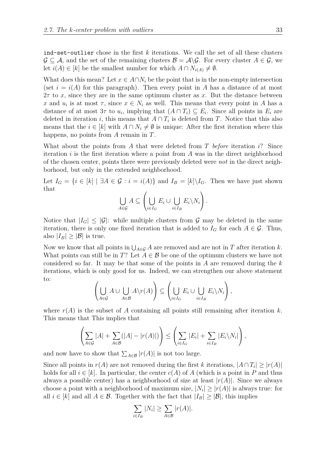ind-set-outlier chose in the first *k* iterations. We call the set of all these clusters  $\mathcal{G} \subseteq \mathcal{A}$ , and the set of the remaining clusters  $\mathcal{B} = \mathcal{A} \backslash \mathcal{G}$ . For every cluster  $A \in \mathcal{G}$ , we let  $i(A) \in [k]$  be the smallest number for which  $A \cap N_{i(A)} \neq \emptyset$ .

What does this mean? Let  $x \in A \cap N_i$  be the point that is in the non-empty intersection (set  $i = i(A)$  for this paragraph). Then every point in A has a distance of at most 2*τ* to *x*, since they are in the same optimum cluster as *x*. But the distance between *x* and  $u_i$  is at most  $\tau$ , since  $x \in N_i$  as well. This means that every point in *A* has a distance of at most  $3\tau$  to  $u_i$ , implying that  $(A \cap T_i) \subseteq E_i$ . Since all points in  $E_i$  are deleted in iteration *i*, this means that  $A \cap T_i$  is deleted from *T*. Notice that this also means that the  $i \in [k]$  with  $A \cap N_i \neq \emptyset$  is unique: After the first iteration where this happens, no points from *A* remain in *T*.

What about the points from *A* that were deleted from *T before* iteration *i*? Since iteration *i* is the first iteration where a point from *A* was in the direct neighborhood of the chosen center, points there were previously deleted were *not* in the direct neighborhood, but only in the extended neighborhood.

Let  $I_G = \{i \in [k] \mid \exists A \in \mathcal{G} : i = i(A)\}\$  and  $I_B = [k] \setminus I_G$ . Then we have just shown that

$$
\bigcup_{A \in \mathcal{G}} A \subseteq \left( \bigcup_{i \in I_G} E_i \cup \bigcup_{i \in I_B} E_i \backslash N_i \right).
$$

Notice that  $|I_G| \leq |\mathcal{G}|$ : while multiple clusters from  $\mathcal{G}$  may be deleted in the same iteration, there is only one fixed iteration that is added to  $I_G$  for each  $A \in \mathcal{G}$ . Thus, also  $|I_B| \geq |\mathcal{B}|$  is true.

Now we know that all points in  $\bigcup_{A\in\mathcal{G}} A$  are removed and are not in *T* after iteration *k*. What points can still be in *T*? Let  $A \in \mathcal{B}$  be one of the optimum clusters we have not considered so far. It may be that some of the points in *A* are removed during the *k* iterations, which is only good for us. Indeed, we can strengthen our above statement to:

$$
\left(\bigcup_{A\in\mathcal{G}}A\cup\bigcup_{A\in\mathcal{B}}A\backslash r(A)\right)\subseteq\left(\bigcup_{i\in I_G}E_i\cup\bigcup_{i\in I_B}E_i\backslash N_i\right),\right.
$$

where  $r(A)$  is the subset of A containing all points still remaining after iteration k. This means that This implies that

$$
\left(\sum_{A\in\mathcal{G}}|A|+\sum_{A\in\mathcal{B}}(|A|-|r(A)|)\right)\leq\left(\sum_{i\in I_G}|E_i|+\sum_{i\in I_B}|E_i\backslash N_i|\right),
$$

and now have to show that  $\sum_{A \in \mathcal{B}} |r(A)|$  is not too large.

Since all points in  $r(A)$  are not removed during the first *k* iterations,  $|A \cap T_i| \geq |r(A)|$ holds for all  $i \in [k]$ . In particular, the center  $c(A)$  of A (which is a point in P and thus always a possible center) has a neighborhood of size at least  $|r(A)|$ . Since we always choose a point with a neighborhood of maximum size,  $|N_i| \geq |r(A)|$  is always true: for all  $i \in [k]$  and all  $A \in \mathcal{B}$ . Together with the fact that  $|I_B| \geq |\mathcal{B}|$ , this implies

$$
\sum_{i \in I_B} |N_i| \ge \sum_{A \in \mathcal{B}} |r(A)|.
$$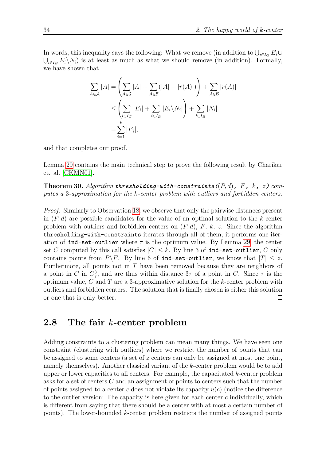In words, this inequality says the following: What we remove (in addition to  $\bigcup_{i \in I_G} E_i \cup$  $\bigcup_{i\in I_B} E_i \setminus N_i$  is at least as much as what we should remove (in addition). Formally, we have shown that

$$
\sum_{A \in \mathcal{A}} |A| = \left( \sum_{A \in \mathcal{G}} |A| + \sum_{A \in \mathcal{B}} (|A| - |r(A)|) \right) + \sum_{A \in \mathcal{B}} |r(A)|
$$
  
\n
$$
\leq \left( \sum_{i \in I_G} |E_i| + \sum_{i \in I_B} |E_i \backslash N_i| \right) + \sum_{i \in I_B} |N_i|
$$
  
\n
$$
= \sum_{i=1}^k |E_i|,
$$

and that completes our proof.

 $\Box$ 

Lemma [29](#page-31-0) contains the main technical step to prove the following result by Charikar et. al. [\[CKMN01\]](#page-73-6).

**Theorem 30.** Algorithm **thresholding-with-constraints((P,d)**, F, k, z) com*putes a* 3*-approximation for the k-center problem with outliers and forbidden centers.*

*Proof.* Similarly to Observation [18,](#page-22-0) we observe that only the pairwise distances present in (*P, d*) are possible candidates for the value of an optimal solution to the *k*-center problem with outliers and forbidden centers on (*P, d*), *F*, *k*, *z*. Since the algorithm thresholding-with-constraints iterates through all of them, it performs one iteration of ind-set-outlier where  $\tau$  is the optimum value. By Lemma [29,](#page-31-0) the center set *C* computed by this call satisfies  $|C| \leq k$ . By line 3 of ind-set-outlier, *C* only contains points from  $P\ F$ . By line 6 of ind-set-outlier, we know that  $|T| \leq z$ . Furthermore, all points not in *T* have been removed because they are neighbors of a point in *C* in  $G^3_\tau$ , and are thus within distance  $3\tau$  of a point in *C*. Since  $\tau$  is the optimum value, *C* and *T* are a 3-approximative solution for the *k*-center problem with outliers and forbidden centers. The solution that is finally chosen is either this solution or one that is only better.  $\Box$ 

#### <span id="page-33-0"></span>**2.8 The fair** *k***-center problem**

Adding constraints to a clustering problem can mean many things. We have seen one constraint (clustering with outliers) where we restrict the number of points that can be assigned to some centers (a set of *z* centers can only be assigned at most one point, namely themselves). Another classical variant of the *k*-center problem would be to add upper or lower capacities to all centers. For example, the capacitated *k*-center problem asks for a set of centers *C* and an assignment of points to centers such that the number of points assigned to a center *c* does not violate its capacity *u*(*c*) (notice the difference to the outlier version: The capacity is here given for each center *c* individually, which is different from saying that there should be a center with at most a certain number of points). The lower-bounded *k*-center problem restricts the number of assigned points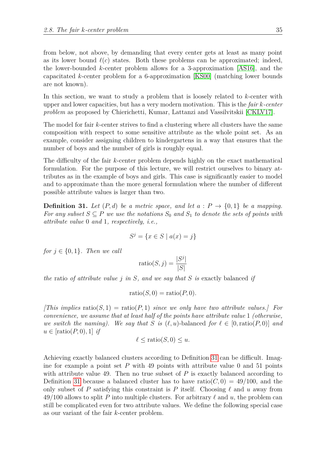from below, not above, by demanding that every center gets at least as many point as its lower bound  $\ell(c)$  states. Both these problems can be approximated; indeed, the lower-bounded *k*-center problem allows for a 3-approximation [\[AS16\]](#page-72-1), and the capacitated *k*-center problem for a 6-approximation [\[KS00\]](#page-74-0) (matching lower bounds are not known).

In this section, we want to study a problem that is loosely related to *k*-center with upper and lower capacities, but has a very modern motivation. This is the *fair k-center problem* as proposed by Chierichetti, Kumar, Lattanzi and Vassilvitskii [\[CKLV17\]](#page-73-7).

The model for fair *k*-center strives to find a clustering where all clusters have the same composition with respect to some sensitive attribute as the whole point set. As an example, consider assigning children to kindergartens in a way that ensures that the number of boys and the number of girls is roughly equal.

The difficulty of the fair *k*-center problem depends highly on the exact mathematical formulation. For the purpose of this lecture, we will restrict ourselves to binary attributes as in the example of boys and girls. This case is significantly easier to model and to approximate than the more general formulation where the number of different possible attribute values is larger than two.

<span id="page-34-0"></span>**Definition 31.** Let  $(P,d)$  be a metric space, and let  $a : P \to \{0,1\}$  be a mapping. *For any subset*  $S \subseteq P$  *we use the notations*  $S_0$  *and*  $S_1$  *to denote the sets of points with attribute value* 0 *and* 1*, respectively, i.e.,*

$$
S^j = \{ x \in S \mid a(x) = j \}
$$

*for*  $j \in \{0, 1\}$ *. Then we call* 

$$
ratio(S, j) = \frac{|S^j|}{|S|}
$$

*the* ratio *of attribute value j in S, and we say that S is* exactly balanced *if*

$$
\operatorname{ratio}(S,0) = \operatorname{ratio}(P,0).
$$

*[This implies* ratio(*S, 1*) = ratio(*P, 1*) *since we only have two attribute values.] For convenience, we assume that at least half of the points have attribute value* 1 *(otherwise, we switch the naming*). We say that *S* is  $(\ell, u)$ -balanced for  $\ell \in [0, \text{ratio}(P, 0)]$  and  $u \in [ratio(P, 0), 1]$  *if* 

$$
\ell \leq \text{ratio}(S, 0) \leq u.
$$

Achieving exactly balanced clusters according to Definition [31](#page-34-0) can be difficult. Imagine for example a point set *P* with 49 points with attribute value 0 and 51 points with attribute value 49. Then no true subset of  $P$  is exactly balanced according to Definition [31](#page-34-0) because a balanced cluster has to have ratio( $C$ ,  $0$ ) = 49/100, and the only subset of P satisfying this constraint is P itself. Choosing  $\ell$  and  $\mu$  away from 49/100 allows to split P into multiple clusters. For arbitrary  $\ell$  and  $u$ , the problem can still be complicated even for two attribute values. We define the following special case as our variant of the fair *k*-center problem.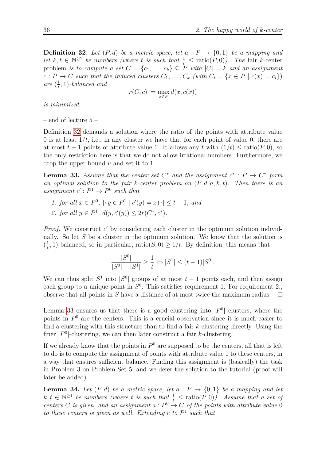<span id="page-35-0"></span>**Definition 32.** Let  $(P,d)$  be a metric space, let  $a : P \rightarrow \{0,1\}$  be a mapping and *let*  $k, t \in \mathbb{N}^{\geq 1}$  *be numbers (where t is such that*  $\frac{1}{t} \leq \text{ratio}(P, 0)$ ). The fair *k*-center problem *is to compute a set*  $C = \{c_1, \ldots, c_k\} \subseteq P$  *with*  $|C| = k$  *and an assignment*  $c: P \to C$  *such that the induced clusters*  $C_1, \ldots, C_k$  *(with*  $C_i = \{x \in P \mid c(x) = c_i\}$ ) are  $(\frac{1}{t})$  $\frac{1}{t}$ , 1)*-balanced and* 

$$
r(C, c) := \max_{x \in P} d(x, c(x))
$$

*is minimized.*

– end of lecture 5 –

Definition [32](#page-35-0) demands a solution where the ratio of the points with attribute value 0 is at least  $1/t$ , i.e., in any cluster we have that for each point of value 0, there are at most  $t-1$  points of attribute value 1. It allows any  $t$  with  $(1/t) \leq \text{ratio}(P, 0)$ , so the only restriction here is that we do not allow irrational numbers. Furthermore, we drop the upper bound *u* and set it to 1.

<span id="page-35-1"></span>**Lemma 33.** *Assume that the center set*  $C^*$  *and the assignment*  $c^* : P \to C^*$  *form an optimal solution to the fair k-center problem on* (*P, d, a, k, t*)*. Then there is an* assignment  $c': P^1 \to P^0$  such that

*1. for all*  $x \in P^0$ ,  $|\{y \in P^1 \mid c'(y) = x\}\|$  ≤ *t* − 1*, and* 2. *for all*  $y \in P^1$ ,  $d(y, c'(y)) \leq 2r(C^*, c^*)$ .

*Proof.* We construct c' by considering each cluster in the optimum solution individually. So let *S* be a cluster in the optimum solution. We know that the solution is  $\left(\frac{1}{t}\right)$  $\frac{1}{t}$ , 1)-balanced, so in particular, ratio(*S*, 0)  $\geq 1/t$ . By definition, this means that

$$
\frac{|S^0|}{|S^0| + |S^1|} \ge \frac{1}{t} \Leftrightarrow |S^1| \le (t - 1)|S^0|.
$$

We can thus split  $S^1$  into  $|S^0|$  groups of at most  $t-1$  points each, and then assign each group to a unique point in  $S^0$ . This satisfies requirement 1. For requirement 2., observe that all points in *S* have a distance of at most twice the maximum radius.  $\Box$ 

Lemma [33](#page-35-1) ensures us that there is a good clustering into  $|P^0|$  clusters, where the points in  $P^0$  are the centers. This is a crucial observation since it is much easier to find a clustering with this structure than to find a fair *k*-clustering directly. Using the finer  $|P^0|$ -clustering, we can then later construct a fair *k*-clustering.

If we already know that the points in  $P^0$  are supposed to be the centers, all that is left to do is to compute the assignment of points with attribute value 1 to these centers, in a way that ensures sufficient balance. Finding this assignment is (basically) the task in Problem 3 on Problem Set 5, and we defer the solution to the tutorial (proof will later be added).

**Lemma 34.** Let  $(P,d)$  be a metric space, let  $a : P \rightarrow \{0,1\}$  be a mapping and let  $k, t \in \mathbb{N}^{\geq 1}$  *be numbers (where t is such that*  $\frac{1}{t} \leq \text{ratio}(P, 0)$ ). Assume that a set of *centers C is given, and an assignment*  $a: P^0 \to C$  *of the points with attribute value* 0 *to these centers is given as well. Extending c to P* 1 *such that*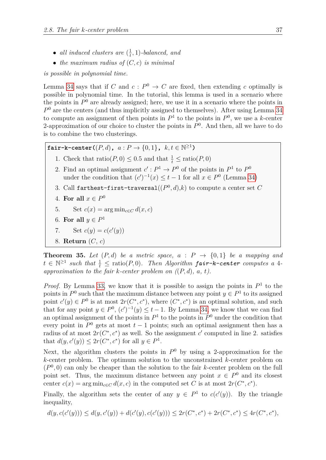- *all induced clusters are*  $(\frac{1}{t})$  $\frac{1}{t}$ , 1)*-balanced*, and
- *the maximum radius of* (*C, c*) *is minimal*

*is possible in polynomial time.*

Lemma [34](#page-35-0) says that if *C* and  $c: P^0 \to C$  are fixed, then extending *c* optimally is possible in polynomial time. In the tutorial, this lemma is used in a scenario where the points in  $P<sup>0</sup>$  are already assigned; here, we use it in a scenario where the points in  $P<sup>0</sup>$  are the centers (and thus implicitly assigned to themselves). After using Lemma [34](#page-35-0) to compute an assignment of then points in  $P<sup>1</sup>$  to the points in  $P<sup>0</sup>$ , we use a *k*-center 2-approximation of our choice to cluster the points in  $P^0$ . And then, all we have to do is to combine the two clusterings.

**fair-k-center(** $(P, d)$ ,  $a: P \rightarrow \{0, 1\}$ ,  $k, t \in \mathbb{N}^{\geq 1}$ )

- 1. Check that  $\text{ratio}(P, 0) \leq 0.5$  and that  $\frac{1}{t} \leq \text{ratio}(P, 0)$
- 2. Find an optimal assignment  $c': P^1 \to P^0$  of the points in  $P^1$  to  $P^0$ under the condition that  $(c')^{-1}(x) \le t - 1$  for all  $x \in P^0$  (Lemma [34\)](#page-35-0)
- 3. Call farthest-first-traversal $((P^0, d), k)$  to compute a center set  $C$
- 4. For all  $x \in P^0$
- 5. Set  $c(x) = \arg \min_{c \in C} d(x, c)$
- 6. For all  $y \in P^1$
- 7. Set  $c(y) = c(c'(y))$
- 8. **Return** (*C*, *c*)

**Theorem 35.** *Let*  $(P,d)$  *be a metric space,*  $a : P \rightarrow \{0,1\}$  *be a mapping and*  $t \in \mathbb{N}^{\geq 1}$  such that  $\frac{1}{t} \leq$  ratio(*P*, 0)*.* Then Algorithm **fair-k-center** computes a 4*approximation to the fair k-center problem on (*(*P, d*)*, a, t).*

*Proof.* By Lemma [33,](#page-35-1) we know that it is possible to assign the points in  $P<sup>1</sup>$  to the points in  $P^0$  such that the maximum distance between any point  $y \in P^1$  to its assigned point  $c'(y) \in P^0$  is at most  $2r(C^*, c^*)$ , where  $(C^*, c^*)$  is an optimal solution, and such that for any point  $y \in P^0$ ,  $(c')^{-1}(y) \le t - 1$ . By Lemma [34,](#page-35-0) we know that we can find an optimal assignment of the points in  $P<sup>1</sup>$  to the points in  $P<sup>0</sup>$  under the condition that every point in  $P^0$  gets at most  $t-1$  points; such an optimal assignment then has a radius of at most  $2r(C^*, c^*)$  as well. So the assignment *c*' computed in line 2. satisfies that  $d(y, c'(y)) \leq 2r(C^*, c^*)$  for all  $y \in P^1$ .

Next, the algorithm clusters the points in  $P^0$  by using a 2-approximation for the *k*-center problem. The optimum solution to the unconstrained *k*-center problem on  $(P^0, 0)$  can only be cheaper than the solution to the fair *k*-center problem on the full point set. Thus, the maximum distance between any point  $x \in P^0$  and its closest center  $c(x) = \arg \min_{c \in C} d(x, c)$  in the computed set *C* is at most  $2r(C^*, c^*)$ .

Finally, the algorithm sets the center of any  $y \in P^1$  to  $c(c'(y))$ . By the triangle inequality,

$$
d(y, c(c'(y))) \leq d(y, c'(y)) + d(c'(y), c(c'(y))) \leq 2r(C^*, c^*) + 2r(C^*, c^*) \leq 4r(C^*, c^*),
$$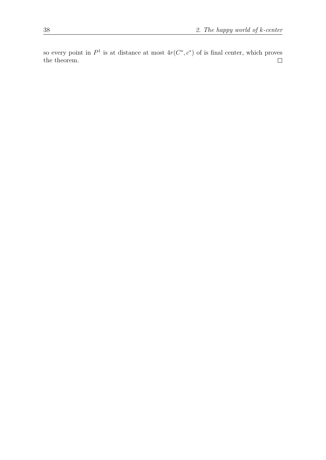so every point in  $P^1$  is at distance at most  $4r(C^*, c^*)$  of is final center, which proves the theorem.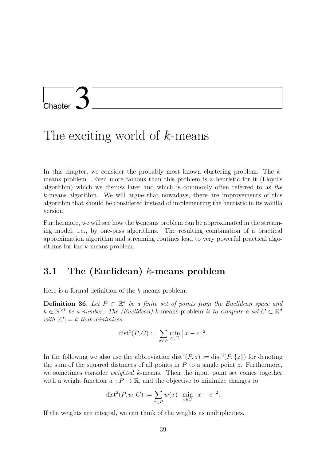# L<br>Chapter

## The exciting world of *k*-means

In this chapter, we consider the probably most known clustering problem: The *k*means problem. Even more famous than this problem is a heuristic for it (Lloyd's algorithm) which we discuss later and which is commonly often referred to as *the k*-means algorithm. We will argue that nowadays, there are improvements of this algorithm that should be considered instead of implementing the heuristic in its vanilla version.

Furthermore, we will see how the *k*-means problem can be approximated in the streaming model, i.e., by one-pass algorithms. The resulting combination of a practical approximation algorithm and streaming routines lead to very powerful practical algorithms for the *k*-means problem.

## **3.1 The (Euclidean)** *k***-means problem**

Here is a formal definition of the *k*-means problem:

**Definition 36.** Let  $P \subset \mathbb{R}^d$  be a finite set of points from the Euclidean space and  $k \in \mathbb{N}^{\geq 1}$  *be a number. The (Euclidean) k*-means problem *is to compute a set*  $C \subset \mathbb{R}^d$ *with*  $|C| = k$  *that minimizes* 

$$
dist^{2}(P, C) := \sum_{x \in P} \min_{c \in C} ||x - c||^{2}.
$$

In the following we also use the abbreviation  $dist^2(P, z) := dist^2(P, \{z\})$  for denoting the sum of the squared distances of all points in *P* to a single point *z*. Furthermore, we sometimes consider *weighted k*-means. Then the input point set comes together with a weight function  $w: P \to \mathbb{R}$ , and the objective to minimize changes to

$$
dist^{2}(P, w, C) := \sum_{x \in P} w(x) \cdot \min_{c \in C} ||x - c||^{2}.
$$

If the weights are integral, we can think of the weights as multiplicities.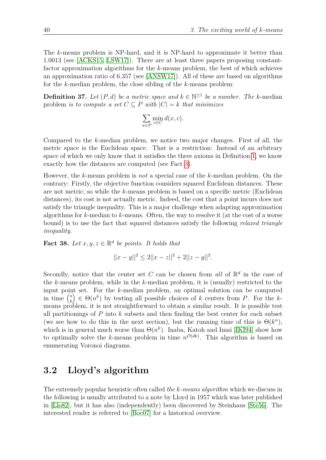The *k*-means problem is NP-hard, and it is NP-hard to approximate it better than 1*.*0013 (see [\[ACKS15,](#page-72-0) [LSW17\]](#page-74-0)). There are at least three papers proposing constantfactor approximation algorithms for the *k*-means problem, the best of which achieves an approximation ratio of 6.357 (see [\[ANSW17\]](#page-72-1)). All of these are based on algorithms for the *k*-median problem, the close sibling of the *k*-means problem:

**Definition 37.** *Let*  $(P, d)$  *be a metric space and*  $k \in \mathbb{N}^{\geq 1}$  *be a number. The k*-median problem *is to compute a set*  $C \subseteq P$  *with*  $|C| = k$  *that minimizes* 

$$
\sum_{x \in P} \min_{c \in C} d(x, c).
$$

Compared to the *k*-median problem, we notice two major changes. First of all, the metric space is the Euclidean space. That is a restriction: Instead of an arbitrary space of which we only know that it satisfies the three axioms in Definition [1,](#page-4-0) we know exactly how the distances are computed (see Fact [3\)](#page-6-0).

However, the *k*-means problem is *not* a special case of the *k*-median problem. On the contrary: Firstly, the objective function considers squared Euclidean distances. These are not metric; so while the *k*-means problem is based on a specific metric (Euclidean distances), its cost is not actually metric. Indeed, the cost that a point incurs does not satisfy the triangle inequality. This is a major challenge when adapting approximation algorithms for *k*-median to *k*-means. Often, the way to resolve it (at the cost of a worse bound) is to use the fact that squared distances satisfy the following *relaxed triangle inequality*.

<span id="page-39-0"></span>**Fact 38.** Let  $x, y, z \in \mathbb{R}^d$  be points. It holds that

$$
||x - y||^2 \le 2||x - z||^2 + 2||z - y||^2.
$$

Secondly, notice that the center set *C* can be chosen from *all* of  $\mathbb{R}^d$  in the case of the *k*-means problem, while in the *k*-median problem, it is (usually) restricted to the input point set. For the *k*-median problem, an optimal solution can be computed in time  $\binom{n}{k}$ *k*  $\Theta(n^k)$  by testing all possible choices of *k* centers from *P*. For the *k*means problem, it is not straightforward to obtain a similar result. It is possible test all partitionings of *P* into *k* subsets and then finding the best center for each subset (we see how to do this in the next section), but the running time of this is  $\Theta(k^n)$ , which is in general much worse than  $\Theta(n^k)$ . Inaba, Katoh and Imai [\[IKI94\]](#page-73-0) show how to optimally solve the *k*-means problem in time  $n^{\mathcal{O}(dk)}$ . This algorithm is based on enumerating Voronoi diagrams.

## **3.2 Lloyd's algorithm**

The extremely popular heuristic often called *the k-means algorithm* which we discuss in the following is usually attributed to a note by Lloyd in 1957 which was later published in [\[Llo82\]](#page-74-1), but it has also (independently) been discovered by Steinhaus [\[Ste56\]](#page-74-2). The interested reader is referred to [\[Boc07\]](#page-72-2) for a historical overview.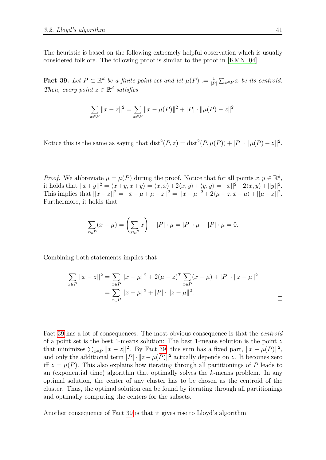The heuristic is based on the following extremely helpful observation which is usually considered folklore. The following proof is similar to the proof in [\[KMN](#page-74-3)<sup>+</sup>04].

<span id="page-40-0"></span>**Fact 39.** Let  $P \subset \mathbb{R}^d$  be a finite point set and let  $\mu(P) := \frac{1}{|P|} \sum_{x \in P} x$  be its centroid. *Then, every point*  $z \in \mathbb{R}^d$  *satisfies* 

$$
\sum_{x \in P} ||x - z||^2 = \sum_{x \in P} ||x - \mu(P)||^2 + |P| \cdot ||\mu(P) - z||^2.
$$

Notice this is the same as saying that  $dist^2(P, z) = dist^2(P, \mu(P)) + |P| \cdot ||\mu(P) - z||^2$ .

*Proof.* We abbreviate  $\mu = \mu(P)$  during the proof. Notice that for all points  $x, y \in \mathbb{R}^d$ , it holds that  $||x+y||^2 = \langle x+y, x+y \rangle = \langle x, x \rangle + 2\langle x, y \rangle + \langle y, y \rangle = ||x||^2 + 2\langle x, y \rangle + ||y||^2$ . This implies that  $||x-z||^2 = ||x-\mu+\mu-z||^2 = ||x-\mu||^2 + 2\langle \mu-z, x-\mu \rangle + ||\mu-z||^2$ . Furthermore, it holds that

$$
\sum_{x \in P} (x - \mu) = \left(\sum_{x \in P} x\right) - |P| \cdot \mu = |P| \cdot \mu - |P| \cdot \mu = 0.
$$

Combining both statements implies that

$$
\sum_{x \in P} ||x - z||^2 = \sum_{x \in P} ||x - \mu||^2 + 2(\mu - z)^T \sum_{x \in P} (x - \mu) + |P| \cdot ||z - \mu||^2
$$
  
= 
$$
\sum_{x \in P} ||x - \mu||^2 + |P| \cdot ||z - \mu||^2.
$$

Fact [39](#page-40-0) has a lot of consequences. The most obvious consequence is that the *centroid* of a point set is the best 1-means solution: The best 1-means solution is the point *z* that minimizes  $\sum_{x \in P} ||x - z||^2$ . By Fact [39,](#page-40-0) this sum has a fixed part,  $||x - \mu(P)||^2$ , and only the additional term  $|P| \cdot ||z - \mu(P)||^2$  actually depends on *z*. It becomes zero iff  $z = \mu(P)$ . This also explains how iterating through all partitionings of P leads to an (exponential time) algorithm that optimally solves the *k*-means problem. In any optimal solution, the center of any cluster has to be chosen as the centroid of the cluster. Thus, the optimal solution can be found by iterating through all partitionings and optimally computing the centers for the subsets.

Another consequence of Fact [39](#page-40-0) is that it gives rise to Lloyd's algorithm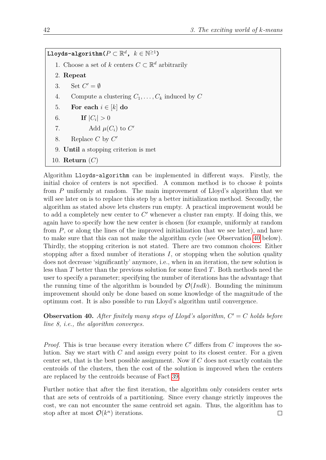$\texttt{Lloyds-algorithms}(P \subset \mathbb{R}^d, \ k \in \mathbb{N}^{\geq 1})$ 1. Choose a set of *k* centers  $C \subset \mathbb{R}^d$  arbitrarily 2. **Repeat** 3. Set  $C' = \emptyset$ 4. Compute a clustering  $C_1, \ldots, C_k$  induced by  $C$ 5. **For each**  $i \in [k]$  **do** 6. **If**  $|C_i| > 0$ 7. Add  $\mu(C_i)$  to  $C'$ 8. Replace *C* by *C*' 9. **Until** a stopping criterion is met 10. **Return** (*C*)

Algorithm Lloyds-algorithm can be implemented in different ways. Firstly, the initial choice of centers is not specified. A common method is to choose *k* points from *P* uniformly at random. The main improvement of Lloyd's algorithm that we will see later on is to replace this step by a better initialization method. Secondly, the algorithm as stated above lets clusters run empty. A practical improvement would be to add a completely new center to  $C'$  whenever a cluster ran empty. If doing this, we again have to specify how the new center is chosen (for example, uniformly at random from *P*, or along the lines of the improved initialization that we see later), and have to make sure that this can not make the algorithm cycle (see Observation [40](#page-41-0) below). Thirdly, the stopping criterion is not stated. There are two common choices: Either stopping after a fixed number of iterations *I*, or stopping when the solution quality does not decrease 'significantly' anymore, i.e., when in an iteration, the new solution is less than *T* better than the previous solution for some fixed *T*. Both methods need the user to specify a parameter; specifying the number of iterations has the advantage that the running time of the algorithm is bounded by  $\mathcal{O}(Indk)$ . Bounding the minimum improvement should only be done based on some knowledge of the magnitude of the optimum cost. It is also possible to run Lloyd's algorithm until convergence.

<span id="page-41-0"></span>**Observation 40.** After finitely many steps of Lloyd's algorithm,  $C' = C$  holds before *line 8, i.e., the algorithm converges.*

*Proof.* This is true because every iteration where  $C'$  differs from  $C$  improves the solution. Say we start with *C* and assign every point to its closest center. For a given center set, that is the best possible assignment. Now if *C* does not exactly contain the centroids of the clusters, then the cost of the solution is improved when the centers are replaced by the centroids because of Fact [39.](#page-40-0)

Further notice that after the first iteration, the algorithm only considers center sets that are sets of centroids of a partitioning. Since every change strictly improves the cost, we can not encounter the same centroid set again. Thus, the algorithm has to stop after at most  $\mathcal{O}(k^n)$  iterations.  $\Box$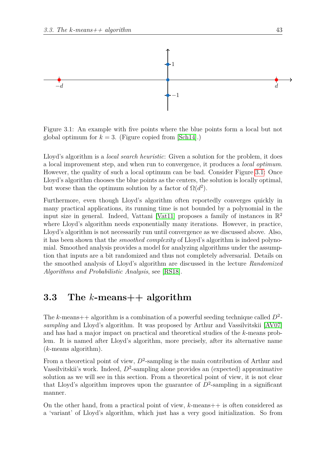

<span id="page-42-0"></span>Figure 3.1: An example with five points where the blue points form a local but not global optimum for  $k = 3$ . (Figure copied from [\[Sch14\]](#page-74-4).)

Lloyd's algorithm is a *local search heuristic*: Given a solution for the problem, it does a local improvement step, and when run to convergence, it produces a *local optimum*. However, the quality of such a local optimum can be bad. Consider Figure [3.1:](#page-42-0) Once Lloyd's algorithm chooses the blue points as the centers, the solution is locally optimal, but worse than the optimum solution by a factor of  $\Omega(d^2)$ .

Furthermore, even though Lloyd's algorithm often reportedly converges quickly in many practical applications, its running time is not bounded by a polynomial in the input size in general. Indeed, Vattani [\[Vat11\]](#page-74-5) proposes a family of instances in  $\mathbb{R}^2$ where Lloyd's algorithm needs exponentially many iterations. However, in practice, Lloyd's algorithm is not necessarily run until convergence as we discussed above. Also, it has been shown that the *smoothed complexity* of Lloyd's algorithm is indeed polynomial. Smoothed analysis provides a model for analyzing algorithms under the assumption that inputs are a bit randomized and thus not completely adversarial. Details on the smoothed analysis of Lloyd's algorithm are discussed in the lecture *Randomized Algorithms and Probabilistic Analysis*, see [\[RS18\]](#page-74-6).

## **3.3 The** *k***-means++ algorithm**

The *k*-means++ algorithm is a combination of a powerful seeding technique called *D*<sup>2</sup>  *sampling* and Lloyd's algorithm. It was proposed by Arthur and Vassilvitskii [\[AV07\]](#page-72-3) and has had a major impact on practical and theoretical studies of the *k*-means problem. It is named after Lloyd's algorithm, more precisely, after its alternative name (*k*-means algorithm).

From a theoretical point of view,  $D^2$ -sampling is the main contribution of Arthur and Vassilvitskii's work. Indeed,  $D^2$ -sampling alone provides an (expected) approximative solution as we will see in this section. From a theoretical point of view, it is not clear that Lloyd's algorithm improves upon the guarantee of  $D^2$ -sampling in a significant manner.

On the other hand, from a practical point of view, *k*-means++ is often considered as a 'variant' of Lloyd's algorithm, which just has a very good initialization. So from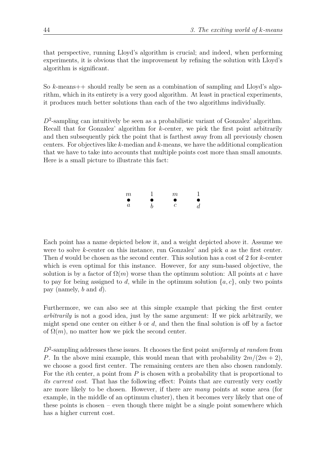that perspective, running Lloyd's algorithm is crucial; and indeed, when performing experiments, it is obvious that the improvement by refining the solution with Lloyd's algorithm is significant.

So *k*-means++ should really be seen as a combination of sampling and Lloyd's algorithm, which in its entirety is a very good algorithm. At least in practical experiments, it produces much better solutions than each of the two algorithms individually.

D<sup>2</sup>-sampling can intuitively be seen as a probabilistic variant of Gonzalez' algorithm. Recall that for Gonzalez' algorithm for *k*-center, we pick the first point arbitrarily and then subsequently pick the point that is farthest away from all previously chosen centers. For objectives like *k*-median and *k*-means, we have the additional complication that we have to take into accounts that multiple points cost more than small amounts. Here is a small picture to illustrate this fact:

| $\,m$            |   | m      |                |
|------------------|---|--------|----------------|
| $\bullet$        | ● | O<br>I | ●              |
| $\boldsymbol{a}$ | h | С      | $\overline{d}$ |

Each point has a name depicted below it, and a weight depicted above it. Assume we were to solve *k*-center on this instance, run Gonzalez' and pick *a* as the first center. Then *d* would be chosen as the second center. This solution has a cost of 2 for *k*-center which is even optimal for this instance. However, for any sum-based objective, the solution is by a factor of  $\Omega(m)$  worse than the optimum solution: All points at *c* have to pay for being assigned to *d*, while in the optimum solution  $\{a, c\}$ , only two points pay (namely, *b* and *d*).

Furthermore, we can also see at this simple example that picking the first center *arbitrarily* is not a good idea, just by the same argument: If we pick arbitrarily, we might spend one center on either *b* or *d*, and then the final solution is off by a factor of  $\Omega(m)$ , no matter how we pick the second center.

*D*<sup>2</sup> -sampling addresses these issues. It chooses the first point *uniformly at random* from *P*. In the above mini example, this would mean that with probability  $2m/(2m+2)$ , we choose a good first center. The remaining centers are then also chosen randomly. For the *i*th center, a point from *P* is chosen with a probability that is proportional to *its current cost*. That has the following effect: Points that are currently very costly are more likely to be chosen. However, if there are *many* points at some area (for example, in the middle of an optimum cluster), then it becomes very likely that one of these points is chosen – even though there might be a single point somewhere which has a higher current cost.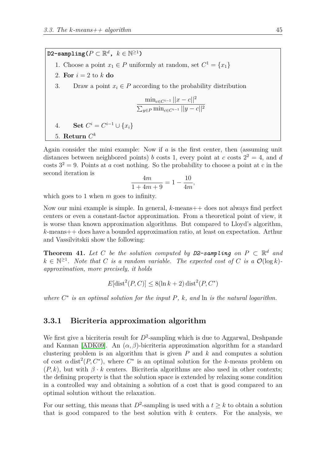$\texttt{D2-sampling}(P \subset \mathbb{R}^d, k \in \mathbb{N}^{\geq 1})$ 1. Choose a point  $x_1 \in P$  uniformly at random, set  $C^1 = \{x_1\}$ 2. For  $i = 2$  to  $k$  do 3. Draw a point  $x_i \in P$  according to the probability distribution  $\min_{c \in C^{i-1}} ||x - c||^2$  $\sum_{y \in P} \min_{c \in C^{i-1}} ||y - c||^2$ 4. **Set**  $C^i = C^{i-1} \cup \{x_i\}$  $5.$  **Return**  $C^k$ 

Again consider the mini example: Now if *a* is the first center, then (assuming unit distances between neighbored points) *b* costs 1, every point at *c* costs  $2^2 = 4$ , and *d* costs  $3^2 = 9$ . Points at *a* cost nothing. So the probability to choose a point at *c* in the second iteration is

$$
\frac{4m}{1+4m+9} = 1 - \frac{10}{4m},
$$

which goes to 1 when *m* goes to infinity.

Now our mini example is simple. In general, *k*-means++ does not always find perfect centers or even a constant-factor approximation. From a theoretical point of view, it is worse than known approximation algorithms. But compared to Lloyd's algorithm, *k*-means++ does have a bounded approximation ratio, at least on expectation. Arthur and Vassilvitskii show the following:

**Theorem 41.** Let C be the solution computed by  $D2$ -sampling on  $P \subset \mathbb{R}^d$  and  $k \in \mathbb{N}^{\geq 1}$ . Note that *C* is a random variable. The expected cost of *C* is a  $\mathcal{O}(\log k)$ *approximation, more precisely, it holds*

$$
E[\text{dist}^2(P, C)] \le 8(\ln k + 2)\text{dist}^2(P, C^*)
$$

*where C* ∗ *is an optimal solution for the input P, k, and* ln *is the natural logarithm.*

## **3.3.1 Bicriteria approximation algorithm**

We first give a bicriteria result for  $D^2$ -sampling which is due to Aggarwal, Deshpande and Kannan [\[ADK09\]](#page-72-4). An  $(\alpha, \beta)$ -bicriteria approximation algorithm for a standard clustering problem is an algorithm that is given *P* and *k* and computes a solution of cost  $\alpha$  dist<sup>2</sup>( $P, C^*$ ), where  $C^*$  is an optimal solution for the *k*-means problem on  $(P, k)$ , but with  $\beta \cdot k$  centers. Bicriteria algorithms are also used in other contexts; the defining property is that the solution space is extended by relaxing some condition in a controlled way and obtaining a solution of a cost that is good compared to an optimal solution without the relaxation.

For our setting, this means that  $D^2$ -sampling is used with a  $t \geq k$  to obtain a solution that is good compared to the best solution with *k* centers. For the analysis, we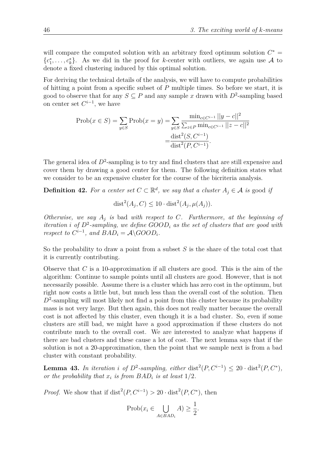will compare the computed solution with an arbitrary fixed optimum solution  $C^*$  $\{c_1^*, \ldots, c_k^*\}$ . As we did in the proof for *k*-center with outliers, we again use A to denote a fixed clustering induced by this optimal solution.

For deriving the technical details of the analysis, we will have to compute probabilities of hitting a point from a specific subset of *P* multiple times. So before we start, it is good to observe that for any  $S \subseteq P$  and any sample x drawn with  $D^2$ -sampling based on center set  $C^{i-1}$ , we have

$$
\text{Prob}(x \in S) = \sum_{y \in S} \text{Prob}(x = y) = \sum_{y \in S} \frac{\min_{c \in C^{i-1}} ||y - c||^2}{\sum_{z \in P} \min_{c \in C^{i-1}} ||z - c||^2}
$$

$$
= \frac{\text{dist}^2(S, C^{i-1})}{\text{dist}^2(P, C^{i-1})}.
$$

The general idea of  $D^2$ -sampling is to try and find clusters that are still expensive and cover them by drawing a good center for them. The following definition states what we consider to be an expensive cluster for the course of the bicriteria analysis.

**Definition 42.** For a center set  $C \subset \mathbb{R}^d$ , we say that a cluster  $A_j \in \mathcal{A}$  is good if

$$
dist2(Aj, C) \le 10 \cdot dist2(Aj, \mu(Aj)).
$$

*Otherwise, we say A<sup>j</sup> is* bad *with respect to C. Furthermore, at the beginning of iteration i of D*<sup>2</sup> *-sampling, we define GOOD<sup>i</sup> as the set of clusters that are good with respect to*  $C^{i-1}$ *, and*  $BAD_i = \mathcal{A} \setminus GOOD_i$ *.* 

So the probability to draw a point from a subset *S* is the share of the total cost that it is currently contributing.

Observe that *C* is a 10-approximation if all clusters are good. This is the aim of the algorithm: Continue to sample points until all clusters are good. However, that is not necessarily possible. Assume there is a cluster which has zero cost in the optimum, but right now costs a little but, but much less than the overall cost of the solution. Then  $D^2$ -sampling will most likely not find a point from this cluster because its probability mass is not very large. But then again, this does not really matter because the overall cost is not affected by this cluster, even though it is a bad cluster. So, even if some clusters are still bad, we might have a good approximation if these clusters do not contribute much to the overall cost. We are interested to analyze what happens if there are bad clusters and these cause a lot of cost. The next lemma says that if the solution is not a 20-approximation, then the point that we sample next is from a bad cluster with constant probability.

**Lemma 43.** In iteration *i* of  $D^2$ -sampling, either dist<sup>2</sup>( $P, C^{i-1}$ )  $\leq 20 \cdot \text{dist}^2(P, C^*)$ , *or the probability that*  $x_i$  *is from BAD<sub>i</sub> is at least*  $1/2$ *.* 

*Proof.* We show that if  $dist^2(P, C^{i-1}) > 20 \cdot dist^2(P, C^*)$ , then

$$
\text{Prob}(x_i \in \bigcup_{A \in BAD_i} A) \ge \frac{1}{2}.
$$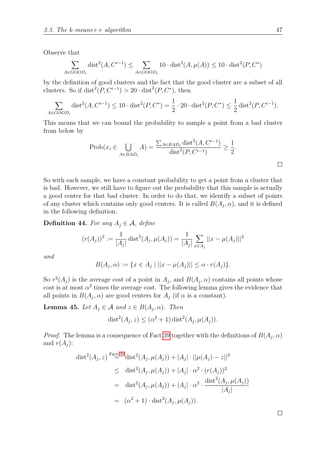Observe that

$$
\sum_{A \in GOOD_i} \text{dist}^2(A, C^{i-1}) \le \sum_{A \in GOOD_i} 10 \cdot \text{dist}^2(A, \mu(A)) \le 10 \cdot \text{dist}^2(P, C^*)
$$

by the definition of good clusters and the fact that the good cluster are a subset of all clusters. So if  $dist^2(P, C^{i-1}) > 20 \cdot dist^2(P, C^*)$ , then

$$
\sum_{A \in GOOD_i} \text{dist}^2(A, C^{i-1}) \le 10 \cdot \text{dist}^2(P, C^*) = \frac{1}{2} \cdot 20 \cdot \text{dist}^2(P, C^*) \le \frac{1}{2} \text{dist}^2(P, C^{i-1}).
$$

This means that we can bound the probability to sample a point from a bad cluster from below by

$$
\text{Prob}(x_i \in \bigcup_{A \in BAD_i} A) = \frac{\sum_{A \in BAD_i} \text{dist}^2(A, C^{i-1})}{\text{dist}^2(P, C^{i-1})} \ge \frac{1}{2}.
$$

So with each sample, we have a constant probability to get a point from a cluster that is bad. However, we still have to figure out the probability that this sample is actually a good center for that bad cluster. In order to do that, we identify a subset of points of any cluster which contains only good centers. It is called  $B(A_j, \alpha)$ , and it is defined in the following definition.

**Definition 44.** *For any*  $A_j \in \mathcal{A}$ *, define* 

$$
(r(A_j))^2 := \frac{1}{|A_j|} \operatorname{dist}^2(A_j, \mu(A_j)) = \frac{1}{|A_j|} \sum_{x \in A_j} ||x - \mu(A_j)||^2
$$

*and*

$$
B(A_j, \alpha) := \{ x \in A_j \mid ||x - \mu(A_j)|| \le \alpha \cdot r(A_j) \}.
$$

So  $r^2(A_j)$  is the average cost of a point in  $A_j$ , and  $B(A_j, \alpha)$  contains all points whose cost is at most  $\alpha^2$  times the average cost. The following lemma gives the evidence that all points in  $B(A_j, \alpha)$  are good centers for  $A_j$  (if  $\alpha$  is a constant).

**Lemma 45.** *Let*  $A_j \in \mathcal{A}$  *and*  $z \in B(A_j, \alpha)$ *. Then* 

$$
dist2(Aj, z) \leq (\alpha2 + 1) dist2(Aj, \mu(Aj)).
$$

*Proof.* The lemma is a consequence of Fact [39](#page-40-0) together with the definitions of  $B(A_j, \alpha)$ and  $r(A_i)$ :

$$
\operatorname{dist}^{2}(A_{j}, z) \xrightarrow{\text{Fact 39}} \operatorname{dist}^{2}(A_{j}, \mu(A_{j})) + |A_{j}| \cdot ||\mu(A_{j}) - z||^{2}
$$
  
\n
$$
\leq \operatorname{dist}^{2}(A_{j}, \mu(A_{j})) + |A_{j}| \cdot \alpha^{2} \cdot (r(A_{j}))^{2}
$$
  
\n
$$
= \operatorname{dist}^{2}(A_{j}, \mu(A_{j})) + |A_{j}| \cdot \alpha^{2} \cdot \frac{\operatorname{dist}^{2}(A_{j}, \mu(A_{j}))}{|A_{j}|}
$$
  
\n
$$
= (\alpha^{2} + 1) \cdot \operatorname{dist}^{2}(A_{j}, \mu(A_{j})).
$$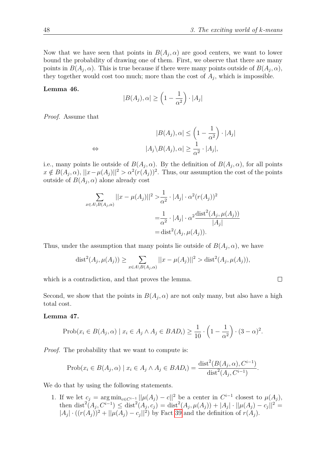$\Box$ 

Now that we have seen that points in  $B(A_j, \alpha)$  are good centers, we want to lower bound the probability of drawing one of them. First, we observe that there are many points in  $B(A_j, \alpha)$ . This is true because if there were many points outside of  $B(A_j, \alpha)$ , they together would cost too much; more than the cost of  $A_j$ , which is impossible.

#### <span id="page-47-0"></span>**Lemma 46.**

$$
|B(A_j), \alpha| \ge \left(1 - \frac{1}{\alpha^2}\right) \cdot |A_j|
$$

*Proof.* Assume that

$$
|B(A_j), \alpha| \le \left(1 - \frac{1}{\alpha^2}\right) \cdot |A_j|
$$
  
\n
$$
\Leftrightarrow |A_j \setminus B(A_j), \alpha| \ge \frac{1}{\alpha^2} \cdot |A_j|,
$$

i.e., many points lie outside of  $B(A_j, \alpha)$ . By the definition of  $B(A_j, \alpha)$ , for all points  $x \notin B(A_j, \alpha)$ ,  $||x - \mu(A_j)||^2 > \alpha^2 (r(A_j))^2$ . Thus, our assumption the cost of the points outside of  $B(A_j, \alpha)$  alone already cost

$$
\sum_{x \in A \setminus B(A_j, \alpha)} ||x - \mu(A_j)||^2 > \frac{1}{\alpha^2} \cdot |A_j| \cdot \alpha^2 (r(A_j))^2
$$
  
=  $\frac{1}{\alpha^2} \cdot |A_j| \cdot \alpha^2 \frac{\text{dist}^2(A_j, \mu(A_j))}{|A_j|}$   
=  $\text{dist}^2(A_j, \mu(A_j)).$ 

Thus, under the assumption that many points lie outside of  $B(A_j, \alpha)$ , we have

$$
dist2(Aj, \mu(Aj)) \ge \sum_{x \in A \setminus B(Aj, \alpha)} ||x - \mu(Aj)||2 > dist2(Aj, \mu(Aj)),
$$

which is a contradiction, and that proves the lemma.

Second, we show that the points in  $B(A_j, \alpha)$  are not only many, but also have a high total cost.

#### **Lemma 47.**

$$
\text{Prob}(x_i \in B(A_j, \alpha) \mid x_i \in A_j \land A_j \in BAD_i) \ge \frac{1}{10} \cdot \left(1 - \frac{1}{\alpha^2}\right) \cdot (3 - \alpha)^2.
$$

*Proof.* The probability that we want to compute is:

$$
Prob(x_i \in B(A_j, \alpha) \mid x_i \in A_j \land A_j \in BAD_i) = \frac{\text{dist}^2(B(A_j, \alpha), C^{i-1})}{\text{dist}^2(A_j, C^{i-1})}.
$$

<span id="page-47-1"></span>We do that by using the following statements.

1. If we let  $c_j = \arg \min_{c \in C^{i-1}} ||\mu(A_j) - c||^2$  be a center in  $C^{i-1}$  closest to  $\mu(A_j)$ , then  $dist^2(A_j, C^{i-1}) \leq dist^2(A_j, c_j) = dist^2(A_j, \mu(A_j)) + |A_j| \cdot ||\mu(A_j) - c_j||^2 =$  $|A_j| \cdot ((r(A_j))^2 + ||\mu(A_j) - c_j||^2)$  by Fact [39](#page-40-0) and the definition of  $r(A_j)$ .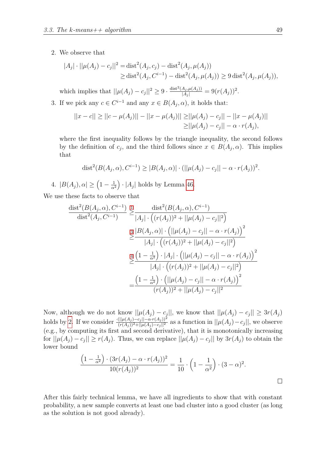#### <span id="page-48-2"></span>2. We observe that

$$
|A_j| \cdot ||\mu(A_j) - c_j||^2 = \text{dist}^2(A_j, c_j) - \text{dist}^2(A_j, \mu(A_j))
$$
  
\n
$$
\geq \text{dist}^2(A_j, C^{i-1}) - \text{dist}^2(A_j, \mu(A_j)) \geq 9 \text{dist}^2(A_j, \mu(A_j)),
$$

which implies that  $||\mu(A_j) - c_j||^2 \geq 9 \cdot \frac{\text{dist}^2(A_j, \mu(A_j))}{|A_j|} = 9(r(A_j))^2$ .

<span id="page-48-0"></span>3. If we pick any  $c \in C^{i-1}$  and any  $x \in B(A_j, \alpha)$ , it holds that:

$$
||x - c|| \ge ||c - \mu(A_j)|| - ||x - \mu(A_j)|| \ge ||\mu(A_j) - c_j|| - ||x - \mu(A_j)||
$$
  
\n
$$
\ge ||\mu(A_j) - c_j|| - \alpha \cdot r(A_j),
$$

where the first inequality follows by the triangle inequality, the second follows by the definition of  $c_j$ , and the third follows since  $x \in B(A_j, \alpha)$ . This implies that

dist<sup>2</sup>(B(A<sub>j</sub>, \alpha), C<sup>i-1</sup>) 
$$
\geq |B(A_j, \alpha)| \cdot (||\mu(A_j) - c_j|| - \alpha \cdot r(A_j))^2
$$
.

<span id="page-48-1"></span>4.  $|B(A_j), \alpha| \geq \left(1 - \frac{1}{\alpha^2}\right)$ *α*<sup>2</sup>  $\cdot$  | $A_j$ | holds by Lemma [46.](#page-47-0)

We use these facts to observe that

$$
\frac{\text{dist}^2(B(A_j, \alpha), C^{i-1})}{\text{dist}^2(A_j, C^{i-1})} \geq \frac{\text{dist}^2(B(A_j, \alpha), C^{i-1})}{|A_j| \cdot ((r(A_j))^2 + ||\mu(A_j) - c_j||^2)}
$$
  

$$
\geq \frac{|B(A_j, \alpha)| \cdot (||\mu(A_j) - c_j|| - \alpha \cdot r(A_j))}{|A_j| \cdot ((r(A_j))^2 + ||\mu(A_j) - c_j||^2)}
$$
  

$$
\geq \frac{4(1 - \frac{1}{\alpha^2}) \cdot |A_j| \cdot (||\mu(A_j) - c_j|| - \alpha \cdot r(A_j))^2}{|A_j| \cdot ((r(A_j))^2 + ||\mu(A_j) - c_j||^2)}
$$
  

$$
= \frac{(1 - \frac{1}{\alpha^2}) \cdot (||\mu(A_j) - c_j|| - \alpha \cdot r(A_j))^2}{(r(A_j))^2 + ||\mu(A_j) - c_j||^2}
$$

Now, although we do not know  $||\mu(A_j) - c_j||$ , we know that  $||\mu(A_j) - c_j|| \geq 3r(A_j)$ holds by [2.](#page-48-2) If we consider  $\frac{(\|\mu(A_j) - c_j\| - \alpha \cdot r(A_j))^2}{(r(A_j))^2 + \|\mu(A_j) - c_j\|^2}$  as a function in  $||\mu(A_j) - c_j||$ , we observe (e.g., by computing its first and second derivative), that it is monotonically increasing for  $||\mu(A_j) - c_j|| \ge r(A_j)$ . Thus, we can replace  $||\mu(A_j) - c_j||$  by  $3r(A_j)$  to obtain the lower bound

$$
\frac{\left(1 - \frac{1}{\alpha^2}\right) \cdot (3r(A_j) - \alpha \cdot r(A_j))^2}{10(r(A_j))^2} = \frac{1}{10} \cdot \left(1 - \frac{1}{\alpha^2}\right) \cdot (3 - \alpha)^2.
$$

After this fairly technical lemma, we have all ingredients to show that with constant probability, a new sample converts at least one bad cluster into a good cluster (as long as the solution is not good already).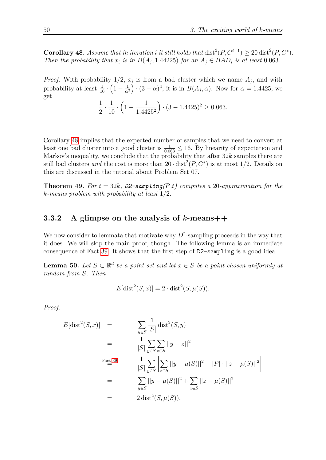<span id="page-49-0"></span>**Corollary 48.** *Assume that in iteration i it still holds that* dist<sup>2</sup> $(P, C^{i-1}) \geq 20$  dist<sup>2</sup> $(P, C^*)$ *. Then the probability that*  $x_i$  *is in*  $B(A_j, 1.44225)$  *for an*  $A_j \in BAD_i$  *is at least* 0*.*063*.* 

*Proof.* With probability  $1/2$ ,  $x_i$  is from a bad cluster which we name  $A_j$ , and with probability at least  $\frac{1}{10} \cdot \left(1 - \frac{1}{\alpha^2}\right)$ *α*<sup>2</sup>  $\left(3 - \alpha\right)^2$ , it is in  $B(A_j, \alpha)$ . Now for  $\alpha = 1.4425$ , we get

$$
\frac{1}{2} \cdot \frac{1}{10} \cdot \left(1 - \frac{1}{1.4425^2}\right) \cdot (3 - 1.4425)^2 \ge 0.063.
$$

Corollary [48](#page-49-0) implies that the expected number of samples that we need to convert at least one bad cluster into a good cluster is  $\frac{1}{0.063} \le 16$ . By linearity of expectation and Markov's inequality, we conclude that the probability that after 32*k* samples there are still bad clusters *and* the cost is more than  $20 \cdot \text{dist}^2(P, C^*)$  is at most 1/2. Details on this are discussed in the tutorial about Problem Set 07.

<span id="page-49-2"></span>**Theorem 49.** For  $t = 32k$ ,  $D2$ -sampling $(P,t)$  computes a 20-approximation for the *k-means problem with probability at least* 1*/*2*.*

## **3.3.2 A glimpse on the analysis of** *k***-means++**

We now consider to lemmata that motivate why  $D^2$ -sampling proceeds in the way that it does. We will skip the main proof, though. The following lemma is an immediate consequence of Fact [39.](#page-40-0) It shows that the first step of D2-sampling is a good idea.

<span id="page-49-1"></span>**Lemma 50.** *Let*  $S \subset \mathbb{R}^d$  *be a point set and let*  $x \in S$  *be a point chosen uniformly at random from S. Then*

$$
E[dist^2(S, x)] = 2 \cdot dist^2(S, \mu(S)).
$$

*Proof.*

$$
E[\text{dist}^{2}(S, x)] = \sum_{y \in S} \frac{1}{|S|} \text{dist}^{2}(S, y)
$$
  
\n
$$
= \frac{1}{|S|} \sum_{y \in S} \sum_{z \in S} ||y - z||^{2}
$$
  
\nFact as  
\n
$$
\frac{1}{|S|} \sum_{y \in S} \sum_{z \in S} ||y - \mu(S)||^{2} + |P| \cdot ||z - \mu(S)||^{2}
$$
  
\n
$$
= \sum_{y \in S} ||y - \mu(S)||^{2} + \sum_{z \in S} ||z - \mu(S)||^{2}
$$
  
\n
$$
= 2 \text{ dist}^{2}(S, \mu(S)).
$$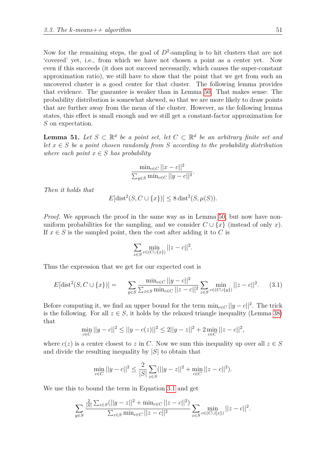Now for the remaining steps, the goal of  $D^2$ -sampling is to hit clusters that are not 'covered' yet, i.e., from which we have not chosen a point as a center yet. Now even if this succeeds (it does not succeed necessarily, which causes the super-constant approximation ratio), we still have to show that the point that we get from such an uncovered cluster is a good center for that cluster. The following lemma provides that evidence. The guarantee is weaker than in Lemma [50.](#page-49-1) That makes sense: The probability distribution is somewhat skewed, so that we are more likely to draw points that are further away from the mean of the cluster. However, as the following lemma states, this effect is small enough and we still get a constant-factor approximation for *S* on expectation.

<span id="page-50-1"></span>**Lemma 51.** Let  $S \subset \mathbb{R}^d$  be a point set, let  $C \subset \mathbb{R}^d$  be an arbitrary finite set and *let*  $x \in S$  *be a point chosen randomly from S according to the probability distribution where each point*  $x \in S$  *has probability* 

$$
\frac{\min_{c \in C} ||x - c||^2}{\sum_{y \in S} \min_{c \in C} ||y - c||^2}.
$$

*Then it holds that*

$$
E[dist2(S, C \cup \{x\})] \le 8 dist2(S, \mu(S)).
$$

*Proof.* We approach the proof in the same way as in Lemma [50,](#page-49-1) but now have nonuniform probabilities for the sampling, and we consider  $C \cup \{x\}$  (instead of only *x*). If  $x \in S$  is the sampled point, then the cost after adding it to C is

<span id="page-50-0"></span>
$$
\sum_{z \in S} \min_{c \in (C \cup \{x\})} ||z - c||^2.
$$

Thus the expression that we get for our expected cost is

$$
E[\text{dist}^2(S, C \cup \{x\})] = \sum_{y \in S} \frac{\min_{c \in C} ||y - c||^2}{\sum_{z \in S} \min_{c \in C} ||z - c||^2} \sum_{z \in S} \min_{c \in (C \cup \{y\})} ||z - c||^2. \tag{3.1}
$$

Before computing it, we find an upper bound for the term  $\min_{c \in C} ||y - c||^2$ . The trick is the following. For all  $z \in S$ , it holds by the relaxed triangle inequality (Lemma [38\)](#page-39-0) that

$$
\min_{c \in C} ||y - c||^2 \le ||y - c(z)||^2 \le 2||y - z||^2 + 2 \min_{c \in C} ||z - c||^2,
$$

where  $c(z)$  is a center closest to *z* in *C*. Now we sum this inequality up over all  $z \in S$ and divide the resulting inequality by |*S*| to obtain that

$$
\min_{c \in C} ||y - c||^2 \le \frac{2}{|S|} \sum_{z \in S} (||y - z||^2 + \min_{c \in C} ||z - c||^2).
$$

We use this to bound the term in Equation [3.1](#page-50-0) and get

$$
\sum_{y \in S} \frac{\frac{2}{|S|} \sum_{z \in S} (||y - z||^2 + \min_{c \in C} ||z - c||^2)}{\sum_{z \in S} \min_{c \in C} ||z - c||^2} \sum_{z \in S} \min_{c \in (C \cup \{x\})} ||z - c||^2.
$$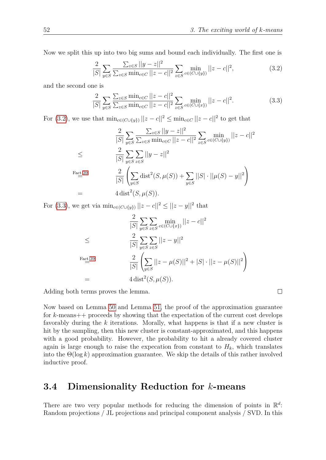Now we split this up into two big sums and bound each individually. The first one is

<span id="page-51-0"></span>
$$
\frac{2}{|S|} \sum_{y \in S} \frac{\sum_{z \in S} ||y - z||^2}{\sum_{z \in S} \min_{c \in C} ||z - c||^2} \sum_{z \in S} \min_{c \in (C \cup \{y\})} ||z - c||^2,
$$
\n(3.2)

and the second one is

<span id="page-51-1"></span>
$$
\frac{2}{|S|} \sum_{y \in S} \frac{\sum_{z \in S} \min_{c \in C} ||z - c||^2}{\sum_{z \in S} \min_{c \in C} ||z - c||^2} \sum_{z \in S} \min_{c \in (C \cup \{x\})} ||z - c||^2.
$$
 (3.3)

For [\(3.2\)](#page-51-0), we use that  $\min_{c \in (C \cup \{y\})} ||z - c||^2 \le \min_{c \in C} ||z - c||^2$  to get that

$$
\frac{2}{|S|} \sum_{y \in S} \frac{\sum_{z \in S} ||y - z||^2}{\sum_{z \in S} \min_{c \in C} ||z - c||^2} \sum_{z \in S} \min_{c \in (C \cup \{y\})} ||z - c||^2
$$
  
\n
$$
\leq \frac{2}{|S|} \sum_{y \in S} \sum_{z \in S} ||y - z||^2
$$
  
\nFact 39  
\n
$$
\frac{2}{|S|} \left( \sum_{y \in S} \text{dist}^2(S, \mu(S)) + \sum_{y \in S} ||S| \cdot ||\mu(S) - y||^2 \right)
$$
  
\n
$$
= 4 \text{ dist}^2(S, \mu(S)).
$$

For [\(3.3\)](#page-51-1), we get via  $\min_{c \in (C \cup \{y\})} ||z - c||^2 \le ||z - y||^2$  that

$$
\frac{2}{|S|} \sum_{y \in S} \sum_{z \in S} \min_{c \in (C \cup \{x\})} ||z - c||^2
$$
  
\n
$$
\leq \frac{2}{|S|} \sum_{y \in S} \sum_{z \in S} ||z - y||^2
$$
  
\nFact as  
\n
$$
\frac{2}{|S|} \left( \sum_{y \in S} ||z - \mu(S)||^2 + |S| \cdot ||z - \mu(S)||^2 \right)
$$
  
\n
$$
= 4 \operatorname{dist}^2(S, \mu(S)).
$$

Adding both terms proves the lemma.

Now based on Lemma [50](#page-49-1) and Lemma [51,](#page-50-1) the proof of the approximation guarantee for *k*-means++ proceeds by showing that the expectation of the current cost develops favorably during the *k* iterations. Morally, what happens is that if a new cluster is hit by the sampling, then this new cluster is constant-approximated, and this happens with a good probability. However, the probability to hit a already covered cluster again is large enough to raise the expecation from constant to  $H_k$ , which translates into the  $\Theta(\log k)$  approximation guarantee. We skip the details of this rather involved inductive proof.

## **3.4 Dimensionality Reduction for** *k***-means**

There are two very popular methods for reducing the dimension of points in  $\mathbb{R}^d$ : Random projections / JL projections and principal component analysis / SVD. In this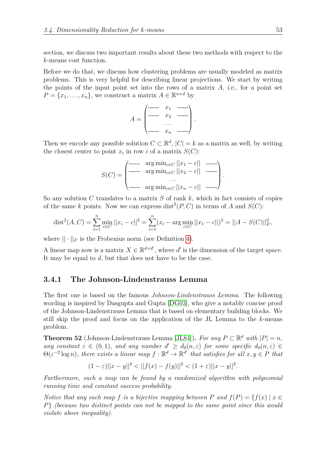section, we discuss two important results about these two methods with respect to the *k*-means cost function.

Before we do that, we discuss how clustering problems are usually modeled as matrix problems. This is very helpful for describing linear projections. We start by writing the points of the input point set into the rows of a matrix *A*, i.e., for a point set  $P = \{x_1, \ldots, x_n\}$ , we construct a matrix  $A \in \mathbb{R}^{n \times d}$  by

$$
A = \begin{pmatrix} - & x_1 & - \\ - & x_2 & - \\ \vdots & \vdots & \ddots & \vdots \\ - & x_n & - \end{pmatrix}.
$$

Then we encode any possible solution  $C \subset \mathbb{R}^d$ ,  $|C| = k$  as a matrix as well, by writing the closest center to point  $x_i$  in row *i* of a matrix  $S(C)$ :

$$
S(C) = \begin{pmatrix} \text{arg min}_{c \in C} ||x_1 - c|| & \text{if } \\ \text{arg min}_{c \in C} ||x_2 - c|| & \text{if } \\ \text{if } \\ \text{if } \\ \text{if } \\ \text{if } \\ \text{if } \\ \text{if } \\ \text{if } \\ \text{if } \\ \text{if } \\ \text{if } \\ \text{if } \\ \text{if } \\ \text{if } \\ \text{if } \\ \text{if } \\ \text{if } \\ \text{if } \\ \text{if } \\ \text{if } \\ \text{if } \\ \text{if } \\ \text{if } \\ \text{if } \\ \text{if } \\ \text{if } \\ \text{if } \\ \text{if } \\ \text{if } \\ \text{if } \\ \text{if } \\ \text{if } \\ \text{if } \\ \text{if } \\ \text{if } \\ \text{if } \\ \text{if } \\ \text{if } \\ \text{if } \\ \text{if } \\ \text{if } \\ \text{if } \\ \text{if } \\ \text{if } \\ \text{if } \\ \text{if } \\ \text{if } \\ \text{if } \\ \text{if } \\ \text{if } \\ \text{if } \\ \text{if } \\ \text{if } \\ \text{if } \\ \text{if } \\ \text{if } \\ \text{if } \\ \text{if } \\ \text{if } \\ \text{if } \\ \text{if } \\ \text{if } \\ \text{if } \\ \text{if } \\ \text{if } \\ \text{if } \\ \text{if } \\ \text{if } \\ \text{if } \\ \text{if } \\ \text{if } \\ \text{if } \\ \text{if } \\ \text{if } \\ \text{if } \\ \text{if } \\ \text{if } \\ \text{if } \\ \text{if } \\ \text{if } \\ \text{if } \\ \text{if } \\ \text{if } \\ \text{if } \\ \text{if } \\ \text{if } \\ \text{if } \\ \text{if } \\ \text{if } \\ \text{if } \\ \text{if } \\ \text{if } \\ \text{if } \\ \text{if } \\ \text{if } \\ \text{if } \\ \text{if } \\ \text{if } \\ \text{if } \\ \text{if } \\ \text{if } \\ \text{if } \\ \text{if } \\ \text{if } \\ \text{if } \\ \text{if } \\ \text{if } \\ \text{if } \\ \text{if } \\ \text{if } \\ \text{if } \\ \text{if } \\ \text{if } \\ \text{if } \\ \text{if } \\ \text{if } \\ \text{if }
$$

So any solution *C* translates to a matrix *S* of rank *k*, which in fact consists of copies of the same k points. Now we can express dist<sup>2</sup>( $P, C$ ) in terms of  $A$  and  $S(C)$ :

$$
\text{dist}^2(A, C) = \sum_{i=1}^n \min_{c \in C} ||x_i - c||^2 = \sum_{i=1}^n (x_i - \arg \min_{c \in C} ||x_1 - c||)^2 = ||A - S(C)||_F^2,
$$

where  $|| \cdot ||_F$  is the Frobenius norm (see Definition [4\)](#page-7-0).

A linear map now is a matrix  $X \in \mathbb{R}^{d \times d'}$ , where *d'* is the dimension of the target space. It may be equal to *d*, but that does not have to be the case.

### **3.4.1 The Johnson-Lindenstrauss Lemma**

The first one is based on the famous *Johnson-Lindenstrauss Lemma*. The following wording is inspired by Dasgupta and Gupta [\[DG03\]](#page-73-1), who give a notably concise proof of the Johnson-Lindenstrauss Lemma that is based on elementary building blocks. We still skip the proof and focus on the application of the JL Lemma to the *k*-means problem.

<span id="page-52-0"></span>**Theorem 52** (Johnson-Lindenstrauss Lemma [\[JL84\]](#page-74-7)). *For any*  $P \subset \mathbb{R}^d$  *with*  $|P| = n$ , *any constant*  $\varepsilon \in (0,1)$ *, and any number*  $d' \geq d_0(n,\varepsilon)$  *for some specific*  $d_0(n,\varepsilon) \in$  $\Theta(\varepsilon^{-2} \log n)$ , there exists a linear map  $f : \mathbb{R}^d \to \mathbb{R}^{d'}$  that satisfies for all  $x, y \in P$  that

$$
(1 - \varepsilon) ||x - y||^2 < ||f(x) - f(y)||^2 < (1 + \varepsilon) ||x - y||^2.
$$

*Furthermore, such a map can be found by a randomized algorithm with polynomial running time and constant success probability.*

*Notice that any such map f is a bijective mapping between P* and  $f(P) = \{f(x) | x \in$ *P*} *(because two distinct points can not be mapped to the same point since this would violate above inequality).*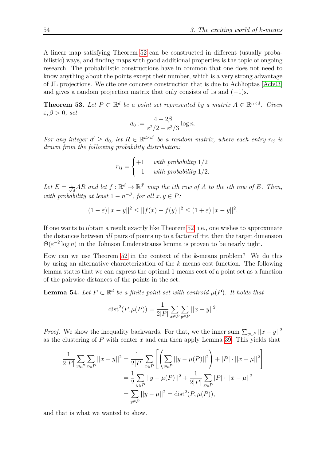A linear map satisfying Theorem [52](#page-52-0) can be constructed in different (usually probabilistic) ways, and finding maps with good additional properties is the topic of ongoing research. The probabilistic constructions have in common that one does not need to know anything about the points except their number, which is a very strong advantage of JL projections. We cite one concrete construction that is due to Achlioptas [\[Ach03\]](#page-72-5) and gives a random projection matrix that only consists of 1s and  $(-1)$ s.

**Theorem 53.** Let  $P \subset \mathbb{R}^d$  be a point set represented by a matrix  $A \in \mathbb{R}^{n \times d}$ . Given *ε, β >* 0*, set*

$$
d_0 := \frac{4 + 2\beta}{\varepsilon^2/2 - \varepsilon^3/3} \log n.
$$

*For any integer*  $d' \geq d_0$ , let  $R \in \mathbb{R}^{d \times d'}$  be a random matrix, where each entry  $r_{ij}$  is *drawn from the following probability distribution:*

$$
r_{ij} = \begin{cases} +1 & with \ probability 1/2 \\ -1 & with \ probability 1/2. \end{cases}
$$

Let  $E = \frac{1}{\sqrt{2}}$  $\frac{d}{dt}AR$  and let  $f: \mathbb{R}^d \to \mathbb{R}^{d'}$  map the *i*th row of *A* to the *i*th row of *E*. Then, *with probability at least*  $1 - n^{-\beta}$ , *for all*  $x, y \in P$ *:* 

$$
(1 - \varepsilon) ||x - y||^2 \le ||f(x) - f(y)||^2 \le (1 + \varepsilon) ||x - y||^2.
$$

If one wants to obtain a result exactly like Theorem [52,](#page-52-0) i.e., one wishes to approximate the distances between *all* pairs of points up to a factor of  $\pm \varepsilon$ , then the target dimension  $\Theta(\varepsilon^{-2} \log n)$  in the Johnson Lindenstrauss lemma is proven to be nearly tight.

How can we use Theorem [52](#page-52-0) in the context of the *k*-means problem? We do this by using an alternative characterization of the *k*-means cost function. The following lemma states that we can express the optimal 1-means cost of a point set as a function of the pairwise distances of the points in the set.

<span id="page-53-0"></span>**Lemma 54.** *Let*  $P \subset \mathbb{R}^d$  *be a finite point set with centroid*  $\mu(P)$ *. It holds that* 

$$
dist^{2}(P, \mu(P)) = \frac{1}{2|P|} \sum_{x \in P} \sum_{y \in P} ||x - y||^{2}.
$$

*Proof.* We show the inequality backwards. For that, we the inner sum  $\sum_{y \in P} ||x - y||^2$ as the clustering of *P* with center *x* and can then apply Lemma [39.](#page-40-0) This yields that

$$
\frac{1}{2|P|} \sum_{y \in P} \sum_{x \in P} ||x - y||^2 = \frac{1}{2|P|} \sum_{x \in P} \left[ \left( \sum_{y \in P} ||y - \mu(P)||^2 \right) + |P| \cdot ||x - \mu||^2 \right]
$$

$$
= \frac{1}{2} \sum_{y \in P} ||y - \mu(P)||^2 + \frac{1}{2|P|} \sum_{x \in P} |P| \cdot ||x - \mu||^2
$$

$$
= \sum_{y \in P} ||y - \mu||^2 = \text{dist}^2(P, \mu(P)),
$$

and that is what we wanted to show.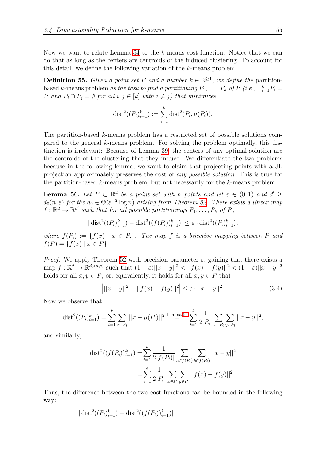Now we want to relate Lemma [54](#page-53-0) to the *k*-means cost function. Notice that we can do that as long as the centers are centroids of the induced clustering. To account for this detail, we define the following variation of the *k*-means problem.

**Definition 55.** *Given a point set P and a number*  $k \in \mathbb{N}^{\geq 1}$ *, we define the* partitionbased *k*-means problem *as the task to find a partitioning*  $P_1, \ldots, P_k$  *of*  $P$  *(i.e.,*  $\cup_{i=1}^k P_i =$ *P and*  $P_i ∩ P_j = ∅$  *for all*  $i, j ∈ [k]$  *with*  $i ≠ j$ *) that minimizes* 

dist<sup>2</sup>((P<sub>i</sub>)<sup>k</sup><sub>i=1</sub>) := 
$$
\sum_{i=1}^{k}
$$
dist<sup>2</sup>(P<sub>i</sub>,  $\mu$ (P<sub>i</sub>)).

The partition-based *k*-means problem has a restricted set of possible solutions compared to the general *k*-means problem. For solving the problem optimally, this distinction is irrelevant: Because of Lemma [39,](#page-40-0) the centers of any optimal solution are the centroids of the clustering that they induce. We differentiate the two problems because in the following lemma, we want to claim that projecting points with a JL projection approximately preserves the cost of *any possible solution*. This is true for the partition-based *k*-means problem, but not necessarily for the *k*-means problem.

<span id="page-54-1"></span>**Lemma 56.** Let  $P \subset \mathbb{R}^d$  be a point set with *n* points and let  $\varepsilon \in (0,1)$  and  $d' \geq$  $d_0(n,\varepsilon)$  *for the*  $d_0 \in \Theta(\varepsilon^{-2} \log n)$  *arising from Theorem [52.](#page-52-0) There exists a linear map*  $f: \mathbb{R}^d \to \mathbb{R}^{d'}$  such that for all possible partitionings  $P_1, \ldots, P_k$  of  $P$ ,

$$
|\operatorname{dist}^2((P_i)_{i=1}^k) - \operatorname{dist}^2((f(P_i))_{i=1}^k)| \le \varepsilon \cdot \operatorname{dist}^2((P_i)_{i=1}^k),
$$

*where*  $f(P_i) := \{f(x) \mid x \in P_i\}$ . The map *f* is a bijective mapping between *P* and  $f(P) = \{f(x) | x \in P\}.$ 

*Proof.* We apply Theorem [52](#page-52-0) with precision parameter  $\varepsilon$ , gaining that there exists a  $\lim_{x \to \infty} f: \mathbb{R}^d \to \mathbb{R}^{d_0(n,\varepsilon)}$  such that  $(1-\varepsilon)||x-y||^2 < ||f(x)-f(y)||^2 < (1+\varepsilon)||x-y||^2$ holds for all  $x, y \in P$ , or, equivalently, it holds for all  $x, y \in P$  that

<span id="page-54-0"></span>
$$
\left| ||x - y||^2 - ||f(x) - f(y)||^2 \right| \le \varepsilon \cdot ||x - y||^2. \tag{3.4}
$$

Now we observe that

$$
\text{dist}^2((P_i)_{i=1}^k) = \sum_{i=1}^k \sum_{x \in P_i} ||x - \mu(P_i)||^2 \stackrel{\text{Lemma 54}}{=} \sum_{i=1}^k \frac{1}{2|P_i|} \sum_{x \in P_i} \sum_{y \in P_i} ||x - y||^2,
$$

and similarly,

$$
\text{dist}^2((f(P_i))_{i=1}^k) = \sum_{i=1}^k \frac{1}{2|f(P_i)|} \sum_{a \in f(P_i)} \sum_{b \in f(P_i)} ||x - y||^2
$$

$$
= \sum_{i=1}^k \frac{1}{2|P_i|} \sum_{x \in P_i} \sum_{y \in P_i} ||f(x) - f(y)||^2.
$$

Thus, the difference between the two cost functions can be bounded in the following way:

$$
|\operatorname{dist}^2((P_i)_{i=1}^k) - \operatorname{dist}^2((f(P_i))_{i=1}^k)|
$$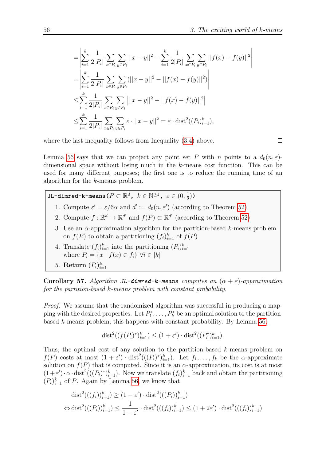$\overline{\phantom{a}}$  $\overline{\phantom{a}}$  $\overline{\phantom{a}}$  $\overline{\phantom{a}}$  $\overline{\phantom{a}}$  $\overline{\phantom{a}}$ 

$$
\begin{split}\n&= \left| \sum_{i=1}^{k} \frac{1}{2|P_i|} \sum_{x \in P_i} \sum_{y \in P_i} ||x - y||^2 - \sum_{i=1}^{k} \frac{1}{2|P_i|} \sum_{x \in P_i} \sum_{y \in P_i} ||f(x) - f(y)||^2 \right| \\
&= \left| \sum_{i=1}^{k} \frac{1}{2|P_i|} \sum_{x \in P_i} \sum_{y \in P_i} (||x - y||^2 - ||f(x) - f(y)||^2) \right| \\
&\leq \sum_{i=1}^{k} \frac{1}{2|P_i|} \sum_{x \in P_i} \sum_{y \in P_i} |||x - y||^2 - ||f(x) - f(y)||^2 \right| \\
&\leq \sum_{i=1}^{k} \frac{1}{2|P_i|} \sum_{x \in P_i} \sum_{y \in P_i} \varepsilon \cdot ||x - y||^2 = \varepsilon \cdot \text{dist}^2((P_i)_{i=1}^k),\n\end{split}
$$

where the last inequality follows from Inequality  $(3.4)$  above.

 $\Box$ 

Lemma [56](#page-54-1) says that we can project any point set P with *n* points to a  $d_0(n,\varepsilon)$ dimensional space without losing much in the *k*-means cost function. This can be used for many different purposes; the first one is to reduce the running time of an algorithm for the *k*-means problem.

 $J$ L-dimred-k-means( $P \subset \mathbb{R}^d$ ,  $k \in \mathbb{N}^{\geq 1}$ ,  $\varepsilon \in (0, \frac{1}{2})$  $(\frac{1}{2})$ 

- 1. Compute  $\varepsilon' = \varepsilon/6\alpha$  and  $d' := d_0(n, \varepsilon')$  (according to Theorem [52\)](#page-52-0)
- 2. Compute  $f : \mathbb{R}^d \to \mathbb{R}^{d'}$  and  $f(P) \subset \mathbb{R}^{d'}$  (according to Theorem [52\)](#page-52-0)
- 3. Use an *α*-approximation algorithm for the partition-based *k*-means problem on  $f(P)$  to obtain a partitioning  $(f_i)_{i=1}^k$  of  $f(P)$
- 4. Translate  $(f_i)_{i=1}^k$  into the partitioning  $(P_i)_{i=1}^k$ where  $P_i = \{x \mid f(x) \in f_i\} \forall i \in [k]$
- 5. **Return**  $(P_i)_{i=1}^k$

**Corollary 57.** *Algorithm JL-dimred-k-means computes an*  $(\alpha + \varepsilon)$ -approximation *for the partition-based k-means problem with constant probability.*

*Proof.* We assume that the randomized algorithm was successful in producing a mapping with the desired properties. Let  $P_1^*, \ldots, P_k^*$  be an optimal solution to the partitionbased *k*-means problem; this happens with constant probability. By Lemma [56,](#page-54-1)

$$
dist^{2}((f(P_{i})^{*})_{i=1}^{k}) \leq (1+\varepsilon') \cdot dist^{2}((P_{i}^{*})_{i=1}^{k}).
$$

Thus, the optimal cost of any solution to the partition-based *k*-means problem on  $f(P)$  costs at most  $(1 + \varepsilon') \cdot \text{dist}^2((P_i)^*)_{i=1}^k$ . Let  $f_1, \ldots, f_k$  be the *α*-approximate solution on  $f(P)$  that is computed. Since it is an  $\alpha$ -approximation, its cost is at most  $(1+\varepsilon')\cdot \alpha \cdot \text{dist}^2((P_i)^*)_{i=1}^k$ ). Now we translate  $(f_i)_{i=1}^k$  back and obtain the partitioning  $(P_i)_{i=1}^k$  of *P*. Again by Lemma [56,](#page-54-1) we know that

$$
\text{dist}^2(((f_i))_{i=1}^k) \ge (1 - \varepsilon') \cdot \text{dist}^2(((P_i))_{i=1}^k)
$$
  

$$
\Leftrightarrow \text{dist}^2(((P_i))_{i=1}^k) \le \frac{1}{1 - \varepsilon'} \cdot \text{dist}^2(((f_i))_{i=1}^k) \le (1 + 2\varepsilon') \cdot \text{dist}^2(((f_i))_{i=1}^k)
$$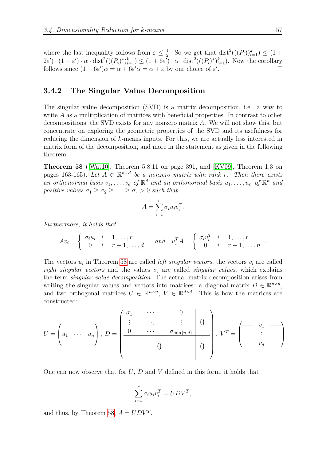where the last inequality follows from  $\varepsilon \leq \frac{1}{2}$  $\frac{1}{2}$ . So we get that  $dist^2(((P_i))_{i=1}^k) \leq (1 +$  $2\varepsilon'$ ) ·  $(1+\varepsilon') \cdot \alpha \cdot \text{dist}^2(((P_i)^*)_{i=1}^k) \leq (1+6\varepsilon') \cdot \alpha \cdot \text{dist}^2(((P_i)^*)_{i=1}^k)$ . Now the corollary follows since  $(1 + 6\varepsilon')\alpha = \alpha + 6\varepsilon'\alpha = \alpha + \varepsilon$  by our choice of  $\varepsilon'$ .

## **3.4.2 The Singular Value Decomposition**

The singular value decomposition (SVD) is a matrix decomposition, i.e., a way to write A as a multiplication of matrices with beneficial properties. In contrast to other decompositions, the SVD exists for any nonzero matrix *A*. We will not show this, but concentrate on exploring the geometric properties of the SVD and its usefulness for reducing the dimension of *k*-means inputs. For this, we are actually less interested in matrix form of the decomposition, and more in the statement as given in the following theorem.

<span id="page-56-0"></span>**Theorem 58** ([\[Wat10\]](#page-74-8), Theorem 5.8.11 on page 391, and [\[KV09\]](#page-74-9), Theorem 1.3 on pages 163-165). Let  $A \in \mathbb{R}^{n \times d}$  be a nonzero matrix with rank *r*. Then there exists an orthonormal basis  $v_1, \ldots, v_d$  of  $\mathbb{R}^d$  and an orthonormal basis  $u_1, \ldots, u_n$  of  $\mathbb{R}^n$  and *positive values*  $\sigma_1 \geq \sigma_2 \geq \ldots \geq \sigma_r > 0$  *such that* 

$$
A = \sum_{i=1}^{r} \sigma_i u_i v_i^T.
$$

*Furthermore, it holds that*

$$
Av_i = \begin{cases} \sigma_i u_i & i = 1, \dots, r \\ 0 & i = r+1, \dots, d \end{cases} \quad and \quad u_i^T A = \begin{cases} \sigma_i v_i^T & i = 1, \dots, r \\ 0 & i = r+1, \dots, n \end{cases}
$$

The vectors  $u_i$  in Theorem [58](#page-56-0) are called *left singular vectors*, the vectors  $v_i$  are called *right singular vectors* and the values  $\sigma_i$  are called *singular values*, which explains the term *singular value decomposition*. The actual matrix decomposition arises from writing the singular values and vectors into matrices: a diagonal matrix  $D \in \mathbb{R}^{n \times d}$ , and two orthogonal matrices  $U \in \mathbb{R}^{n \times n}$ ,  $V \in \mathbb{R}^{d \times d}$ . This is how the matrices are constructed:

$$
U = \begin{pmatrix} | & & | \\ u_1 & \cdots & u_n \\ | & & | \end{pmatrix}, D = \begin{pmatrix} \sigma_1 & \cdots & 0 \\ \vdots & \ddots & \vdots \\ 0 & \cdots & \sigma_{\min\{n,d\}} \\ 0 & 0 & 0 \end{pmatrix}, V^T = \begin{pmatrix} - & v_1 & - \\ \vdots & \ddots & - \\ - & v_d & - \end{pmatrix}
$$

One can now observe that for *U*, *D* and *V* defined in this form, it holds that

$$
\sum_{i=1}^r \sigma_i u_i v_i^T = U D V^T,
$$

and thus, by Theorem [58,](#page-56-0)  $A = UDV^T$ .

*.*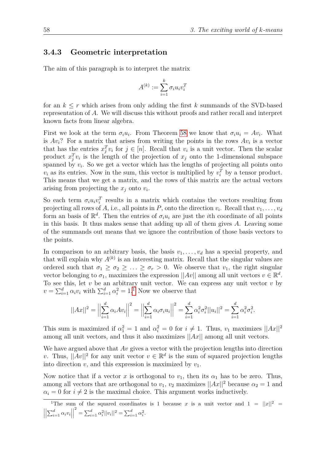## <span id="page-57-1"></span>**3.4.3 Geometric interpretation**

The aim of this paragraph is to interpret the matrix

$$
A^{(k)} := \sum_{i=1}^k \sigma_i u_i v_i^T
$$

for an  $k \leq r$  which arises from only adding the first k summands of the SVD-based representation of *A*. We will discuss this without proofs and rather recall and interpret known facts from linear algebra.

First we look at the term  $\sigma_i u_i$ . From Theorem [58](#page-56-0) we know that  $\sigma_i u_i = A v_i$ . What is  $Av_i$ ? For a matrix that arises from writing the points in the rows  $Av_i$  is a vector that has the entries  $x_j^T v_i$  for  $j \in [n]$ . Recall that  $v_i$  is a unit vector. Then the scalar product  $x_j^T v_i$  is the length of the projection of  $x_j$  onto the 1-dimensional subspace spanned by  $v_i$ . So we get a vector which has the lengths of projecting all points onto  $v_i$  as its entries. Now in the sum, this vector is multiplied by  $v_i^T$  by a tensor product. This means that we get a matrix, and the rows of this matrix are the actual vectors arising from projecting the  $x_j$  onto  $v_i$ .

So each term  $\sigma_i u_i v_i^T$  results in a matrix which contains the vectors resulting from projecting all rows of *A*, i.e., all points in *P*, onto the direction  $v_i$ . Recall that  $v_1, \ldots, v_d$ form an basis of  $\mathbb{R}^d$ . Then the entries of  $\sigma_i u_i$  are just the *i*th coordinate of all points in this basis. It thus makes sense that adding up all of them gives *A*. Leaving some of the summands out means that we ignore the contribution of those basis vectors to the points.

In comparison to an arbitrary basis, the basis  $v_1, \ldots, v_d$  has a special property, and that will explain why  $A^{(k)}$  is an interesting matrix. Recall that the singular values are ordered such that  $\sigma_1 \geq \sigma_2 \geq \ldots \geq \sigma_r > 0$ . We observe that  $v_1$ , the right singular vector belonging to  $\sigma_1$ , maximizes the expression  $||Av||$  among all unit vectors  $v \in \mathbb{R}^d$ . To see this, let  $v$  be an arbitrary unit vector. We can express any unit vector  $v$  by  $v = \sum_{i=1}^{d} \alpha_i v_i$  $v = \sum_{i=1}^{d} \alpha_i v_i$  $v = \sum_{i=1}^{d} \alpha_i v_i$  with  $\sum_{i=1}^{d} \alpha_i^2 = 1$ .<sup>1</sup> Now we observe that

$$
||Ax||^2 = \left\|\sum_{i=1}^d \alpha_i Av_i\right\|^2 = \left\|\sum_{i=1}^d \alpha_i \sigma_i u_i\right\|^2 = \sum_{i=1}^d \alpha_i^2 \sigma_i^2 ||u_i||^2 = \sum_{i=1}^d \alpha_i^2 \sigma_i^2.
$$

This sum is maximized if  $\alpha_1^2 = 1$  and  $\alpha_i^2 = 0$  for  $i \neq 1$ . Thus,  $v_1$  maximizes  $||Ax||^2$ among all unit vectors, and thus it also maximizes ||*Ax*|| among all unit vectors.

We have argued above that *Av* gives a vector with the projection lengths into direction *v*. Thus,  $||Av||^2$  for any unit vector  $v \in \mathbb{R}^d$  is the sum of squared projection lengths into direction  $v$ , and this expression is maximized by  $v_1$ .

Now notice that if a vector *x* is orthogonal to  $v_1$ , then its  $\alpha_1$  has to be zero. Thus, among all vectors that are orthogonal to  $v_1$ ,  $v_2$  maximizes  $||Ax||^2$  because  $\alpha_2 = 1$  and  $\alpha_i = 0$  for  $i \neq 2$  is the maximal choice. This argument works inductively.

<span id="page-57-0"></span><sup>&</sup>lt;sup>1</sup>The sum of the squared coordinates is 1 because *x* is a unit vector and  $1 = ||x||^2$  =  $\begin{array}{c} \begin{array}{c} \begin{array}{c} \end{array} \\ \begin{array}{c} \end{array} \end{array} \end{array}$  $\left| \sum_{i=1}^d \alpha_i v_i \right|$  $\begin{array}{|c|c|} \hline \multicolumn{1}{|}{\textbf{1}} & \multicolumn{1}{|}{\textbf{1}} \\ \hline \multicolumn{1}{|}{\textbf{1}} & \multicolumn{1}{|}{\textbf{1}} \\ \hline \multicolumn{1}{|}{\textbf{1}} & \multicolumn{1}{|}{\textbf{1}} \\ \hline \multicolumn{1}{|}{\textbf{1}} & \multicolumn{1}{|}{\textbf{1}} \\ \hline \multicolumn{1}{|}{\textbf{1}} & \multicolumn{1}{|}{\textbf{1}} \\ \hline \multicolumn{1}{|}{\textbf{1}} & \multicolumn{1}{|}{\textbf{1}}$  $\sum_{i=1}^{d} \alpha_i^2 ||v_i||^2 = \sum_{i=1}^{d} \alpha_i^2$ .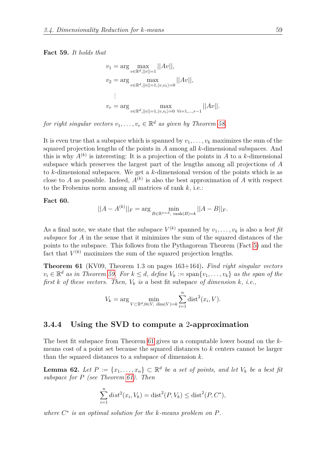#### <span id="page-58-0"></span>**Fact 59.** *It holds that*

$$
v_1 = \arg \max_{v \in \mathbb{R}^d, ||v|| = 1} ||Av||,
$$
  
\n
$$
v_2 = \arg \max_{v \in \mathbb{R}^d, ||v|| = 1, \langle v, v_1 \rangle = 0} ||Av||,
$$
  
\n
$$
\vdots
$$
  
\n
$$
v_r = \arg \max_{v \in \mathbb{R}^d, ||v|| = 1, \langle v, v_i \rangle = 0} \max_{\forall i = 1, \dots, r-1} ||Av||.
$$

*for right singular vectors*  $v_1, \ldots, v_r \in \mathbb{R}^d$  *as given by Theorem [58.](#page-56-0)* 

It is even true that a subspace which is spanned by  $v_1, \ldots, v_k$  maximizes the sum of the squared projection lengths of the points in *A* among all *k*-dimensional subspaces. And this is why  $A^{(k)}$  is interesting: It is a projection of the points in *A* to a *k*-dimensional subspace which preserves the largest part of the lengths among all projections of *A* to *k*-dimensional subspaces. We get a *k*-dimensional version of the points which is as close to *A* as possible. Indeed,  $A^{(k)}$  is also the best approximation of *A* with respect to the Frobenius norm among all matrices of rank *k*, i.e.:

#### **Fact 60.**

$$
||A - A^{(k)}||_F = \arg\min_{B \in \mathbb{R}^{n \times d}, \text{ rank}(B) = k} ||A - B||_F.
$$

As a final note, we state that the subspace  $V^{(k)}$  spanned by  $v_1, \ldots, v_k$  is also a *best fit subspace* for *A* in the sense that it minimizes the sum of the squared distances of the points to the subspace. This follows from the Pythagorean Theorem (Fact [5\)](#page-7-1) and the fact that  $V^{(k)}$  maximizes the sum of the squared projection lengths.

<span id="page-58-1"></span>**Theorem 61** (KV09, Theorem 1.3 on pages 163+164)**.** *Find right singular vectors*  $v_i \in \mathbb{R}^d$  *as in Theorem [59.](#page-58-0)* For  $k \leq d$ , define  $V_k := \text{span}\{v_1, \ldots, v_k\}$  *as the span of the first k of these vectors. Then, V<sup>k</sup> is a* best fit subspace *of dimension k, i.e.,*

$$
V_k = \arg\min_{V \subset \mathbb{R}^d, 0 \in V, \dim(V) = k} \sum_{i=1}^n \text{dist}^2(x_i, V).
$$

#### **3.4.4 Using the SVD to compute a** 2**-approximation**

The best fit subspace from Theorem [61](#page-58-1) gives us a computable lower bound on the *k*means cost of a point set because the squared distances to *k* centers cannot be larger than the squared distances to a subspace of dimension *k*.

<span id="page-58-2"></span>**Lemma 62.** *Let*  $P := \{x_1, \ldots, x_n\} \subset \mathbb{R}^d$  *be a set of points, and let*  $V_k$  *be a best fit subspace for P (see Theorem [61\)](#page-58-1). Then*

$$
\sum_{i=1}^{n} dist^{2}(x_{i}, V_{k}) = dist^{2}(P, V_{k}) \leq dist^{2}(P, C^{*}),
$$

*where C* ∗ *is an optimal solution for the k-means problem on P.*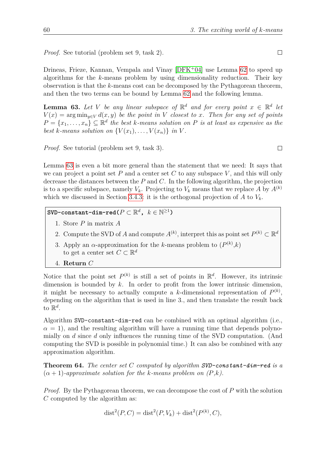*Proof.* See tutorial (problem set 9, task 2).

Drineas, Frieze, Kannan, Vempala and Vinay  $[DFK^+04]$  $[DFK^+04]$  use Lemma [62](#page-58-2) to speed up algorithms for the *k*-means problem by using dimensionality reduction. Their key observation is that the *k*-means cost can be decomposed by the Pythagorean theorem, and then the two terms can be bound by Lemma [62](#page-58-2) and the following lemma.

<span id="page-59-0"></span>**Lemma 63.** Let V be any linear subspace of  $\mathbb{R}^d$  and for every point  $x \in \mathbb{R}^d$  let  $V(x) = \arg\min_{y \in V} d(x, y)$  *be the point in V closest to x. Then for any set of points*  $P = \{x_1, \ldots, x_n\} \subseteq \mathbb{R}^d$  *the best k-means solution on P is at least as expensive as the best k-means solution on*  $\{V(x_1), \ldots, V(x_n)\}\$  *in V*.

*Proof.* See tutorial (problem set 9, task 3).

Lemma [63](#page-59-0) is even a bit more general than the statement that we need: It says that we can project a point set  $P$  and a center set  $C$  to any subspace  $V$ , and this will only decrease the distances between the *P* and *C*. In the following algorithm, the projection is to a specific subspace, namely  $V_k$ . Projecting to  $V_k$  means that we replace A by  $A^{(k)}$ which we discussed in Section [3.4.3:](#page-57-1) it is the orthogonal projection of *A* to *Vk*.

 $\texttt{SVD-constant-dim-red}(P \subset \mathbb{R}^d, \; k \in \mathbb{N}^{\geq 1})$ 

- 1. Store *P* in matrix *A*
- 2. Compute the SVD of *A* and compute  $A^{(k)}$ , interpret this as point set  $P^{(k)} \subset \mathbb{R}^d$
- 3. Apply an  $\alpha$ -approximation for the *k*-means problem to  $(P^{(k)}, k)$ to get a center set  $C \subset \mathbb{R}^d$
- 4. **Return** *C*

Notice that the point set  $P^{(k)}$  is still a set of points in  $\mathbb{R}^d$ . However, its intrinsic dimension is bounded by *k*. In order to profit from the lower intrinsic dimension, it might be necessary to actually compute a *k*-dimensional representation of  $P^{(k)}$ , depending on the algorithm that is used in line 3*.*, and then translate the result back to  $\mathbb{R}^d$ .

Algorithm SVD-constant-dim-red can be combined with an optimal algorithm (i.e.,  $\alpha = 1$ ), and the resulting algorithm will have a running time that depends polynomially on *d* since *d* only influences the running time of the SVD computation. (And computing the SVD is possible in polynomial time.) It can also be combined with any approximation algorithm.

<span id="page-59-1"></span>**Theorem 64.** *The center set C computed by algorithm SVD-constant-dim-red is a*  $(\alpha + 1)$ -approximate solution for the *k*-means problem on  $(P, k)$ .

*Proof.* By the Pythagorean theorem, we can decompose the cost of P with the solution *C* computed by the algorithm as:

$$
dist2(P, C) = dist2(P, Vk) + dist2(P(k), C),
$$

 $\Box$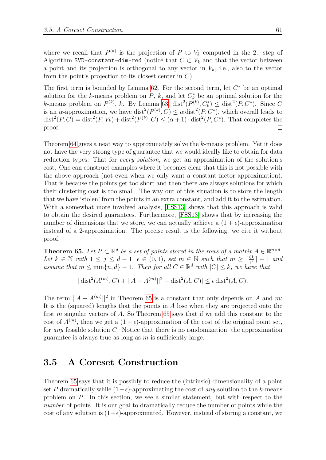where we recall that  $P^{(k)}$  is the projection of *P* to  $V_k$  computed in the 2. step of Algorithm SVD-constant-dim-red (notice that  $C \subset V_k$  and that the vector between a point and its projection is orthogonal to any vector in  $V_k$ , i.e., also to the vector from the point's projection to its closest center in *C*).

The first term is bounded by Lemma  $62$ . For the second term, let  $C^*$  be an optimal solution for the *k*-means problem on  $P$ ,  $k$ , and let  $C_k^*$  be an optimal solution for the *k*-means problem on  $P^{(k)}$ , *k*. By Lemma [63,](#page-59-0) dist<sup>2</sup>( $P^{(k)}$ ,  $C_k^*$ )  $\leq$  dist<sup>2</sup>( $P, C^*$ ). Since  $C$ is an *α*-approximation, we have  $dist^2(P^{(k)}, C) \leq \alpha dist^2(P, C^*)$ , which overall leads to  $dist^2(P, C) = dist^2(P, V_k) + dist^2(P^{(k)}, C) \leq (\alpha + 1) \cdot dist^2(P, C^*)$ . That completes the proof.  $\Box$ 

Theorem [64](#page-59-1) gives a neat way to approximately solve the *k*-means problem. Yet it does not have the very strong type of guarantee that we would ideally like to obtain for data reduction types: That for *every solution*, we get an approximation of the solution's cost. One can construct examples where it becomes clear that this is not possible with the above approach (not even when we only want a constant factor approximation). That is because the points get too short and then there are always solutions for which their clustering cost is too small. The way out of this situation is to store the length that we have 'stolen' from the points in an extra constant, and add it to the estimation. With a somewhat more involved analysis, [\[FSS13\]](#page-73-3) shows that this approach is valid to obtain the desired guarantees. Furthermore, [\[FSS13\]](#page-73-3) shows that by increasing the number of dimensions that we store, we can actually achieve a  $(1 + \epsilon)$ -approximation instead of a 2-approximation. The precise result is the following; we cite it without proof.

<span id="page-60-0"></span>**Theorem 65.** Let  $P \subset \mathbb{R}^d$  be a set of points stored in the rows of a matrix  $A \in \mathbb{R}^{n \times d}$ . *Let*  $k \in \mathbb{N}$  *with*  $1 \leq j \leq d-1$ ,  $\epsilon \in (0,1)$ , set  $m \in \mathbb{N}$  such that  $m \geq \lceil \frac{8k}{\epsilon^2} \rceil - 1$  and *assume that*  $m \leq \min\{n, d\} - 1$ . Then for all  $C \in \mathbb{R}^d$  with  $|C| \leq k$ , we have that

 $|\text{dist}^2(A^{(m)}, C) + ||A - A^{(m)}||^2 - \text{dist}^2(A, C)| \leq \epsilon \text{dist}^2(A, C).$ 

The term  $||A - A^{(m)}||^2$  in Theorem [65](#page-60-0) is a constant that only depends on *A* and *m*: It is the (squared) lengths that the points in *A* lose when they are projected onto the first *m* singular vectors of *A*. So Theorem [65](#page-60-0) says that if we add this constant to the cost of  $A^{(m)}$ , then we get a  $(1+\epsilon)$ -approximation of the cost of the original point set, for *any* feasible solution *C*. Notice that there is no randomization; the approximation guarantee is always true as long as *m* is sufficiently large.

## <span id="page-60-1"></span>**3.5 A Coreset Construction**

Theorem [65](#page-60-0) says that it is possibly to reduce the (intrinsic) dimensionality of a point set P dramatically while  $(1+\epsilon)$ -approximating the cost of *any* solution to the *k*-means problem on *P*. In this section, we see a similar statement, but with respect to the *number* of points. It is our goal to dramatically reduce the number of points while the cost of any solution is  $(1+\epsilon)$ -approximated. However, instead of storing a constant, we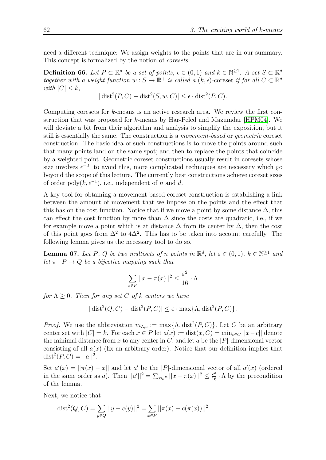need a different technique: We assign weights to the points that are in our summary. This concept is formalized by the notion of *coresets*.

<span id="page-61-0"></span>**Definition 66.** Let  $P \subset \mathbb{R}^d$  be a set of points,  $\epsilon \in (0,1)$  and  $k \in \mathbb{N}^{\geq 1}$ . A set  $S \subset \mathbb{R}^d$ *together with a weight function*  $w : S \to \mathbb{R}^+$  *is called a*  $(k, \epsilon)$ -coreset *if for all*  $C \subset \mathbb{R}^d$ *with*  $|C| \leq k$ *,* 

$$
|\operatorname{dist}^2(P, C) - \operatorname{dist}^2(S, w, C)| \le \epsilon \cdot \operatorname{dist}^2(P, C).
$$

Computing coresets for *k*-means is an active research area. We review the first construction that was proposed for *k*-means by Har-Peled and Mazumdar [\[HPM04\]](#page-73-4). We will deviate a bit from their algorithm and analysis to simplify the exposition, but it still is essentially the same. The construction is a *movement-based* or *geometric* coreset construction. The basic idea of such constructions is to move the points around such that many points land on the same spot; and then to replace the points that coincide by a weighted point. Geometric coreset constructions usually result in coresets whose size involves  $\epsilon^{-d}$ ; to avoid this, more complicated techniques are necessary which go beyond the scope of this lecture. The currently best constructions achieve coreset sizes of order  $\text{poly}(k, \epsilon^{-1})$ , i.e., independent of *n* and *d*.

A key tool for obtaining a movement-based coreset construction is establishing a link between the amount of movement that we impose on the points and the effect that this has on the cost function. Notice that if we move a point by some distance  $\Delta$ , this can effect the cost function by more than  $\Delta$  since the costs are quadratic, i.e., if we for example move a point which is at distance  $\Delta$  from its center by  $\Delta$ , then the cost of this point goes from  $\Delta^2$  to  $4\Delta^2$ . This has to be taken into account carefully. The following lemma gives us the necessary tool to do so.

**Lemma 67.** *Let P*, *Q be two multisets of n points in*  $\mathbb{R}^d$ *, let*  $\varepsilon \in (0,1)$ *,*  $k \in \mathbb{N}^{\geq 1}$  *and let*  $\pi$  *:*  $P \rightarrow Q$  *be a bijective mapping such that* 

$$
\sum_{x \in P} ||x - \pi(x)||^2 \le \frac{\varepsilon^2}{16} \cdot \Lambda
$$

*for*  $\Lambda \geq 0$ *. Then for any set C of k centers we have* 

$$
|\operatorname{dist}^2(Q, C) - \operatorname{dist}^2(P, C)| \le \varepsilon \cdot \max\{\Lambda, \operatorname{dist}^2(P, C)\}.
$$

*Proof.* We use the abbreviation  $m_{\Lambda,c} := \max\{\Lambda, \text{dist}^2(P, C)\}\$ . Let *C* be an arbitrary center set with  $|C| = k$ . For each  $x \in P$  let  $a(x) := \text{dist}(x, C) = \min_{c \in C} ||x - c||$  denote the minimal distance from  $x$  to any center in  $C$ , and let  $a$  be the  $|P|$ -dimensional vector consisting of all  $a(x)$  (fix an arbitrary order). Notice that our definition implies that  $dist^2(P, C) = ||a||^2.$ 

Set  $a'(x) = ||\pi(x) - x||$  and let *a*' be the |*P*|-dimensional vector of all  $a'(x)$  (ordered in the same order as *a*). Then  $||a'||^2 = \sum_{x \in P} ||x - \pi(x)||^2 \le \frac{\epsilon^2}{16} \cdot \Lambda$  by the precondition of the lemma.

Next, we notice that

$$
dist2(Q, C) = \sum_{y \in Q} ||y - c(y)||2 = \sum_{x \in P} ||\pi(x) - c(\pi(x))||2
$$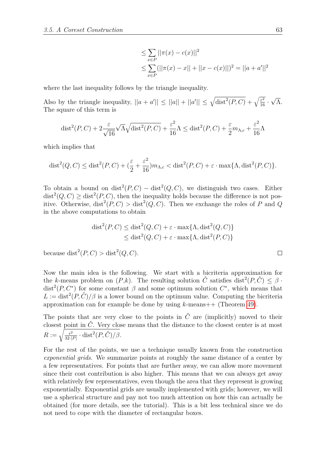$$
\leq \sum_{x \in P} ||\pi(x) - c(x)||^2
$$
  

$$
\leq \sum_{x \in P} (||\pi(x) - x|| + ||x - c(x)||)^2 = ||a + a'||^2
$$

where the last inequality follows by the triangle inequality.

Also by the triangle inequality,  $||a + a'|| \le ||a|| + ||a'|| \le \sqrt{\text{dist}^2(P, C)} + \sqrt{\frac{\varepsilon^2}{16}}$ . √ Λ. The square of this term is

$$
\text{dist}^2(P, C) + 2\frac{\varepsilon}{\sqrt{16}}\sqrt{\Lambda}\sqrt{\text{dist}^2(P, C)} + \frac{\varepsilon^2}{16}\Lambda \le \text{dist}^2(P, C) + \frac{\varepsilon}{2}m_{\Lambda, c} + \frac{\varepsilon^2}{16}\Lambda
$$

which implies that

$$
\text{dist}^2(Q, C) \le \text{dist}^2(P, C) + \left(\frac{\varepsilon}{2} + \frac{\varepsilon^2}{16}\right) m_{\Lambda, c} < \text{dist}^2(P, C) + \varepsilon \cdot \max\{\Lambda, \text{dist}^2(P, C)\}.
$$

To obtain a bound on  $dist^2(P, C) - dist^2(Q, C)$ , we distinguish two cases. Either  $dist^2(Q, C) \geq dist^2(P, C)$ , then the inequality holds because the difference is not positive. Otherwise,  $dist^2(P, C) > dist^2(Q, C)$ . Then we exchange the roles of *P* and *Q* in the above computations to obtain

$$
dist2(P, C) \leq dist2(Q, C) + \varepsilon \cdot max{\Lambda, dist2(Q, C)}
$$
  

$$
\leq dist2(Q, C) + \varepsilon \cdot max{\Lambda, dist2(P, C)}
$$

because  $dist^2(P, C) > dist^2(Q, C)$ .

Now the main idea is the following. We start with a bicriteria approximation for the *k*-means problem on  $(P, k)$ . The resulting solution  $\hat{C}$  satisfies dist<sup>2</sup> $(P, \hat{C}) \leq \beta$ . dist<sup>2</sup>(*P*,  $C^*$ ) for some constant  $\beta$  and some optimum solution  $C^*$ , which means that  $L := \text{dist}^2(P, \hat{C})/\beta$  is a lower bound on the optimum value. Computing the bicriteria approximation can for example be done by using *k*-means++ (Theorem [49\)](#page-49-2).

The points that are very close to the points in  $\hat{C}$  are (implicitly) moved to their closest point in  $\hat{C}$ . Very close means that the distance to the closest center is at most  $R := \sqrt{\frac{\epsilon^2}{32.1}}$  $\frac{\epsilon^2}{32\cdot|P|}\cdot \text{dist}^2(P,\hat{C})/\beta.$ 

For the rest of the points, we use a technique usually known from the construction *exponential grids*. We summarize points at roughly the same distance of a center by a few representatives. For points that are further away, we can allow more movement since their cost contribution is also higher. This means that we can always get away with relatively few representatives, even though the area that they represent is growing exponentially. Exponential grids are usually implemented with grids; however, we will use a spherical structure and pay not too much attention on how this can actually be obtained (for more details, see the tutorial). This is a bit less technical since we do not need to cope with the diameter of rectangular boxes.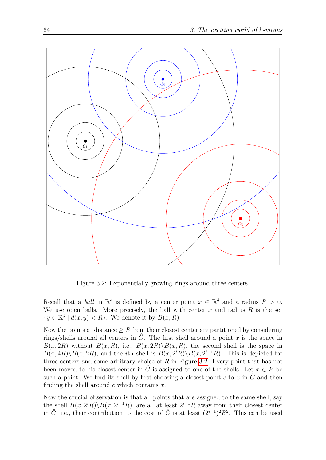

<span id="page-63-0"></span>Figure 3.2: Exponentially growing rings around three centers.

Recall that a *ball* in  $\mathbb{R}^d$  is defined by a center point  $x \in \mathbb{R}^d$  and a radius  $R > 0$ . We use open balls. More precisely, the ball with center  $x$  and radius  $R$  is the set  $\{y \in \mathbb{R}^d \mid d(x, y) < R\}$ . We denote it by  $B(x, R)$ .

Now the points at distance  $\geq R$  from their closest center are partitioned by considering rings/shells around all centers in  $\hat{C}$ . The first shell around a point x is the space in  $B(x, 2R)$  without  $B(x, R)$ , i.e.,  $B(x, 2R) \setminus B(x, R)$ , the second shell is the space in  $B(x, 4R) \setminus B(x, 2R)$ , and the *i*th shell is  $B(x, 2^iR) \setminus B(x, 2^{i-1}R)$ . This is depicted for three centers and some arbitrary choice of *R* in Figure [3.2.](#page-63-0) Every point that has not been moved to his closest center in  $\hat{C}$  is assigned to one of the shells. Let  $x \in P$  be such a point. We find its shell by first choosing a closest point  $c$  to  $x$  in  $\hat{C}$  and then finding the shell around *c* which contains *x*.

Now the crucial observation is that all points that are assigned to the same shell, say the shell  $B(x, 2^i R) \setminus B(x, 2^{i-1} R)$ , are all at least  $2^{i-1} R$  away from their closest center in  $\hat{C}$ , i.e., their contribution to the cost of  $\hat{C}$  is at least  $(2^{i-1})^2 R^2$ . This can be used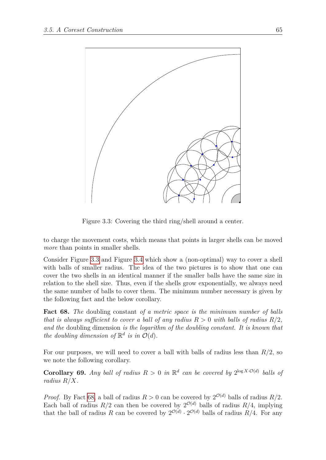

Figure 3.3: Covering the third ring/shell around a center.

<span id="page-64-0"></span>to charge the movement costs, which means that points in larger shells can be moved *more* than points in smaller shells.

Consider Figure [3.3](#page-64-0) and Figure [3.4](#page-65-0) which show a (non-optimal) way to cover a shell with balls of smaller radius. The idea of the two pictures is to show that one can cover the two shells in an identical manner if the smaller balls have the same size in relation to the shell size. Thus, even if the shells grow exponentially, we always need the same number of balls to cover them. The minimum number necessary is given by the following fact and the below corollary.

<span id="page-64-1"></span>**Fact 68.** *The* doubling constant *of a metric space is the minimum number of balls that is always sufficient to cover a ball of any radius*  $R > 0$  *with balls of radius*  $R/2$ . *and the* doubling dimension *is the logarithm of the doubling constant. It is known that the doubling dimension of*  $\mathbb{R}^d$  *is in*  $\mathcal{O}(d)$ *.* 

For our purposes, we will need to cover a ball with balls of radius less than *R/*2, so we note the following corollary.

<span id="page-64-2"></span>**Corollary 69.** *Any ball of radius*  $R > 0$  *in*  $\mathbb{R}^d$  *can be covered by*  $2^{\log X \cdot \mathcal{O}(d)}$  *balls of radius R/X.*

*Proof.* By Fact [68,](#page-64-1) a ball of radius  $R > 0$  can be covered by  $2^{\mathcal{O}(d)}$  balls of radius  $R/2$ . Each ball of radius  $R/2$  can then be covered by  $2^{\mathcal{O}(d)}$  balls of radius  $R/4$ , implying that the ball of radius *R* can be covered by  $2^{\mathcal{O}(d)} \cdot 2^{\mathcal{O}(d)}$  balls of radius *R/4*. For any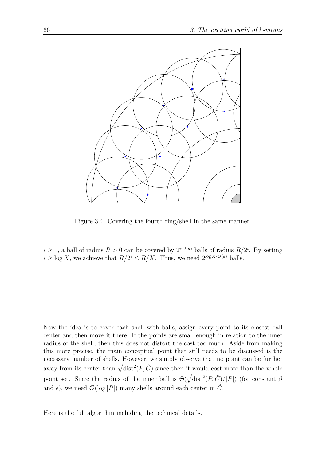

<span id="page-65-0"></span>Figure 3.4: Covering the fourth ring/shell in the same manner.

 $i \geq 1$ , a ball of radius  $R > 0$  can be covered by  $2^{i \cdot \mathcal{O}(d)}$  balls of radius  $R/2^i$ . By setting  $i \geq \log X$ , we achieve that  $R/2^i \leq R/X$ . Thus, we need  $2^{\log X \cdot \mathcal{O}(d)}$  balls.

Now the idea is to cover each shell with balls, assign every point to its closest ball center and then move it there. If the points are small enough in relation to the inner radius of the shell, then this does not distort the cost too much. Aside from making this more precise, the main conceptual point that still needs to be discussed is the necessary number of shells. However, we simply observe that no point can be further away from its center than  $\sqrt{\text{dist}^2(P,\hat{C})}$  since then it would cost more than the whole point set. Since the radius of the inner ball is  $\Theta(\sqrt{\text{dist}^2(P,\hat{C})/|P|})$  (for constant *β* and  $\epsilon$ ), we need  $\mathcal{O}(\log |P|)$  many shells around each center in  $\hat{C}$ .

Here is the full algorithm including the technical details.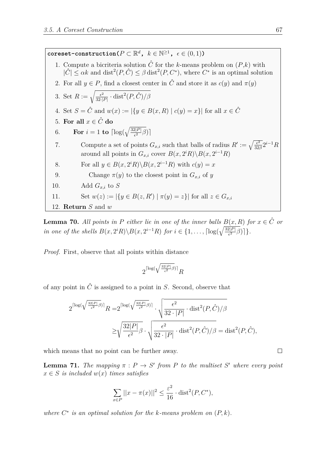$\mathbf{correct-construction}(P \subset \mathbb{R}^d, k \in \mathbb{N}^{\geq 1}, \epsilon \in (0,1))$ 1. Compute a bicriteria solution  $\hat{C}$  for the *k*-means problem on  $(P,k)$  with  $|\hat{C}| \leq \alpha k$  and  $\text{dist}^2(P, \hat{C}) \leq \beta \text{dist}^2(P, C^*)$ , where  $C^*$  is an optimal solution 2. For all  $y \in P$ , find a closest center in  $\hat{C}$  and store it as  $c(y)$  and  $\pi(y)$ 3. Set  $R := \sqrt{\frac{\epsilon^2}{32.1}}$  $\frac{\epsilon^2}{32\cdot |P|}\cdot \text{dist}^2(P,\hat{C})/\beta$ 4. Set  $S = \hat{C}$  and  $w(x) := |\{y \in B(x, R) \mid c(y) = x\}|$  for all  $x \in \hat{C}$ 5. For all  $x \in \hat{C}$  do 6. **For**  $i = 1$  **to**  $\lceil \log(\sqrt{\frac{32|P|}{\epsilon^2}}\beta) \rceil$ 7. Compute a set of points  $G_{x,i}$  such that balls of radius  $R' := \sqrt{\frac{\epsilon^2}{32}}$  $\frac{\epsilon^2}{32\beta}2^{i-1}R$ around all points in  $G_{x,i}$  cover  $B(x, 2^i R) \setminus B(x, 2^{i-1} R)$ 8. For all  $y \in B(x, 2^i R) \setminus B(x, 2^{i-1} R)$  with  $c(y) = x$ 9. Change  $\pi(y)$  to the closest point in  $G_{x,i}$  of *y* 10. Add *Gx,i* to *S* 11. Set  $w(z) := |\{y \in B(z, R') \mid \pi(y) = z\}|$  for all  $z \in G_{x,i}$ 12. **Return** *S* and *w*

**Lemma 70.** All points in P either lie in one of the inner balls  $B(x, R)$  for  $x \in \hat{C}$  or *in one of the shells*  $B(x, 2^i R) \setminus B(x, 2^{i-1} R)$  *for*  $i \in \{1, \ldots, \lceil \log(\sqrt{\frac{32|P|}{\epsilon^2}} \beta) \rceil \}.$ 

*Proof.* First, observe that all points within distance

$$
2^{\lceil \log (\sqrt{\frac{32|P|}{\epsilon^2} \beta}) \rceil} R
$$

of any point in  $\hat{C}$  is assigned to a point in *S*. Second, observe that

$$
2^{\lceil \log(\sqrt{\frac{32|P|}{\epsilon^2}\beta}) \rceil} R = 2^{\lceil \log(\sqrt{\frac{32|P|}{\epsilon^2}\beta}) \rceil} \cdot \sqrt{\frac{\epsilon^2}{32 \cdot |P|} \cdot \text{dist}^2(P, \hat{C})/\beta}
$$

$$
\geq \sqrt{\frac{32|P|}{\epsilon^2}\beta} \cdot \sqrt{\frac{\epsilon^2}{32 \cdot |P|} \cdot \text{dist}^2(P, \hat{C})/\beta} = \text{dist}^2(P, \hat{C}),
$$

which means that no point can be further away.

**Lemma 71.** *The mapping*  $\pi$  :  $P \rightarrow S'$  *from P to the multiset S'* where every point  $x \in S$  *is included*  $w(x)$  *times satisfies* 

$$
\sum_{x \in P} ||x - \pi(x)||^2 \le \frac{\varepsilon^2}{16} \cdot \text{dist}^2(P, C^*),
$$

*where*  $C^*$  *is an optimal solution for the k-means problem on*  $(P, k)$ *.*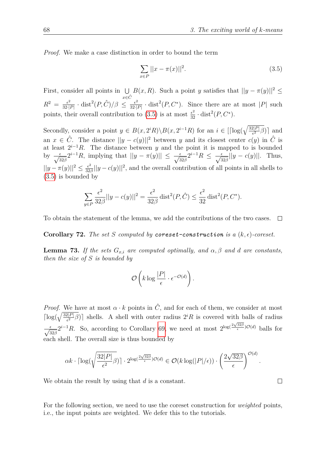*Proof.* We make a case distinction in order to bound the term

<span id="page-67-0"></span>
$$
\sum_{x \in P} ||x - \pi(x)||^2.
$$
 (3.5)

First, consider all points in  $\bigcup B(x,R)$ . Such a point *y* satisfies that  $||y - \pi(y)||^2 \le$ *x*∈*C*ˆ  $R^2 = \frac{\epsilon^2}{32}$  $\frac{\epsilon^2}{32\cdot|P|}\cdot \text{dist}^2(P,\hat{C})/\beta \leq \frac{\epsilon^2}{32\cdot|P|}$  $\frac{\epsilon^2}{32\cdot|P|}$  · dist<sup>2</sup>(*P*, *C*<sup>\*</sup>). Since there are at most |*P*| such points, their overall contribution to [\(3.5\)](#page-67-0) is at most  $\frac{\epsilon^2}{32} \cdot \text{dist}^2(P, C^*)$ .

Secondly, consider a point  $y \in B(x, 2^i R) \setminus B(x, 2^{i-1} R)$  for an  $i \in [\lceil \log(\sqrt{\frac{32|P|}{\epsilon^2}} \beta) \rceil$  and an  $x \in \hat{C}$ . The distance  $||y - c(y)||^2$  between *y* and its closest center  $c(y)$  in  $\hat{C}$  is at least  $2^{i-1}R$ . The distance between *y* and the point it is mapped to is bounded by  $\frac{\epsilon}{\sqrt{32\beta}} 2^{i-1}R$ , implying that  $||y - \pi(y)|| \le \frac{\epsilon}{\sqrt{32\beta}} 2^{i-1}R \le \frac{\epsilon}{\sqrt{32\beta}} ||y - c(y)||$ . Thus,  $||y - \pi(y)||^2 \leq \frac{\epsilon^2}{32}$  $\frac{\epsilon^2}{32\beta}$ ||*y* – *c*(*y*)||<sup>2</sup>, and the overall contribution of all points in all shells to [\(3.5\)](#page-67-0) is bounded by

$$
\sum_{y \in P} \frac{\epsilon^2}{32\beta} ||y - c(y)||^2 = \frac{\epsilon^2}{32\beta} \text{dist}^2(P, \hat{C}) \le \frac{\epsilon^2}{32} \text{dist}^2(P, C^*).
$$

To obtain the statement of the lemma, we add the contributions of the two cases.  $\Box$ 

**Corollary 72.** The set *S* computed by **coreset-construction** is a  $(k, \epsilon)$ -coreset.

**Lemma 73.** *If the sets*  $G_{x,i}$  *are computed optimally, and*  $\alpha, \beta$  *and d are constants, then the size of S is bounded by*

$$
\mathcal{O}\left(k\log\frac{|P|}{\epsilon}\cdot\epsilon^{-\mathcal{O}(d)}\right).
$$

*Proof.* We have at most  $\alpha \cdot k$  points in  $\hat{C}$ , and for each of them, we consider at most  $\lceil \log(\sqrt{\frac{32|P|}{\epsilon^2}}) \rceil$  shells. A shell with outer radius  $2^iR$  is covered with balls of radius  $\frac{\epsilon}{\sqrt{32\beta}} 2^{i-1}R$ . So, according to Corollary [69,](#page-64-2) we need at most  $2^{\log(\frac{2\sqrt{32\beta}}{\epsilon})\mathcal{O}(d)}$  balls for each shell. The overall size is thus bounded by

$$
\alpha k \cdot \lceil \log(\sqrt{\frac{32|P|}{\epsilon^2} \beta}) \rceil \cdot 2^{\log(\frac{2\sqrt{32\beta}}{\epsilon})\mathcal{O}(d)} \in \mathcal{O}(k \log(|P|/\epsilon)) \cdot \left(\frac{2\sqrt{32\beta}}{\epsilon}\right)^{\mathcal{O}(d)}.
$$

We obtain the result by using that *d* is a constant.

For the following section, we need to use the coreset construction for *weighted* points, i.e., the input points are weighted. We defer this to the tutorials.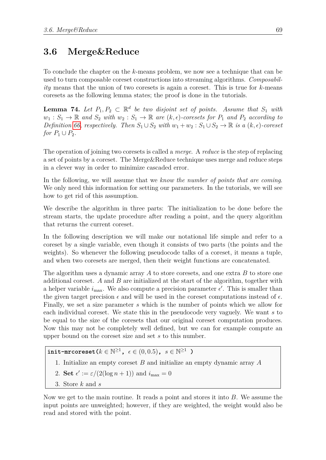## **3.6 Merge&Reduce**

To conclude the chapter on the *k*-means problem, we now see a technique that can be used to turn composable coreset constructions into streaming algorithms. *Composability* means that the union of two coresets is again a coreset. This is true for *k*-means coresets as the following lemma states; the proof is done in the tutorials.

<span id="page-68-0"></span>**Lemma 74.** Let  $P_1, P_2 \subset \mathbb{R}^d$  be two disjoint set of points. Assume that  $S_1$  with  $w_1 : S_1 \to \mathbb{R}$  and  $S_2$  with  $w_2 : S_1 \to \mathbb{R}$  are  $(k, \epsilon)$ -coresets for  $P_1$  and  $P_2$  according to *Definition* [66,](#page-61-0) respectively. Then  $S_1 \cup S_2$  with  $w_1 + w_2 : S_1 \cup S_2 \to \mathbb{R}$  is a  $(k, \epsilon)$ -coreset *for*  $P_1 \cup P_2$ *.* 

The operation of joining two coresets is called a *merge*. A *reduce* is the step of replacing a set of points by a coreset. The Merge&Reduce technique uses merge and reduce steps in a clever way in order to minimize cascaded error.

In the following, we will assume that we *know the number of points that are coming*. We only need this information for setting our parameters. In the tutorials, we will see how to get rid of this assumption.

We describe the algorithm in three parts: The initialization to be done before the stream starts, the update procedure after reading a point, and the query algorithm that returns the current coreset.

In the following description we will make our notational life simple and refer to a coreset by a single variable, even though it consists of two parts (the points and the weights). So whenever the following pseudocode talks of a coreset, it means a tuple, and when two coresets are merged, then their weight functions are concatenated.

The algorithm uses a dynamic array *A* to store coresets, and one extra *B* to store one additional coreset. *A* and *B* are initialized at the start of the algorithm, together with a helper variable  $i_{\text{max}}$ . We also compute a precision parameter  $\epsilon'$ . This is smaller than the given target precision  $\epsilon$  and will be used in the coreset computations instead of  $\epsilon$ . Finally, we set a size parameter *s* which is the number of points which we allow for each individual coreset. We state this in the pseudocode very vaguely. We want *s* to be equal to the size of the coresets that our original coreset computation produces. Now this may not be completely well defined, but we can for example compute an upper bound on the coreset size and set *s* to this number.

 $\text{init-arcoreset}(k \in \mathbb{N}^{\geq 1}, \epsilon \in (0, 0.5), \ s \in \mathbb{N}^{\geq 1} \text{ )}$ 

- 1. Initialize an empty coreset *B* and initialize an empty dynamic array *A*
- 2. **Set**  $\epsilon' := \epsilon/(2(\log n + 1))$  and  $i_{\max} = 0$
- 3. Store *k* and *s*

Now we get to the main routine. It reads a point and stores it into *B*. We assume the input points are unweighted; however, if they are weighted, the weight would also be read and stored with the point.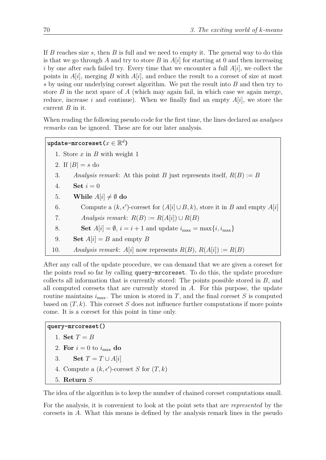If *B* reaches size *s*, then *B* is full and we need to empty it. The general way to do this is that we go through *A* and try to store *B* in *A*[*i*] for starting at 0 and then increasing *i* by one after each failed try. Every time that we encounter a full  $A[i]$ , we collect the points in *A*[*i*], merging *B* with *A*[*i*], and reduce the result to a coreset of size at most *s* by using our underlying coreset algorithm. We put the result into *B* and then try to store *B* in the next space of *A* (which may again fail, in which case we again merge, reduce, increase *i* and continue). When we finally find an empty *A*[*i*], we store the current *B* in it.

When reading the following pseudo code for the first time, the lines declared as *analyses remarks* can be ignored. These are for our later analysis.

```
\mathtt{update-mrcoreset}(x \in \mathbb{R}^d)
```
- 1. Store *x* in *B* with weight 1
- 2. If  $|B| = s$  do
- 3. *Analysis remark*: At this point *B* just represents itself,  $R(B) := B$
- 4. **Set**  $i = 0$
- 5. **While**  $A[i] \neq \emptyset$  do
- 6. Compute a  $(k, \epsilon')$ -coreset for  $(A[i] \cup B, k)$ , store it in *B* and empty  $A[i]$
- 7. *Analysis remark*:  $R(B) := R(A[i]) \cup R(B)$
- 8. **Set**  $A[i] = \emptyset$ ,  $i = i + 1$  and update  $i_{\text{max}} = \max\{i, i_{\text{max}}\}$
- 9. **Set**  $A[i] = B$  and empty  $B$
- 10. *Analysis remark*:  $A[i]$  now represents  $R(B)$ ,  $R(A[i]) := R(B)$

After any call of the update procedure, we can demand that we are given a coreset for the points read so far by calling query-mrcoreset. To do this, the update procedure collects all information that is currently stored: The points possible stored in *B*, and all computed coresets that are currently stored in *A*. For this purpose, the update routine maintains  $i_{\text{max}}$ . The union is stored in *T*, and the final coreset *S* is computed based on (*T, k*). This coreset *S* does not influence further computations if more points come. It is a coreset for this point in time only.

```
query-mrcoreset()
```

```
1. Set T = B
```
- 2. For  $i = 0$  to  $i_{\text{max}}$  do
- 3. **Set**  $T = T \cup A[i]$
- 4. Compute a  $(k, \epsilon')$ -coreset *S* for  $(T, k)$
- 5. **Return** *S*

The idea of the algorithm is to keep the number of chained coreset computations small.

For the analysis, it is convenient to look at the point sets that are *represented* by the coresets in *A*. What this means is defined by the analysis remark lines in the pseudo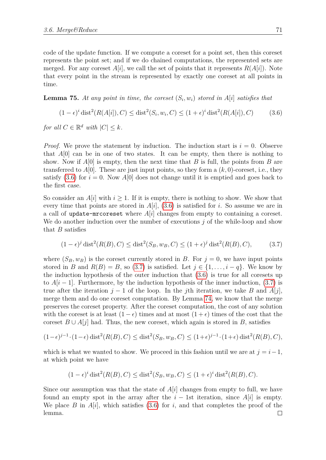code of the update function. If we compute a coreset for a point set, then this coreset represents the point set; and if we do chained computations, the represented sets are merged. For any coreset  $A[i]$ , we call the set of points that it represents  $R(A[i])$ . Note that every point in the stream is represented by exactly one coreset at all points in time.

<span id="page-70-2"></span>**Lemma 75.** At any point in time, the coreset  $(S_i, w_i)$  stored in  $A[i]$  satisfies that

<span id="page-70-0"></span>
$$
(1 - \epsilon)^{i} \text{dist}^{2}(R(A[i]), C) \le \text{dist}^{2}(S_{i}, w_{i}, C) \le (1 + \epsilon)^{i} \text{dist}^{2}(R(A[i]), C)
$$
(3.6)

*for all*  $C \in \mathbb{R}^d$  *with*  $|C| \leq k$ *.* 

*Proof.* We prove the statement by induction. The induction start is  $i = 0$ . Observe that  $A[0]$  can be in one of two states. It can be empty, then there is nothing to show. Now if *A*[0] is empty, then the next time that *B* is full, the points from *B* are transferred to  $A[0]$ . These are just input points, so they form a  $(k, 0)$ -coreset, i.e., they satisfy  $(3.6)$  for  $i = 0$ . Now  $A[0]$  does not change until it is emptied and goes back to the first case.

So consider an  $A[i]$  with  $i \geq 1$ . If it is empty, there is nothing to show. We show that every time that points are stored in *A*[*i*], [\(3.6\)](#page-70-0) is satisfied for *i*. So assume we are in a call of update-mrcoreset where *A*[*i*] changes from empty to containing a coreset. We do another induction over the number of executions *j* of the while-loop and show that *B* satisfies

<span id="page-70-1"></span>
$$
(1 - \epsilon)^j \operatorname{dist}^2(R(B), C) \le \operatorname{dist}^2(S_B, w_B, C) \le (1 + \epsilon)^j \operatorname{dist}^2(R(B), C), \tag{3.7}
$$

where  $(S_B, w_B)$  is the coreset currently stored in *B*. For  $j = 0$ , we have input points stored in *B* and  $R(B) = B$ , so [\(3.7\)](#page-70-1) is satisfied. Let  $j \in \{1, \ldots, i - q\}$ . We know by the induction hypothesis of the outer induction that [\(3.6\)](#page-70-0) is true for all coresets up to  $A[i-1]$ . Furthermore, by the induction hypothesis of the inner induction,  $(3.7)$  is true after the iteration  $j - 1$  of the loop. In the *j*th iteration, we take *B* and *A*[*j*], merge them and do one coreset computation. By Lemma [74,](#page-68-0) we know that the merge preserves the coreset property. After the coreset computation, the cost of any solution with the coreset is at least  $(1 - \epsilon)$  times and at most  $(1 + \epsilon)$  times of the cost that the coreset  $B \cup A[j]$  had. Thus, the new coreset, which again is stored in *B*, satisfies

$$
(1-\epsilon)^{j-1} \cdot (1-\epsilon) \operatorname{dist}^2(R(B), C) \le \operatorname{dist}^2(S_B, w_B, C) \le (1+\epsilon)^{j-1} \cdot (1+\epsilon) \operatorname{dist}^2(R(B), C),
$$

which is what we wanted to show. We proceed in this fashion until we are at  $j = i - 1$ , at which point we have

$$
(1 - \epsilon)^{i} \operatorname{dist}^{2}(R(B), C) \le \operatorname{dist}^{2}(S_{B}, w_{B}, C) \le (1 + \epsilon)^{i} \operatorname{dist}^{2}(R(B), C).
$$

Since our assumption was that the state of *A*[*i*] changes from empty to full, we have found an empty spot in the array after the  $i - 1$ st iteration, since  $A[i]$  is empty. We place *B* in  $A[i]$ , which satisfies [\(3.6\)](#page-70-0) for *i*, and that completes the proof of the lemma. $\Box$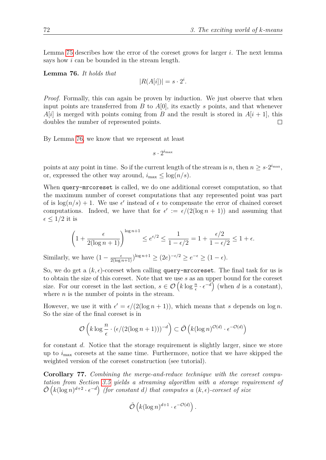Lemma [75](#page-70-2) describes how the error of the coreset grows for larger *i*. The next lemma says how *i* can be bounded in the stream length.

<span id="page-71-0"></span>**Lemma 76.** *It holds that*

$$
|R(A[i])| = s \cdot 2^i.
$$

*Proof.* Formally, this can again be proven by induction. We just observe that when input points are transferred from *B* to *A*[0], its exactly *s* points, and that whenever  $A[i]$  is merged with points coming from *B* and the result is stored in  $A[i + 1]$ , this doubles the number of represented points.  $\Box$ 

By Lemma [76,](#page-71-0) we know that we represent at least

 $s \cdot 2^{i_{\max}}$ 

points at any point in time. So if the current length of the stream is *n*, then  $n \geq s \cdot 2^{i_{\text{max}}}$ , or, expressed the other way around,  $i_{\text{max}} \leq \log(n/s)$ .

When query-mrcoreset is called, we do one additional coreset computation, so that the maximum number of coreset computations that any represented point was part of is  $\log(n/s) + 1$ . We use  $\epsilon'$  instead of  $\epsilon$  to compensate the error of chained coreset computations. Indeed, we have that for  $\epsilon' := \epsilon/(2(\log n + 1))$  and assuming that  $\epsilon \leq 1/2$  it is

$$
\left(1 + \frac{\epsilon}{2(\log n + 1)}\right)^{\log n + 1} \le e^{\epsilon/2} \le \frac{1}{1 - \epsilon/2} = 1 + \frac{\epsilon/2}{1 - \epsilon/2} \le 1 + \epsilon.
$$

Similarly, we have  $(1 - \frac{\epsilon}{2(\log n + 1)})^{\log n + 1} \ge (2e)^{-\epsilon/2} \ge e^{-\epsilon} \ge (1 - \epsilon).$ 

So, we do get a  $(k, \epsilon)$ -coreset when calling query-mrcoreset. The final task for us is to obtain the size of this coreset. Note that we use *s* as an upper bound for the coreset size. For our coreset in the last section,  $s \in \mathcal{O}\left(k \log \frac{n}{\epsilon} \cdot \epsilon^{-d}\right)$  (when *d* is a constant), where *n* is the number of points in the stream.

However, we use it with  $\epsilon' = \epsilon/(2(\log n + 1))$ , which means that *s* depends on  $\log n$ . So the size of the final coreset is in

$$
\mathcal{O}\left(k\log\frac{n}{\epsilon}\cdot(\epsilon/(2(\log n+1)))^{-d}\right)\subset \tilde{\mathcal{O}}\left(k(\log n)^{\mathcal{O}(d)}\cdot\epsilon^{-\mathcal{O}(d)}\right)
$$

for constant *d*. Notice that the storage requirement is slightly larger, since we store up to *i*max coresets at the same time. Furthermore, notice that we have skipped the weighted version of the coreset construction (see tutorial).

**Corollary 77.** *Combining the merge-and-reduce technique with the coreset computation from Section [3.5](#page-60-1) yields a streaming algorithm with a storage requirement of*  $\tilde{\mathcal{O}}\left(k(\log n)^{d+2} \cdot \epsilon^{-d}\right)$  (for constant *d*) that computes a  $(k, \epsilon)$ -coreset of size

$$
\tilde{\mathcal{O}}\left(k(\log n)^{d+1}\cdot\epsilon^{-\mathcal{O}(d)}\right).
$$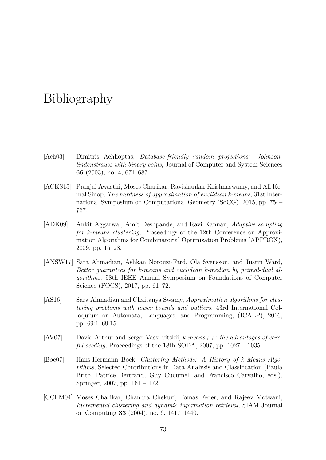## Bibliography

- [Ach03] Dimitris Achlioptas, *Database-friendly random projections: Johnsonlindenstrauss with binary coins*, Journal of Computer and System Sciences **66** (2003), no. 4, 671–687.
- [ACKS15] Pranjal Awasthi, Moses Charikar, Ravishankar Krishnaswamy, and Ali Kemal Sinop, *The hardness of approximation of euclidean k-means*, 31st International Symposium on Computational Geometry (SoCG), 2015, pp. 754– 767.
- [ADK09] Ankit Aggarwal, Amit Deshpande, and Ravi Kannan, *Adaptive sampling for k-means clustering*, Proceedings of the 12th Conference on Approximation Algorithms for Combinatorial Optimization Problems (APPROX), 2009, pp. 15–28.
- [ANSW17] Sara Ahmadian, Ashkan Norouzi-Fard, Ola Svensson, and Justin Ward, *Better guarantees for k-means and euclidean k-median by primal-dual algorithms*, 58th IEEE Annual Symposium on Foundations of Computer Science (FOCS), 2017, pp. 61–72.
- [AS16] Sara Ahmadian and Chaitanya Swamy, *Approximation algorithms for clustering problems with lower bounds and outliers*, 43rd International Colloquium on Automata, Languages, and Programming, (ICALP), 2016, pp. 69:1–69:15.
- [AV07] David Arthur and Sergei Vassilvitskii, *k-means++: the advantages of careful seeding*, Proceedings of the 18th SODA, 2007, pp. 1027 – 1035.
- [Boc07] Hans-Hermann Bock, *Clustering Methods: A History of k-Means Algorithms*, Selected Contributions in Data Analysis and Classification (Paula Brito, Patrice Bertrand, Guy Cucumel, and Francisco Carvalho, eds.), Springer, 2007, pp. 161 – 172.
- [CCFM04] Moses Charikar, Chandra Chekuri, Tomás Feder, and Rajeev Motwani, *Incremental clustering and dynamic information retrieval*, SIAM Journal on Computing **33** (2004), no. 6, 1417–1440.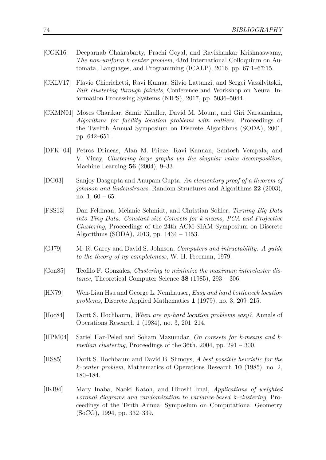- [CGK16] Deeparnab Chakrabarty, Prachi Goyal, and Ravishankar Krishnaswamy, *The non-uniform k-center problem*, 43rd International Colloquium on Automata, Languages, and Programming (ICALP), 2016, pp. 67:1–67:15.
- [CKLV17] Flavio Chierichetti, Ravi Kumar, Silvio Lattanzi, and Sergei Vassilvitskii, *Fair clustering through fairlets*, Conference and Workshop on Neural Information Processing Systems (NIPS), 2017, pp. 5036–5044.
- [CKMN01] Moses Charikar, Samir Khuller, David M. Mount, and Giri Narasimhan, *Algorithms for facility location problems with outliers*, Proceedings of the Twelfth Annual Symposium on Discrete Algorithms (SODA), 2001, pp. 642–651.
- [DFK<sup>+</sup>04] Petros Drineas, Alan M. Frieze, Ravi Kannan, Santosh Vempala, and V. Vinay, *Clustering large graphs via the singular value decomposition*, Machine Learning **56** (2004), 9–33.
- [DG03] Sanjoy Dasgupta and Anupam Gupta, *An elementary proof of a theorem of johnson and lindenstrauss*, Random Structures and Algorithms **22** (2003), no.  $1, 60 - 65$ .
- [FSS13] Dan Feldman, Melanie Schmidt, and Christian Sohler, *Turning Big Data into Tiny Data: Constant-size Coresets for k-means, PCA and Projective Clustering*, Proceedings of the 24th ACM-SIAM Symposium on Discrete Algorithms (SODA), 2013, pp. 1434 – 1453.
- [GJ79] M. R. Garey and David S. Johnson, *Computers and intractability: A guide to the theory of np-completeness*, W. H. Freeman, 1979.
- [Gon85] Teofilo F. Gonzalez, *Clustering to minimize the maximum intercluster distance*, Theoretical Computer Science **38** (1985), 293 – 306.
- [HN79] Wen-Lian Hsu and George L. Nemhauser, *Easy and hard bottleneck location problems*, Discrete Applied Mathematics **1** (1979), no. 3, 209–215.
- [Hoc84] Dorit S. Hochbaum, *When are np-hard location problems easy?*, Annals of Operations Research **1** (1984), no. 3, 201–214.
- [HPM04] Sariel Har-Peled and Soham Mazumdar, *On coresets for k-means and kmedian clustering*, Proceedings of the 36th, 2004, pp. 291 – 300.
- [HS85] Dorit S. Hochbaum and David B. Shmoys, *A best possible heuristic for the k-center problem*, Mathematics of Operations Research **10** (1985), no. 2, 180–184.
- [IKI94] Mary Inaba, Naoki Katoh, and Hiroshi Imai, *Applications of weighted voronoi diagrams and randomization to variance-based* k*-clustering*, Proceedings of the Tenth Annual Symposium on Computational Geometry (SoCG), 1994, pp. 332–339.